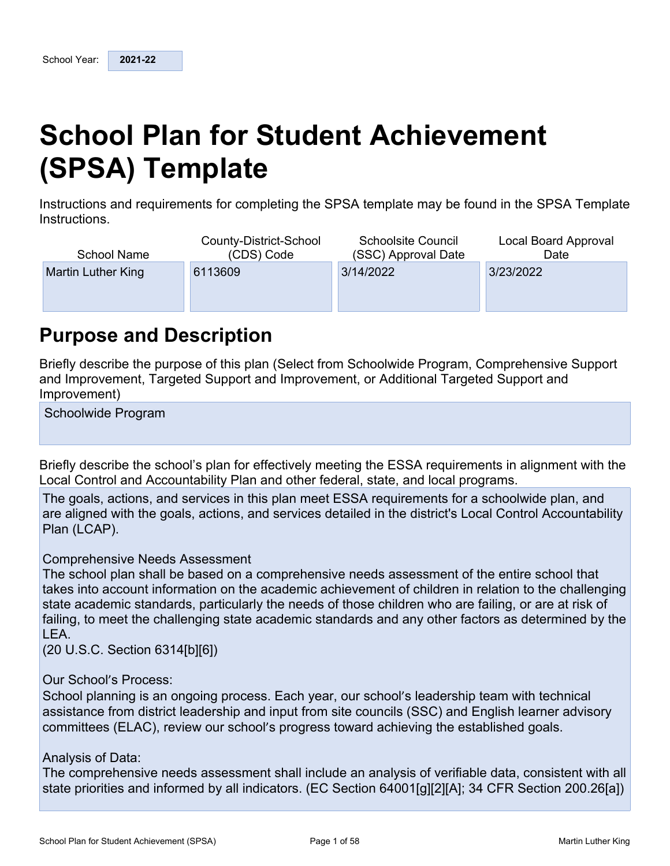# **School Plan for Student Achievement (SPSA) Template**

Instructions and requirements for completing the SPSA template may be found in the SPSA Template Instructions.

| <b>School Name</b> | County-District-School<br>(CDS) Code | <b>Schoolsite Council</b><br>(SSC) Approval Date | Local Board Approval<br>Date |
|--------------------|--------------------------------------|--------------------------------------------------|------------------------------|
| Martin Luther King | 6113609                              | 3/14/2022                                        | 3/23/2022                    |
|                    |                                      |                                                  |                              |
|                    |                                      |                                                  |                              |

## **Purpose and Description**

Briefly describe the purpose of this plan (Select from Schoolwide Program, Comprehensive Support and Improvement, Targeted Support and Improvement, or Additional Targeted Support and Improvement)

Schoolwide Program

Briefly describe the school's plan for effectively meeting the ESSA requirements in alignment with the Local Control and Accountability Plan and other federal, state, and local programs.

The goals, actions, and services in this plan meet ESSA requirements for a schoolwide plan, and are aligned with the goals, actions, and services detailed in the district's Local Control Accountability Plan (LCAP).

#### Comprehensive Needs Assessment

The school plan shall be based on a comprehensive needs assessment of the entire school that takes into account information on the academic achievement of children in relation to the challenging state academic standards, particularly the needs of those children who are failing, or are at risk of failing, to meet the challenging state academic standards and any other factors as determined by the LEA.

(20 U.S.C. Section 6314[b][6])

Our School's Process:

School planning is an ongoing process. Each year, our school's leadership team with technical assistance from district leadership and input from site councils (SSC) and English learner advisory committees (ELAC), review our school's progress toward achieving the established goals.

#### Analysis of Data:

The comprehensive needs assessment shall include an analysis of verifiable data, consistent with all state priorities and informed by all indicators. (EC Section 64001[g][2][A]; 34 CFR Section 200.26[a])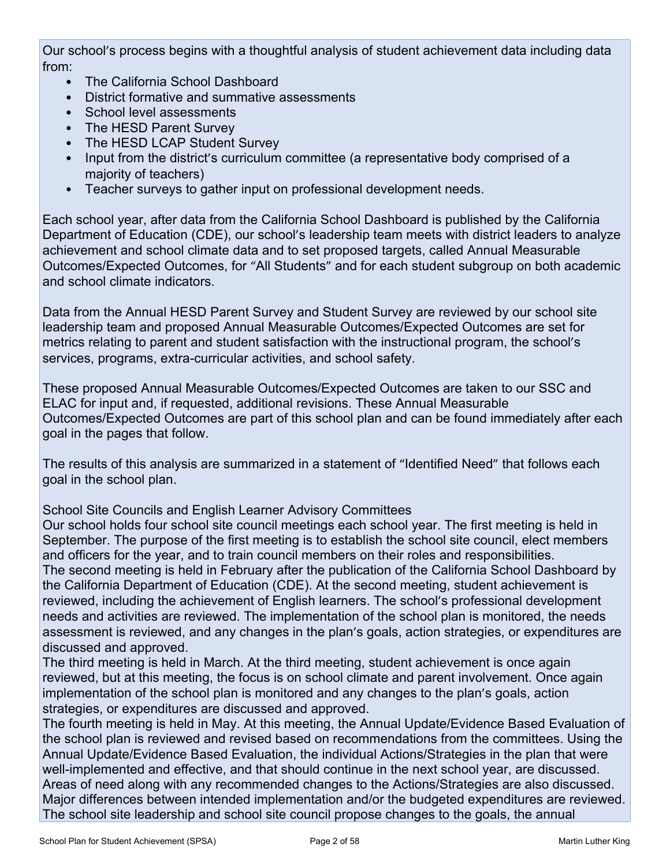Our school's process begins with a thoughtful analysis of student achievement data including data from:

- The California School Dashboard
- District formative and summative assessments
- School level assessments
- The HESD Parent Survey
- The HESD LCAP Student Survey
- Input from the district's curriculum committee (a representative body comprised of a majority of teachers)
- Teacher surveys to gather input on professional development needs.

Each school year, after data from the California School Dashboard is published by the California Department of Education (CDE), our school's leadership team meets with district leaders to analyze achievement and school climate data and to set proposed targets, called Annual Measurable Outcomes/Expected Outcomes, for "All Students" and for each student subgroup on both academic and school climate indicators.

Data from the Annual HESD Parent Survey and Student Survey are reviewed by our school site leadership team and proposed Annual Measurable Outcomes/Expected Outcomes are set for metrics relating to parent and student satisfaction with the instructional program, the school's services, programs, extra-curricular activities, and school safety.

These proposed Annual Measurable Outcomes/Expected Outcomes are taken to our SSC and ELAC for input and, if requested, additional revisions. These Annual Measurable Outcomes/Expected Outcomes are part of this school plan and can be found immediately after each goal in the pages that follow.

The results of this analysis are summarized in a statement of "Identified Need" that follows each goal in the school plan.

School Site Councils and English Learner Advisory Committees

Our school holds four school site council meetings each school year. The first meeting is held in September. The purpose of the first meeting is to establish the school site council, elect members and officers for the year, and to train council members on their roles and responsibilities. The second meeting is held in February after the publication of the California School Dashboard by the California Department of Education (CDE). At the second meeting, student achievement is reviewed, including the achievement of English learners. The school's professional development needs and activities are reviewed. The implementation of the school plan is monitored, the needs assessment is reviewed, and any changes in the plan's goals, action strategies, or expenditures are discussed and approved.

The third meeting is held in March. At the third meeting, student achievement is once again reviewed, but at this meeting, the focus is on school climate and parent involvement. Once again implementation of the school plan is monitored and any changes to the plan's goals, action strategies, or expenditures are discussed and approved.

The fourth meeting is held in May. At this meeting, the Annual Update/Evidence Based Evaluation of the school plan is reviewed and revised based on recommendations from the committees. Using the Annual Update/Evidence Based Evaluation, the individual Actions/Strategies in the plan that were well-implemented and effective, and that should continue in the next school year, are discussed. Areas of need along with any recommended changes to the Actions/Strategies are also discussed. Major differences between intended implementation and/or the budgeted expenditures are reviewed. The school site leadership and school site council propose changes to the goals, the annual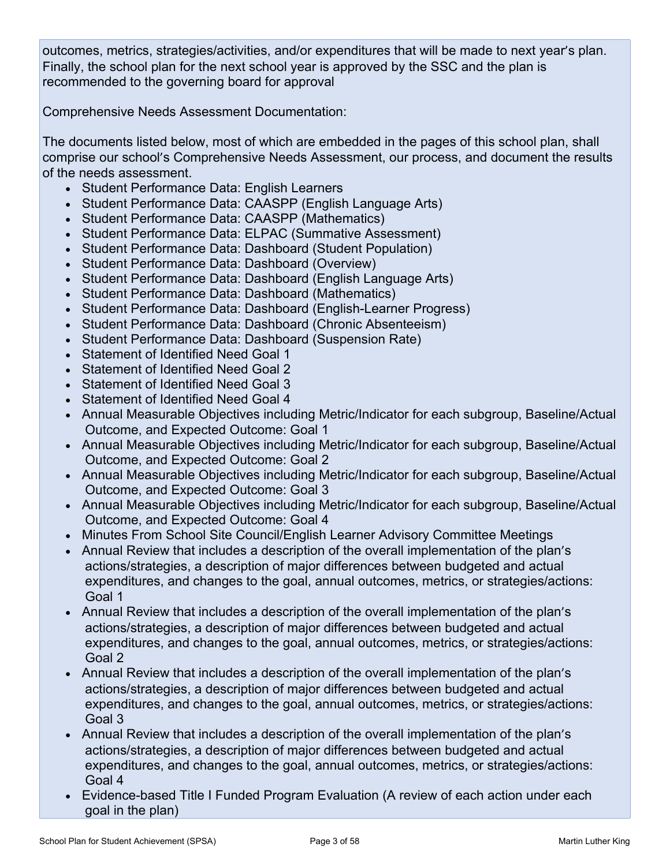outcomes, metrics, strategies/activities, and/or expenditures that will be made to next year's plan. Finally, the school plan for the next school year is approved by the SSC and the plan is recommended to the governing board for approval

Comprehensive Needs Assessment Documentation:

The documents listed below, most of which are embedded in the pages of this school plan, shall comprise our school's Comprehensive Needs Assessment, our process, and document the results of the needs assessment.

- Student Performance Data: English Learners
- Student Performance Data: CAASPP (English Language Arts)
- Student Performance Data: CAASPP (Mathematics)
- Student Performance Data: ELPAC (Summative Assessment)
- Student Performance Data: Dashboard (Student Population)
- Student Performance Data: Dashboard (Overview)
- Student Performance Data: Dashboard (English Language Arts)
- Student Performance Data: Dashboard (Mathematics)
- Student Performance Data: Dashboard (English-Learner Progress)
- Student Performance Data: Dashboard (Chronic Absenteeism)
- Student Performance Data: Dashboard (Suspension Rate)
- Statement of Identified Need Goal 1
- Statement of Identified Need Goal 2
- Statement of Identified Need Goal 3
- Statement of Identified Need Goal 4
- Annual Measurable Objectives including Metric/Indicator for each subgroup, Baseline/Actual Outcome, and Expected Outcome: Goal 1
- Annual Measurable Objectives including Metric/Indicator for each subgroup, Baseline/Actual Outcome, and Expected Outcome: Goal 2
- Annual Measurable Objectives including Metric/Indicator for each subgroup, Baseline/Actual Outcome, and Expected Outcome: Goal 3
- Annual Measurable Objectives including Metric/Indicator for each subgroup, Baseline/Actual Outcome, and Expected Outcome: Goal 4
- Minutes From School Site Council/English Learner Advisory Committee Meetings
- Annual Review that includes a description of the overall implementation of the plan's actions/strategies, a description of major differences between budgeted and actual expenditures, and changes to the goal, annual outcomes, metrics, or strategies/actions: Goal 1
- Annual Review that includes a description of the overall implementation of the plan's actions/strategies, a description of major differences between budgeted and actual expenditures, and changes to the goal, annual outcomes, metrics, or strategies/actions: Goal 2
- Annual Review that includes a description of the overall implementation of the plan's actions/strategies, a description of major differences between budgeted and actual expenditures, and changes to the goal, annual outcomes, metrics, or strategies/actions: Goal 3
- Annual Review that includes a description of the overall implementation of the plan's actions/strategies, a description of major differences between budgeted and actual expenditures, and changes to the goal, annual outcomes, metrics, or strategies/actions: Goal 4
- Evidence-based Title I Funded Program Evaluation (A review of each action under each goal in the plan)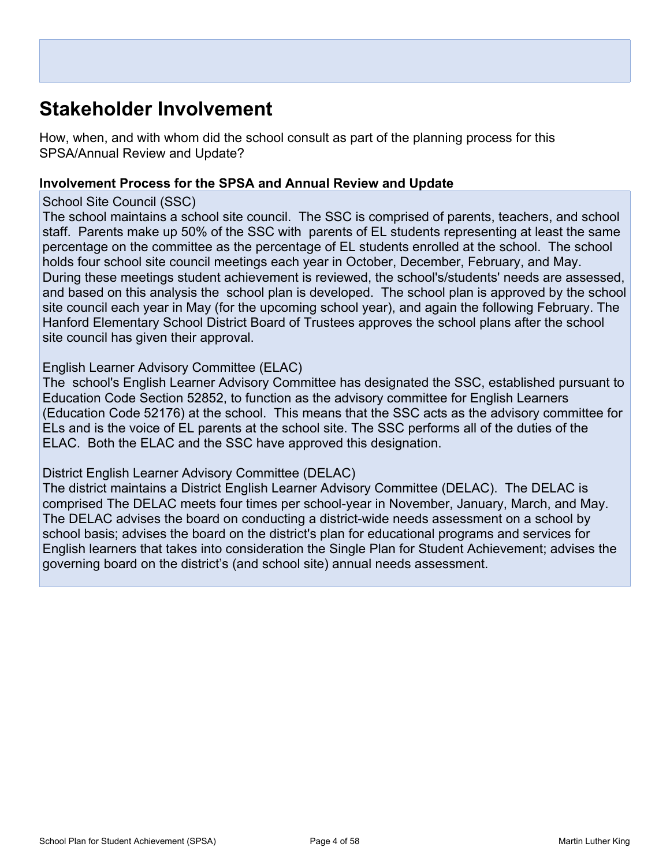# **Stakeholder Involvement**

How, when, and with whom did the school consult as part of the planning process for this SPSA/Annual Review and Update?

#### **Involvement Process for the SPSA and Annual Review and Update**

#### School Site Council (SSC)

The school maintains a school site council. The SSC is comprised of parents, teachers, and school staff. Parents make up 50% of the SSC with parents of EL students representing at least the same percentage on the committee as the percentage of EL students enrolled at the school. The school holds four school site council meetings each year in October, December, February, and May. During these meetings student achievement is reviewed, the school's/students' needs are assessed, and based on this analysis the school plan is developed. The school plan is approved by the school site council each year in May (for the upcoming school year), and again the following February. The Hanford Elementary School District Board of Trustees approves the school plans after the school site council has given their approval.

#### English Learner Advisory Committee (ELAC)

The school's English Learner Advisory Committee has designated the SSC, established pursuant to Education Code Section 52852, to function as the advisory committee for English Learners (Education Code 52176) at the school. This means that the SSC acts as the advisory committee for ELs and is the voice of EL parents at the school site. The SSC performs all of the duties of the ELAC. Both the ELAC and the SSC have approved this designation.

#### District English Learner Advisory Committee (DELAC)

The district maintains a District English Learner Advisory Committee (DELAC). The DELAC is comprised The DELAC meets four times per school-year in November, January, March, and May. The DELAC advises the board on conducting a district-wide needs assessment on a school by school basis; advises the board on the district's plan for educational programs and services for English learners that takes into consideration the Single Plan for Student Achievement; advises the governing board on the district's (and school site) annual needs assessment.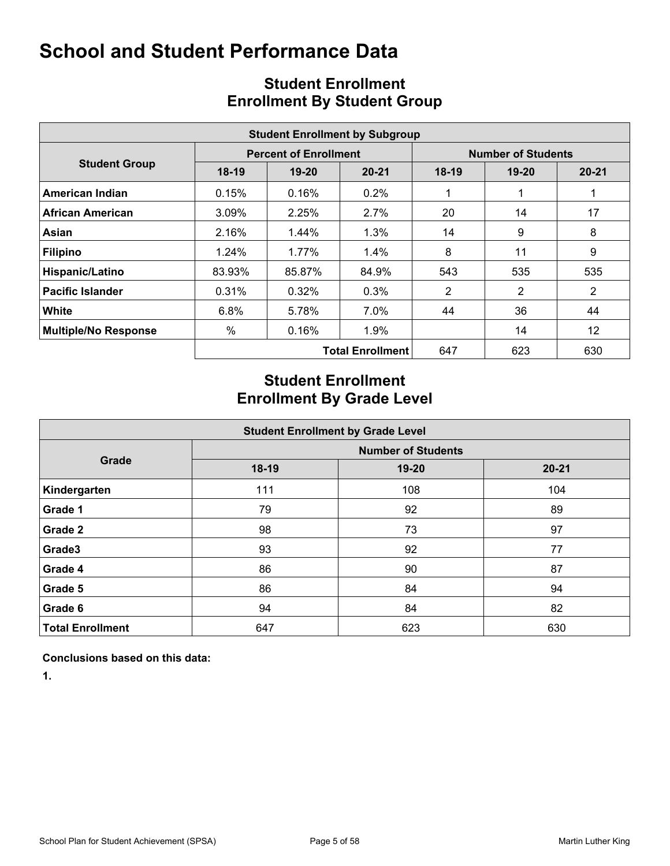|                             |          |                              | <b>Student Enrollment by Subgroup</b> |                |                           |                |
|-----------------------------|----------|------------------------------|---------------------------------------|----------------|---------------------------|----------------|
|                             |          | <b>Percent of Enrollment</b> |                                       |                | <b>Number of Students</b> |                |
| <b>Student Group</b>        | $18-19$  | $19 - 20$                    | $20 - 21$                             | $18-19$        | $19 - 20$                 | $20 - 21$      |
| American Indian             | 0.15%    | 0.16%                        | $0.2\%$                               |                |                           |                |
| African American            | 3.09%    | 2.25%                        | 2.7%                                  | 20             | 14                        | 17             |
| Asian                       | 2.16%    | $1.44\%$                     | $1.3\%$                               | 14             | 9                         | 8              |
| <b>Filipino</b>             | $1.24\%$ | 1.77%                        | 1.4%                                  | 8              | 11                        | 9              |
| Hispanic/Latino             | 83.93%   | 85.87%                       | 84.9%                                 | 543            | 535                       | 535            |
| <b>Pacific Islander</b>     | 0.31%    | 0.32%                        | 0.3%                                  | $\overline{2}$ | $\overline{2}$            | $\overline{2}$ |
| <b>White</b>                | 6.8%     | 5.78%                        | 7.0%                                  | 44             | 36                        | 44             |
| <b>Multiple/No Response</b> | %        | 0.16%                        | $1.9\%$                               |                | 14                        | 12             |
|                             |          |                              | <b>Total Enrollment</b>               | 647            | 623                       | 630            |

## **Student Enrollment Enrollment By Student Group**

## **Student Enrollment Enrollment By Grade Level**

| <b>Student Enrollment by Grade Level</b> |         |                           |           |  |  |  |  |  |  |  |  |
|------------------------------------------|---------|---------------------------|-----------|--|--|--|--|--|--|--|--|
|                                          |         | <b>Number of Students</b> |           |  |  |  |  |  |  |  |  |
| Grade                                    | $18-19$ | $19 - 20$                 | $20 - 21$ |  |  |  |  |  |  |  |  |
| Kindergarten                             | 111     | 108                       | 104       |  |  |  |  |  |  |  |  |
| Grade 1                                  | 79      | 92                        | 89        |  |  |  |  |  |  |  |  |
| Grade 2                                  | 98      | 73                        | 97        |  |  |  |  |  |  |  |  |
| Grade3                                   | 93      | 92                        | 77        |  |  |  |  |  |  |  |  |
| Grade 4                                  | 86      | 90                        | 87        |  |  |  |  |  |  |  |  |
| Grade 5                                  | 86      | 84                        | 94        |  |  |  |  |  |  |  |  |
| Grade 6                                  | 94      | 84                        | 82        |  |  |  |  |  |  |  |  |
| <b>Total Enrollment</b>                  | 647     | 623                       | 630       |  |  |  |  |  |  |  |  |

**Conclusions based on this data:**

**1.**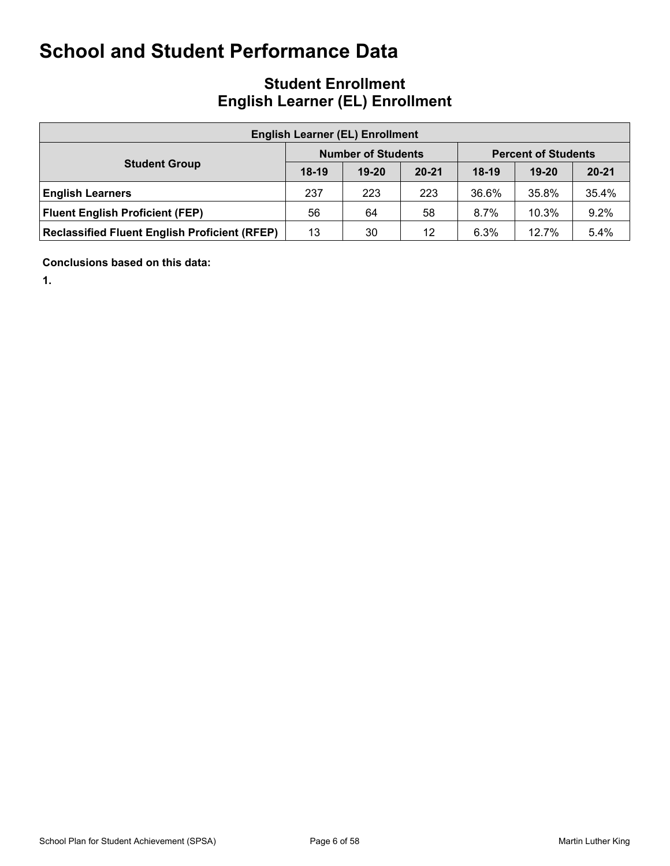## **Student Enrollment English Learner (EL) Enrollment**

|                                                      | <b>English Learner (EL) Enrollment</b> |                           |           |         |                            |           |  |  |  |  |  |  |  |  |
|------------------------------------------------------|----------------------------------------|---------------------------|-----------|---------|----------------------------|-----------|--|--|--|--|--|--|--|--|
|                                                      |                                        | <b>Number of Students</b> |           |         | <b>Percent of Students</b> |           |  |  |  |  |  |  |  |  |
| <b>Student Group</b>                                 | $18-19$                                | $19 - 20$                 | $20 - 21$ | $18-19$ | $19-20$                    | $20 - 21$ |  |  |  |  |  |  |  |  |
| <b>English Learners</b>                              | 237                                    | 223                       | 223       | 36.6%   | 35.8%                      | 35.4%     |  |  |  |  |  |  |  |  |
| <b>Fluent English Proficient (FEP)</b>               | 56                                     | 64                        | 58        | 8.7%    | 10.3%                      | 9.2%      |  |  |  |  |  |  |  |  |
| <b>Reclassified Fluent English Proficient (RFEP)</b> | 13                                     | 30                        | 12        | 6.3%    | 12.7%                      | 5.4%      |  |  |  |  |  |  |  |  |

**Conclusions based on this data:**

**1.**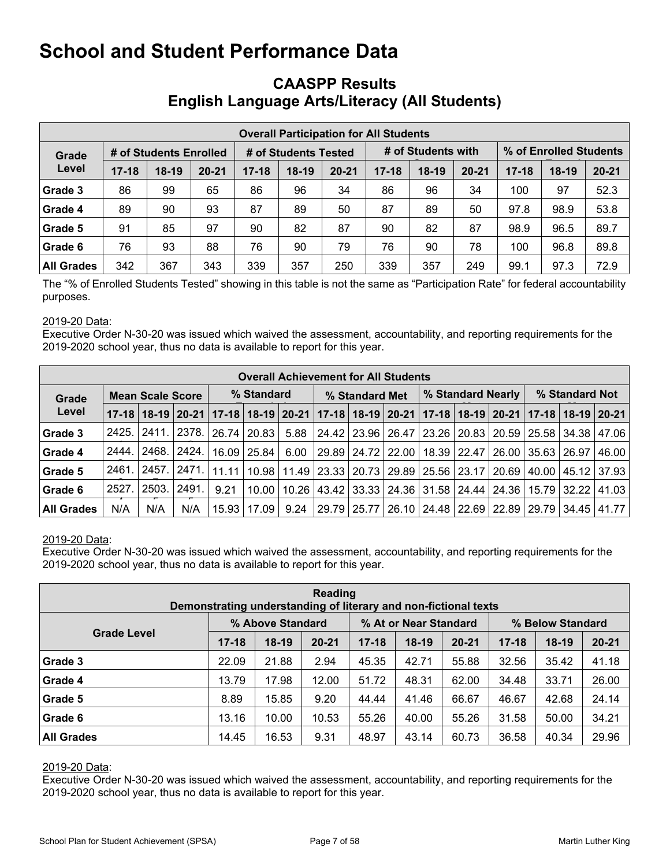### **CAASPP Results English Language Arts/Literacy (All Students)**

|                   | <b>Overall Participation for All Students</b> |                        |           |           |                      |           |           |                    |           |                        |         |           |  |  |
|-------------------|-----------------------------------------------|------------------------|-----------|-----------|----------------------|-----------|-----------|--------------------|-----------|------------------------|---------|-----------|--|--|
| Grade             |                                               | # of Students Enrolled |           |           | # of Students Tested |           |           | # of Students with |           | % of Enrolled Students |         |           |  |  |
| Level             | $17 - 18$                                     | $18-19$                | $20 - 21$ | $17 - 18$ | $18-19$              | $20 - 21$ | $17 - 18$ | $18-19$            | $20 - 21$ | $17 - 18$              | $18-19$ | $20 - 21$ |  |  |
| Grade 3           | 86                                            | 99                     | 65        | 86        | 96                   | 34        | 86        | 96                 | 34        | 100                    | 97      | 52.3      |  |  |
| Grade 4           | 89                                            | 90                     | 93        | 87        | 89                   | 50        | 87        | 89                 | 50        | 97.8                   | 98.9    | 53.8      |  |  |
| Grade 5           | 91                                            | 85                     | 97        | 90        | 82                   | 87        | 90        | 82                 | 87        | 98.9                   | 96.5    | 89.7      |  |  |
| Grade 6           | 76                                            | 93                     | 88        | 76        | 90                   | 79        | 76        | 90                 | 78        | 100                    | 96.8    | 89.8      |  |  |
| <b>All Grades</b> | 342                                           | 367                    | 343       | 339       | 357                  | 250       | 339       | 357                | 249       | 99.1                   | 97.3    | 72.9      |  |  |

The "% of Enrolled Students Tested" showing in this table is not the same as "Participation Rate" for federal accountability purposes.

#### 2019-20 Data:

Executive Order N-30-20 was issued which waived the assessment, accountability, and reporting requirements for the 2019-2020 school year, thus no data is available to report for this year.

|                   | <b>Overall Achievement for All Students</b> |                         |                                                                                                       |       |             |      |                |  |                                                               |                   |  |                       |                    |             |               |
|-------------------|---------------------------------------------|-------------------------|-------------------------------------------------------------------------------------------------------|-------|-------------|------|----------------|--|---------------------------------------------------------------|-------------------|--|-----------------------|--------------------|-------------|---------------|
| Grade             |                                             | <b>Mean Scale Score</b> |                                                                                                       |       | % Standard  |      | % Standard Met |  |                                                               | % Standard Nearly |  |                       | % Standard Not     |             |               |
| Level             |                                             |                         | 17-18 18-19 20-21 17-18 18-19 20-21 17-18 18-19 20-21 17-18 20-21 17-18 18-19 20-21 17-18 18-19 20-21 |       |             |      |                |  |                                                               |                   |  |                       |                    |             |               |
| Grade 3           | 2425.                                       | <u>2411. l</u>          | 2378.                                                                                                 | 26.74 | 20.83       | 5.88 |                |  | 24.42   23.96   26.47   23.26   20.83   20.59   25.58   34.38 |                   |  |                       |                    |             | 47.06         |
| Grade 4           | 2444.                                       | 2468.                   | 2424.                                                                                                 |       | 16.09 25.84 | 6.00 |                |  | 29.89   24.72   22.00                                         |                   |  | 18.39   22.47   26.00 | $35.63 \mid 26.97$ |             | 46.00         |
| Grade 5           | 2461                                        | 2457.                   | 2471.                                                                                                 | 11.11 | 10.98       |      |                |  | 11.49   23.33   20.73   29.89   25.56   23.17   20.69         |                   |  |                       | 40.00              |             | 45.12   37.93 |
| Grade 6           | 2527.                                       | 2503.                   | 2491.                                                                                                 | 9.21  | 10.00       |      |                |  | 10.26   43.42   33.33   24.36   31.58   24.44   24.36         |                   |  |                       |                    | 15.79 32.22 | 141.03        |
| <b>All Grades</b> | N/A                                         | N/A                     | N/A                                                                                                   | 15.93 | 17.09       | 9.24 |                |  | 29.79   25.77   26.10   24.48   22.69   22.89   29.79   34.45 |                   |  |                       |                    |             | 141.77 L      |

#### 2019-20 Data:

Executive Order N-30-20 was issued which waived the assessment, accountability, and reporting requirements for the 2019-2020 school year, thus no data is available to report for this year.

| Reading<br>Demonstrating understanding of literary and non-fictional texts |           |                  |           |           |                       |           |           |                  |           |  |  |  |  |
|----------------------------------------------------------------------------|-----------|------------------|-----------|-----------|-----------------------|-----------|-----------|------------------|-----------|--|--|--|--|
|                                                                            |           | % Above Standard |           |           | % At or Near Standard |           |           | % Below Standard |           |  |  |  |  |
| <b>Grade Level</b>                                                         | $17 - 18$ | $18-19$          | $20 - 21$ | $17 - 18$ | $18-19$               | $20 - 21$ | $17 - 18$ | $18-19$          | $20 - 21$ |  |  |  |  |
| Grade 3                                                                    | 22.09     | 21.88            | 2.94      | 45.35     | 42.71                 | 55.88     | 32.56     | 35.42            | 41.18     |  |  |  |  |
| Grade 4                                                                    | 13.79     | 17.98            | 12.00     | 51.72     | 48.31                 | 62.00     | 34.48     | 33.71            | 26.00     |  |  |  |  |
| Grade 5                                                                    | 8.89      | 15.85            | 9.20      | 44.44     | 41.46                 | 66.67     | 46.67     | 42.68            | 24.14     |  |  |  |  |
| Grade 6                                                                    | 13.16     | 10.00            | 10.53     | 55.26     | 40.00                 | 55.26     | 31.58     | 50.00            | 34.21     |  |  |  |  |
| <b>All Grades</b>                                                          | 14.45     | 16.53            | 9.31      | 48.97     | 43.14                 | 60.73     | 36.58     | 40.34            | 29.96     |  |  |  |  |

#### 2019-20 Data: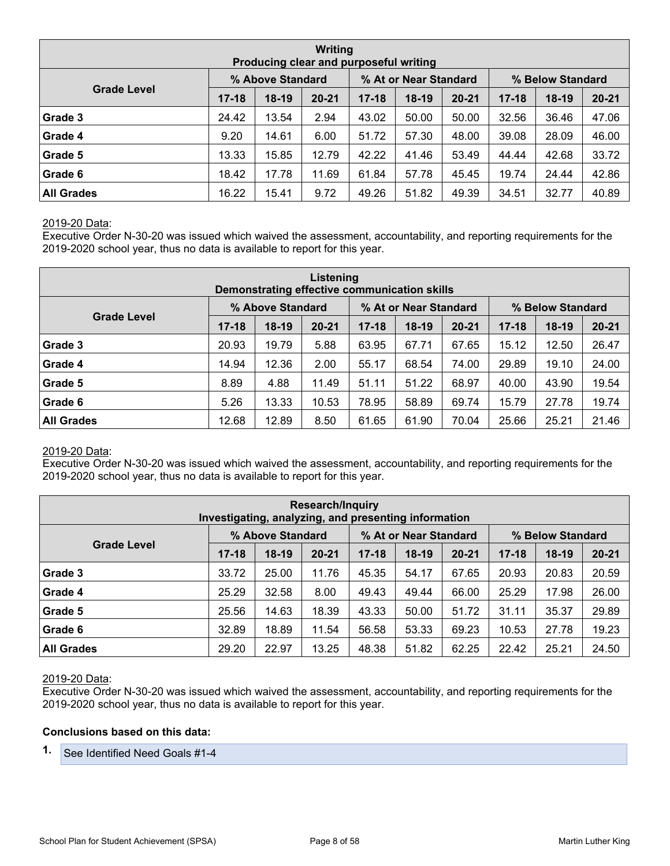| Writing<br>Producing clear and purposeful writing                                   |           |         |           |           |         |           |           |         |           |  |  |  |  |
|-------------------------------------------------------------------------------------|-----------|---------|-----------|-----------|---------|-----------|-----------|---------|-----------|--|--|--|--|
| % Above Standard<br>% At or Near Standard<br>% Below Standard<br><b>Grade Level</b> |           |         |           |           |         |           |           |         |           |  |  |  |  |
|                                                                                     | $17 - 18$ | $18-19$ | $20 - 21$ | $17 - 18$ | $18-19$ | $20 - 21$ | $17 - 18$ | $18-19$ | $20 - 21$ |  |  |  |  |
| Grade 3                                                                             | 24.42     | 13.54   | 2.94      | 43.02     | 50.00   | 50.00     | 32.56     | 36.46   | 47.06     |  |  |  |  |
| Grade 4                                                                             | 9.20      | 14.61   | 6.00      | 51.72     | 57.30   | 48.00     | 39.08     | 28.09   | 46.00     |  |  |  |  |
| Grade 5                                                                             | 13.33     | 15.85   | 12.79     | 42.22     | 41.46   | 53.49     | 44.44     | 42.68   | 33.72     |  |  |  |  |
| Grade 6                                                                             | 18.42     | 17.78   | 11.69     | 61.84     | 57.78   | 45.45     | 19.74     | 24.44   | 42.86     |  |  |  |  |
| <b>All Grades</b>                                                                   | 16.22     | 15.41   | 9.72      | 49.26     | 51.82   | 49.39     | 34.51     | 32.77   | 40.89     |  |  |  |  |

Executive Order N-30-20 was issued which waived the assessment, accountability, and reporting requirements for the 2019-2020 school year, thus no data is available to report for this year.

| Listening<br>Demonstrating effective communication skills                           |           |         |           |           |         |           |           |         |           |  |  |  |  |
|-------------------------------------------------------------------------------------|-----------|---------|-----------|-----------|---------|-----------|-----------|---------|-----------|--|--|--|--|
| % At or Near Standard<br>% Above Standard<br>% Below Standard<br><b>Grade Level</b> |           |         |           |           |         |           |           |         |           |  |  |  |  |
|                                                                                     | $17 - 18$ | $18-19$ | $20 - 21$ | $17 - 18$ | $18-19$ | $20 - 21$ | $17 - 18$ | $18-19$ | $20 - 21$ |  |  |  |  |
| Grade 3                                                                             | 20.93     | 19.79   | 5.88      | 63.95     | 67.71   | 67.65     | 15.12     | 12.50   | 26.47     |  |  |  |  |
| Grade 4                                                                             | 14.94     | 12.36   | 2.00      | 55.17     | 68.54   | 74.00     | 29.89     | 19.10   | 24.00     |  |  |  |  |
| Grade 5                                                                             | 8.89      | 4.88    | 11.49     | 51.11     | 51.22   | 68.97     | 40.00     | 43.90   | 19.54     |  |  |  |  |
| Grade 6                                                                             | 5.26      | 13.33   | 10.53     | 78.95     | 58.89   | 69.74     | 15.79     | 27.78   | 19.74     |  |  |  |  |
| <b>All Grades</b>                                                                   | 12.68     | 12.89   | 8.50      | 61.65     | 61.90   | 70.04     | 25.66     | 25.21   | 21.46     |  |  |  |  |

#### 2019-20 Data:

Executive Order N-30-20 was issued which waived the assessment, accountability, and reporting requirements for the 2019-2020 school year, thus no data is available to report for this year.

|                                                                                     | <b>Research/Inquiry</b><br>Investigating, analyzing, and presenting information |         |           |           |       |           |           |         |           |  |  |  |  |  |
|-------------------------------------------------------------------------------------|---------------------------------------------------------------------------------|---------|-----------|-----------|-------|-----------|-----------|---------|-----------|--|--|--|--|--|
| % At or Near Standard<br>% Above Standard<br>% Below Standard<br><b>Grade Level</b> |                                                                                 |         |           |           |       |           |           |         |           |  |  |  |  |  |
|                                                                                     | $17 - 18$                                                                       | $18-19$ | $20 - 21$ | $17 - 18$ | 18-19 | $20 - 21$ | $17 - 18$ | $18-19$ | $20 - 21$ |  |  |  |  |  |
| Grade 3                                                                             | 33.72                                                                           | 25.00   | 11.76     | 45.35     | 54.17 | 67.65     | 20.93     | 20.83   | 20.59     |  |  |  |  |  |
| Grade 4                                                                             | 25.29                                                                           | 32.58   | 8.00      | 49.43     | 49.44 | 66.00     | 25.29     | 17.98   | 26.00     |  |  |  |  |  |
| Grade 5                                                                             | 25.56                                                                           | 14.63   | 18.39     | 43.33     | 50.00 | 51.72     | 31.11     | 35.37   | 29.89     |  |  |  |  |  |
| Grade 6                                                                             | 32.89                                                                           | 18.89   | 11.54     | 56.58     | 53.33 | 69.23     | 10.53     | 27.78   | 19.23     |  |  |  |  |  |
| <b>All Grades</b>                                                                   | 29.20                                                                           | 22.97   | 13.25     | 48.38     | 51.82 | 62.25     | 22.42     | 25.21   | 24.50     |  |  |  |  |  |

#### 2019-20 Data:

Executive Order N-30-20 was issued which waived the assessment, accountability, and reporting requirements for the 2019-2020 school year, thus no data is available to report for this year.

#### **Conclusions based on this data:**

**1.** See Identified Need Goals #1-4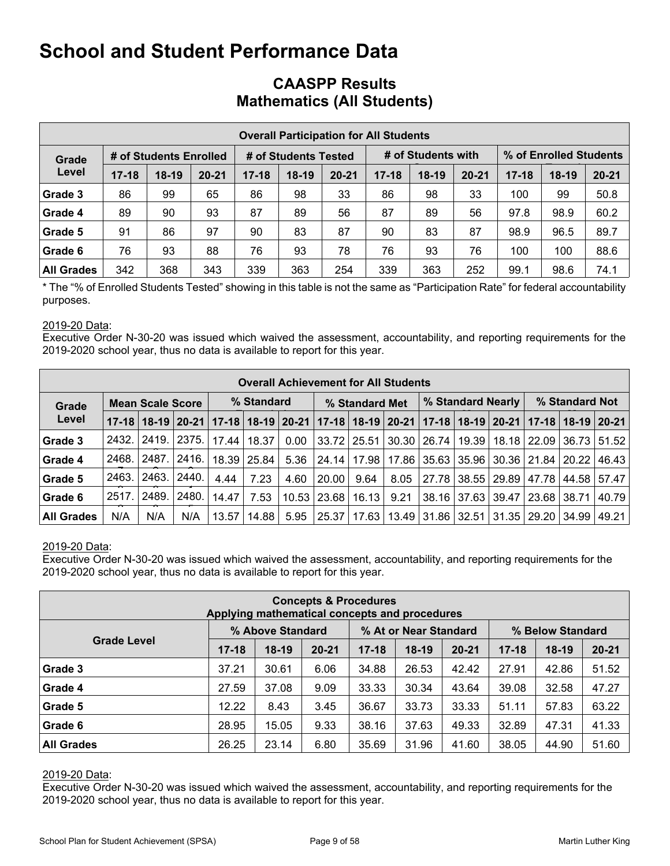|                   | <b>Overall Participation for All Students</b> |                        |           |           |                      |           |           |                    |           |                        |         |           |  |  |
|-------------------|-----------------------------------------------|------------------------|-----------|-----------|----------------------|-----------|-----------|--------------------|-----------|------------------------|---------|-----------|--|--|
| Grade             |                                               | # of Students Enrolled |           |           | # of Students Tested |           |           | # of Students with |           | % of Enrolled Students |         |           |  |  |
| Level             | $17 - 18$                                     | $18-19$                | $20 - 21$ | $17 - 18$ | $18-19$              | $20 - 21$ | $17 - 18$ | $18-19$            | $20 - 21$ | $17 - 18$              | $18-19$ | $20 - 21$ |  |  |
| Grade 3           | 86                                            | 99                     | 65        | 86        | 98                   | 33        | 86        | 98                 | 33        | 100                    | 99      | 50.8      |  |  |
| Grade 4           | 89                                            | 90                     | 93        | 87        | 89                   | 56        | 87        | 89                 | 56        | 97.8                   | 98.9    | 60.2      |  |  |
| Grade 5           | 91                                            | 86                     | 97        | 90        | 83                   | 87        | 90        | 83                 | 87        | 98.9                   | 96.5    | 89.7      |  |  |
| Grade 6           | 76                                            | 93                     | 88        | 76        | 93                   | 78        | 76        | 93                 | 76        | 100                    | 100     | 88.6      |  |  |
| <b>All Grades</b> | 342                                           | 368                    | 343       | 339       | 363                  | 254       | 339       | 363                | 252       | 99.1                   | 98.6    | 74.1      |  |  |

## **CAASPP Results Mathematics (All Students)**

\* The "% of Enrolled Students Tested" showing in this table is not the same as "Participation Rate" for federal accountability purposes.

#### 2019-20 Data:

Executive Order N-30-20 was issued which waived the assessment, accountability, and reporting requirements for the 2019-2020 school year, thus no data is available to report for this year.

|                   | <b>Overall Achievement for All Students</b> |                         |         |                                       |             |      |                      |                    |      |                               |  |                                                               |                |       |                                               |
|-------------------|---------------------------------------------|-------------------------|---------|---------------------------------------|-------------|------|----------------------|--------------------|------|-------------------------------|--|---------------------------------------------------------------|----------------|-------|-----------------------------------------------|
| Grade             |                                             | <b>Mean Scale Score</b> |         |                                       | % Standard  |      | % Standard Met       |                    |      |                               |  | % Standard Nearly                                             | % Standard Not |       |                                               |
| Level             | $17 - 18$                                   |                         |         | 18-19   20-21   17-18   18-19   20-21 |             |      | $ 17-18 18-19 20-21$ |                    |      |                               |  |                                                               |                |       | 17-18   18-19   20-21   17-18   18-19   20-21 |
| Grade 3           | 2432.                                       | 2419. I                 | 2375.1  | 17.44                                 | 18.37       | 0.00 |                      | $33.72 \mid 25.51$ |      | 30.30   26.74   19.39         |  |                                                               | 18.18   22.09  | 36.73 | 51.52                                         |
| Grade 4           | 2468.                                       | 2487.                   | 2416. l |                                       | 18.39 25.84 | 5.36 |                      |                    |      |                               |  | 24.14   17.98   17.86   35.63   35.96   30.36   21.84   20.22 |                |       | 46.43                                         |
| Grade 5           | 2463.                                       | 2463.                   | 2440.   | 4.44                                  | 7.23        | 4.60 | 20.00                | 9.64               | 8.05 | 27.78                         |  | 38.55   29.89                                                 | 47.78          | 44.58 | 57.47                                         |
| Grade 6           | 2517.                                       | 2489.                   | 2480.   | 14.47                                 | 7.53        |      | $10.53$   23.68      | 16.13              | 9.21 | 38.16                         |  | 37.63   39.47                                                 | 23.68 38.71    |       | 40.79                                         |
| <b>All Grades</b> | N/A                                         | N/A                     | N/A     | 13.57                                 | 14.88       | 5.95 | 25.37                |                    |      | 17.63   13.49   31.86   32.51 |  | 31.35                                                         | 29.20          | 34.99 | 49.21                                         |

#### 2019-20 Data:

Executive Order N-30-20 was issued which waived the assessment, accountability, and reporting requirements for the 2019-2020 school year, thus no data is available to report for this year.

| <b>Concepts &amp; Procedures</b><br>Applying mathematical concepts and procedures |           |                  |           |           |                       |           |           |                  |           |  |
|-----------------------------------------------------------------------------------|-----------|------------------|-----------|-----------|-----------------------|-----------|-----------|------------------|-----------|--|
|                                                                                   |           | % Above Standard |           |           | % At or Near Standard |           |           | % Below Standard |           |  |
| <b>Grade Level</b>                                                                | $17 - 18$ | $18-19$          | $20 - 21$ | $17 - 18$ | $18-19$               | $20 - 21$ | $17 - 18$ | $18-19$          | $20 - 21$ |  |
| Grade 3                                                                           | 37.21     | 30.61            | 6.06      | 34.88     | 26.53                 | 42.42     | 27.91     | 42.86            | 51.52     |  |
| Grade 4                                                                           | 27.59     | 37.08            | 9.09      | 33.33     | 30.34                 | 43.64     | 39.08     | 32.58            | 47.27     |  |
| Grade 5                                                                           | 12.22     | 8.43             | 3.45      | 36.67     | 33.73                 | 33.33     | 51.11     | 57.83            | 63.22     |  |
| Grade 6                                                                           | 28.95     | 15.05            | 9.33      | 38.16     | 37.63                 | 49.33     | 32.89     | 47.31            | 41.33     |  |
| <b>All Grades</b>                                                                 | 26.25     | 23.14            | 6.80      | 35.69     | 31.96                 | 41.60     | 38.05     | 44.90            | 51.60     |  |

#### 2019-20 Data: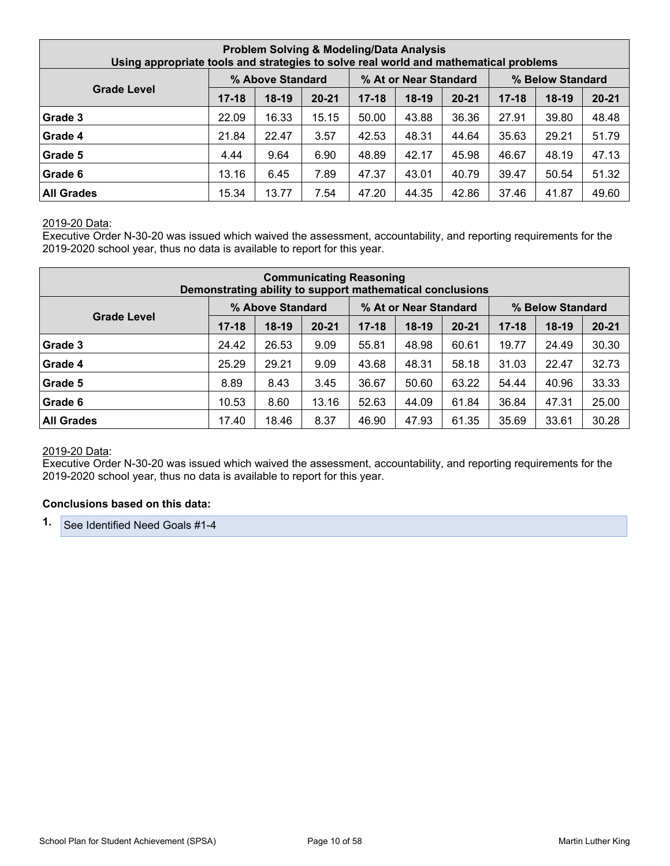| <b>Problem Solving &amp; Modeling/Data Analysis</b><br>Using appropriate tools and strategies to solve real world and mathematical problems |           |                  |           |           |                       |           |           |                  |           |  |
|---------------------------------------------------------------------------------------------------------------------------------------------|-----------|------------------|-----------|-----------|-----------------------|-----------|-----------|------------------|-----------|--|
|                                                                                                                                             |           | % Above Standard |           |           | % At or Near Standard |           |           | % Below Standard |           |  |
| <b>Grade Level</b>                                                                                                                          | $17 - 18$ | $18-19$          | $20 - 21$ | $17 - 18$ | $18-19$               | $20 - 21$ | $17 - 18$ | $18-19$          | $20 - 21$ |  |
| Grade 3                                                                                                                                     | 22.09     | 16.33            | 15.15     | 50.00     | 43.88                 | 36.36     | 27.91     | 39.80            | 48.48     |  |
| Grade 4                                                                                                                                     | 21.84     | 22.47            | 3.57      | 42.53     | 48.31                 | 44.64     | 35.63     | 29.21            | 51.79     |  |
| Grade 5                                                                                                                                     | 4.44      | 9.64             | 6.90      | 48.89     | 42.17                 | 45.98     | 46.67     | 48.19            | 47.13     |  |
| Grade 6                                                                                                                                     | 13.16     | 6.45             | 7.89      | 47.37     | 43.01                 | 40.79     | 39.47     | 50.54            | 51.32     |  |
| <b>All Grades</b>                                                                                                                           | 15.34     | 13.77            | 7.54      | 47.20     | 44.35                 | 42.86     | 37.46     | 41.87            | 49.60     |  |

Executive Order N-30-20 was issued which waived the assessment, accountability, and reporting requirements for the 2019-2020 school year, thus no data is available to report for this year.

| <b>Communicating Reasoning</b><br>Demonstrating ability to support mathematical conclusions |           |                  |           |           |                       |           |           |                  |           |  |
|---------------------------------------------------------------------------------------------|-----------|------------------|-----------|-----------|-----------------------|-----------|-----------|------------------|-----------|--|
|                                                                                             |           | % Above Standard |           |           | % At or Near Standard |           |           | % Below Standard |           |  |
| <b>Grade Level</b>                                                                          | $17 - 18$ | $18-19$          | $20 - 21$ | $17 - 18$ | $18-19$               | $20 - 21$ | $17 - 18$ | $18-19$          | $20 - 21$ |  |
| Grade 3                                                                                     | 24.42     | 26.53            | 9.09      | 55.81     | 48.98                 | 60.61     | 19.77     | 24.49            | 30.30     |  |
| Grade 4                                                                                     | 25.29     | 29.21            | 9.09      | 43.68     | 48.31                 | 58.18     | 31.03     | 22.47            | 32.73     |  |
| Grade 5                                                                                     | 8.89      | 8.43             | 3.45      | 36.67     | 50.60                 | 63.22     | 54.44     | 40.96            | 33.33     |  |
| Grade 6                                                                                     | 10.53     | 8.60             | 13.16     | 52.63     | 44.09                 | 61.84     | 36.84     | 47.31            | 25.00     |  |
| <b>All Grades</b>                                                                           | 17.40     | 18.46            | 8.37      | 46.90     | 47.93                 | 61.35     | 35.69     | 33.61            | 30.28     |  |

#### 2019-20 Data:

Executive Order N-30-20 was issued which waived the assessment, accountability, and reporting requirements for the 2019-2020 school year, thus no data is available to report for this year.

#### **Conclusions based on this data:**

**1.** See Identified Need Goals #1-4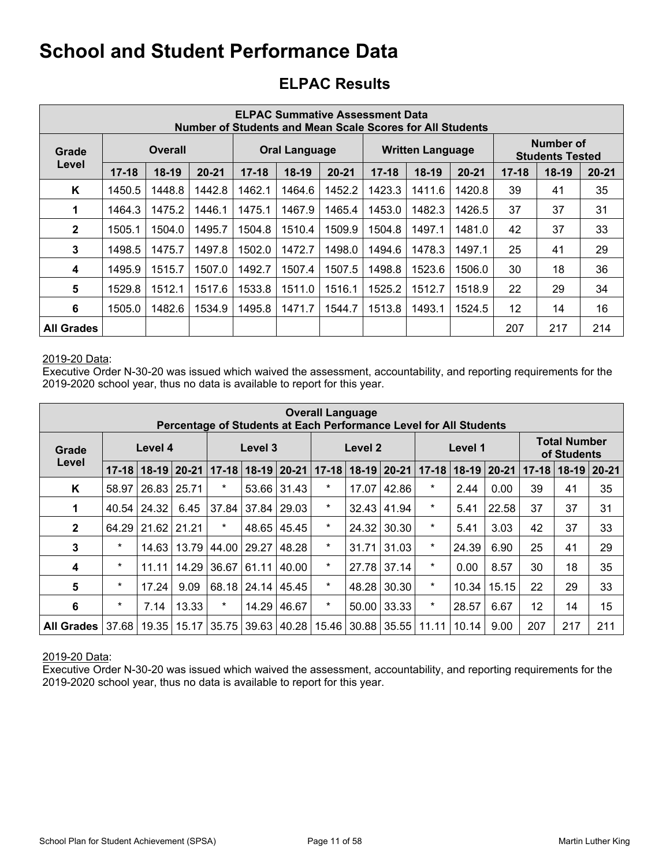## **ELPAC Results**

| <b>ELPAC Summative Assessment Data</b><br>Number of Students and Mean Scale Scores for All Students |           |         |           |           |                      |           |           |                         |           |           |                                            |           |
|-----------------------------------------------------------------------------------------------------|-----------|---------|-----------|-----------|----------------------|-----------|-----------|-------------------------|-----------|-----------|--------------------------------------------|-----------|
| Grade                                                                                               |           | Overall |           |           | <b>Oral Language</b> |           |           | <b>Written Language</b> |           |           | <b>Number of</b><br><b>Students Tested</b> |           |
| Level                                                                                               | $17 - 18$ | $18-19$ | $20 - 21$ | $17 - 18$ | $18-19$              | $20 - 21$ | $17 - 18$ | $18-19$                 | $20 - 21$ | $17 - 18$ | $18-19$                                    | $20 - 21$ |
| Κ                                                                                                   | 1450.5    | 1448.8  | 1442.8    | 1462.1    | 1464.6               | 1452.2    | 1423.3    | 1411.6                  | 1420.8    | 39        | 41                                         | 35        |
| 1                                                                                                   | 1464.3    | 1475.2  | 1446.1    | 1475.1    | 1467.9               | 1465.4    | 1453.0    | 1482.3                  | 1426.5    | 37        | 37                                         | 31        |
| $\mathbf{2}$                                                                                        | 1505.1    | 1504.0  | 1495.7    | 1504.8    | 1510.4               | 1509.9    | 1504.8    | 1497.1                  | 1481.0    | 42        | 37                                         | 33        |
| 3                                                                                                   | 1498.5    | 1475.7  | 1497.8    | 1502.0    | 1472.7               | 1498.0    | 1494.6    | 1478.3                  | 1497.1    | 25        | 41                                         | 29        |
| 4                                                                                                   | 1495.9    | 1515.7  | 1507.0    | 1492.7    | 1507.4               | 1507.5    | 1498.8    | 1523.6                  | 1506.0    | 30        | 18                                         | 36        |
| 5                                                                                                   | 1529.8    | 1512.1  | 1517.6    | 1533.8    | 1511.0               | 1516.1    | 1525.2    | 1512.7                  | 1518.9    | 22        | 29                                         | 34        |
| 6                                                                                                   | 1505.0    | 1482.6  | 1534.9    | 1495.8    | 1471.7               | 1544.7    | 1513.8    | 1493.1                  | 1524.5    | 12        | 14                                         | 16        |
| <b>All Grades</b>                                                                                   |           |         |           |           |                      |           |           |                         |           | 207       | 217                                        | 214       |

#### 2019-20 Data:

Executive Order N-30-20 was issued which waived the assessment, accountability, and reporting requirements for the 2019-2020 school year, thus no data is available to report for this year.

| <b>Overall Language</b><br>Percentage of Students at Each Performance Level for All Students |           |                 |               |           |             |               |         |                                                        |       |         |         |       |           |                                    |          |
|----------------------------------------------------------------------------------------------|-----------|-----------------|---------------|-----------|-------------|---------------|---------|--------------------------------------------------------|-------|---------|---------|-------|-----------|------------------------------------|----------|
| Grade                                                                                        |           | Level 4         |               |           | Level 3     |               |         | Level <sub>2</sub>                                     |       |         | Level 1 |       |           | <b>Total Number</b><br>of Students |          |
| Level                                                                                        | $17 - 18$ |                 | $18-19$ 20-21 | $17 - 18$ | 18-19 20-21 |               |         | $17 - 18$<br>$18-19$ 20-21<br>18-19 20-21<br>$17 - 18$ |       |         |         |       | $17 - 18$ | $18-19$                            | $ 20-21$ |
| Κ                                                                                            | 58.97     | $26.83$ $25.71$ |               | $\ast$    |             | $53.66$ 31.43 | $\star$ | 17.07                                                  | 42.86 | $\star$ | 2.44    | 0.00  | 39        | 41                                 | 35       |
| 1                                                                                            | 40.54     | 24.32           | 6.45          | 37.84     | 37.84       | 29.03         | $\ast$  | 32.43                                                  | 41.94 | $\ast$  | 5.41    | 22.58 | 37        | 37                                 | 31       |
| $\overline{2}$                                                                               | 64.29     | 21.62           | 21.21         | $\ast$    | 48.65       | 45.45         | $\ast$  | 24.32                                                  | 30.30 | $\star$ | 5.41    | 3.03  | 42        | 37                                 | 33       |
| 3                                                                                            | $\star$   | 14.63           | 13.79         | 44.00     | 29.27       | 48.28         | $\star$ | 31.71                                                  | 31.03 | $\star$ | 24.39   | 6.90  | 25        | 41                                 | 29       |
| 4                                                                                            | $\star$   | 11.11           | 14.29         | 36.67     | 61.11       | 40.00         | $\star$ | 27.78                                                  | 37.14 | $\star$ | 0.00    | 8.57  | 30        | 18                                 | 35       |
| 5                                                                                            | $\star$   | 17.24           | 9.09          | 68.18     |             | 24.14 45.45   | $\star$ | 48.28                                                  | 30.30 | $\star$ | 10.34   | 15.15 | 22        | 29                                 | 33       |
| 6                                                                                            | $\star$   | 7.14            | 13.33         | $\ast$    | 14.29       | 46.67         | $\star$ | 50.00                                                  | 33.33 | $\star$ | 28.57   | 6.67  | 12        | 14                                 | 15       |
| <b>All Grades</b>                                                                            | 37.68     | 19.35           | 15.17         | 35.75     | 39.63       | 40.28         | 15.46   | 30.88                                                  | 35.55 | 11.11   | 10.14   | 9.00  | 207       | 217                                | 211      |

2019-20 Data: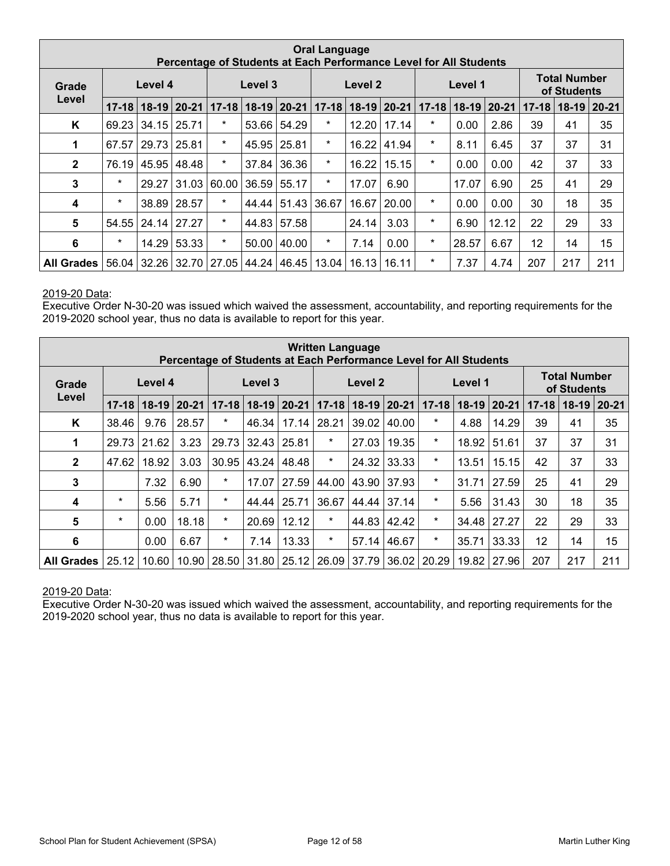|                   | <b>Oral Language</b><br>Percentage of Students at Each Performance Level for All Students |         |               |           |             |             |                                                    |         |       |         |         |                 |           |                                    |          |
|-------------------|-------------------------------------------------------------------------------------------|---------|---------------|-----------|-------------|-------------|----------------------------------------------------|---------|-------|---------|---------|-----------------|-----------|------------------------------------|----------|
| Grade             |                                                                                           | Level 4 |               |           | Level 3     |             |                                                    | Level 2 |       |         | Level 1 |                 |           | <b>Total Number</b><br>of Students |          |
| Level             | $17 - 18$                                                                                 |         | $18-19$ 20-21 | $17 - 18$ | 18-19 20-21 |             | $17 - 18$<br>$18 - 19$<br>$ 20 - 21 $<br>$17 - 18$ |         |       |         |         | $18-19$   20-21 | $17 - 18$ | $18-19$                            | $ 20-21$ |
| K                 | 69.23                                                                                     | 34.15   | 25.71         | $\ast$    |             | 53.66 54.29 | $\star$                                            | 12.20   | 17.14 | $\ast$  | 0.00    | 2.86            | 39        | 41                                 | 35       |
| 1                 | 67.57                                                                                     | 29.73   | 25.81         | $\star$   | 45.95       | 25.81       | $\star$                                            | 16.22   | 41.94 | $\star$ | 8.11    | 6.45            | 37        | 37                                 | 31       |
| $\mathbf{2}$      | 76.19                                                                                     | 45.95   | 48.48         | $\star$   | 37.84       | 36.36       | $\star$                                            | 16.22   | 15.15 | $\star$ | 0.00    | 0.00            | 42        | 37                                 | 33       |
| 3                 | $\star$                                                                                   | 29.27   | 31.03         | 60.00     | 36.59       | 55.17       | $\ast$                                             | 17.07   | 6.90  |         | 17.07   | 6.90            | 25        | 41                                 | 29       |
| 4                 | $\star$                                                                                   | 38.89   | 28.57         | $\ast$    | 44.44       | 51.43       | 36.67                                              | 16.67   | 20.00 | $\star$ | 0.00    | 0.00            | 30        | 18                                 | 35       |
| $5\phantom{1}$    | 54.55                                                                                     | 24.14   | 27.27         | $\star$   | 44.83       | 57.58       |                                                    | 24.14   | 3.03  | $\star$ | 6.90    | 12.12           | 22        | 29                                 | 33       |
| 6                 | $\star$                                                                                   | 14.29   | 53.33         | $\ast$    | 50.00       | 40.00       | $\star$                                            | 7.14    | 0.00  | $\star$ | 28.57   | 6.67            | 12        | 14                                 | 15       |
| <b>All Grades</b> | 56.04                                                                                     | 32.26   | 32.70         | 27.05     | 44.24       | 46.45       | 13.04                                              | 16.13   | 16.11 | $\star$ | 7.37    | 4.74            | 207       | 217                                | 211      |

Executive Order N-30-20 was issued which waived the assessment, accountability, and reporting requirements for the 2019-2020 school year, thus no data is available to report for this year.

| <b>Written Language</b><br>Percentage of Students at Each Performance Level for All Students |           |         |           |           |           |           |                                                          |                    |       |         |         |           |         |                                    |     |
|----------------------------------------------------------------------------------------------|-----------|---------|-----------|-----------|-----------|-----------|----------------------------------------------------------|--------------------|-------|---------|---------|-----------|---------|------------------------------------|-----|
| Grade                                                                                        |           | Level 4 |           |           | Level 3   |           |                                                          | Level <sub>2</sub> |       |         | Level 1 |           |         | <b>Total Number</b><br>of Students |     |
| Level                                                                                        | $17 - 18$ | $18-19$ | $20 - 21$ | $17 - 18$ | $18 - 19$ | $20 - 21$ | $18-19$ 20-21<br>$17 - 18$<br>$17 - 18$<br>$18-19$ 20-21 |                    |       |         |         | $17 - 18$ | $18-19$ | $20 - 21$                          |     |
| K                                                                                            | 38.46     | 9.76    | 28.57     | $\star$   | 46.34     | 17.14     | 28.21                                                    | 39.02              | 40.00 | $\star$ | 4.88    | 14.29     | 39      | 41                                 | 35  |
| 1                                                                                            | 29.73     | 21.62   | 3.23      | 29.73     | 32.43     | 25.81     | $\ast$                                                   | 27.03              | 19.35 | $\star$ | 18.92   | 51.61     | 37      | 37                                 | 31  |
| $\mathbf{2}$                                                                                 | 47.62     | 18.92   | 3.03      | 30.95     | 43.24     | 48.48     | $\ast$                                                   | 24.32              | 33.33 | $\star$ | 13.51   | 15.15     | 42      | 37                                 | 33  |
| 3                                                                                            |           | 7.32    | 6.90      | $\star$   | 17.07     | 27.59     | 44.00                                                    | 43.90              | 37.93 | $\star$ | 31.71   | 27.59     | 25      | 41                                 | 29  |
| $\overline{\mathbf{4}}$                                                                      | $\star$   | 5.56    | 5.71      | $\ast$    | 44.44     | 25.71     | 36.67                                                    | 44.44              | 37.14 | $\star$ | 5.56    | 31.43     | 30      | 18                                 | 35  |
| $5\phantom{1}$                                                                               | $\star$   | 0.00    | 18.18     | $\star$   | 20.69     | 12.12     | $\ast$                                                   | 44.83              | 42.42 | $\star$ | 34.48   | 27.27     | 22      | 29                                 | 33  |
| 6                                                                                            |           | 0.00    | 6.67      | $\star$   | 7.14      | 13.33     | $\star$                                                  | 57.14              | 46.67 | $\star$ | 35.71   | 33.33     | 12      | 14                                 | 15  |
| All Grades                                                                                   | 25.12     | 10.60   | 10.90     | 28.50     | 31.80     | 25.12     | 26.09                                                    | 37.79              | 36.02 | 20.29   | 19.82   | 27.96     | 207     | 217                                | 211 |

#### 2019-20 Data: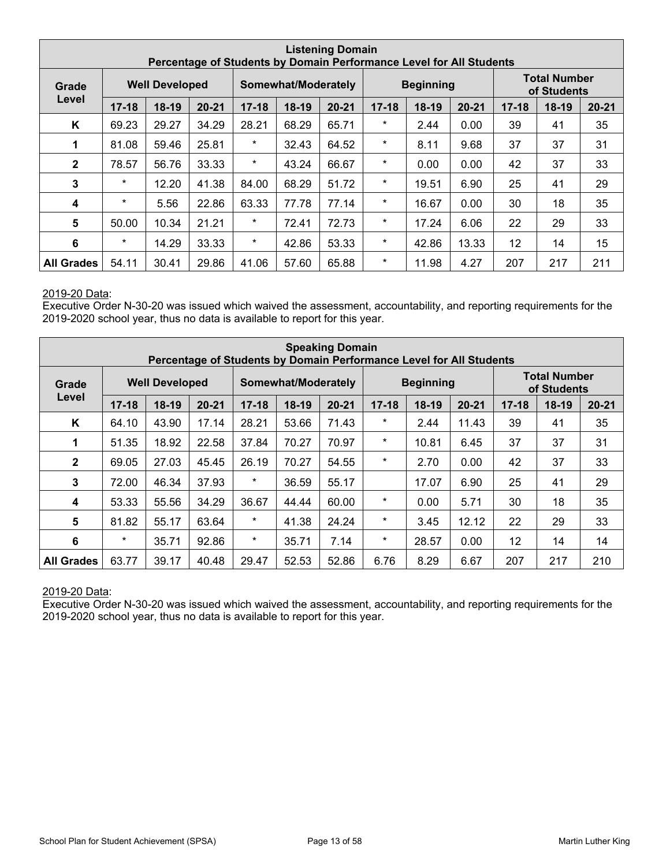|                   | <b>Listening Domain</b><br>Percentage of Students by Domain Performance Level for All Students |                       |           |           |                                              |       |          |                  |           |           |                                    |           |
|-------------------|------------------------------------------------------------------------------------------------|-----------------------|-----------|-----------|----------------------------------------------|-------|----------|------------------|-----------|-----------|------------------------------------|-----------|
| Grade             |                                                                                                | <b>Well Developed</b> |           |           | Somewhat/Moderately                          |       |          | <b>Beginning</b> |           |           | <b>Total Number</b><br>of Students |           |
| Level             | $17 - 18$                                                                                      | $18-19$               | $20 - 21$ | $17 - 18$ | $18-19$<br>$20 - 21$<br>$17 - 18$<br>$18-19$ |       |          |                  | $20 - 21$ | $17 - 18$ | $18-19$                            | $20 - 21$ |
| Κ                 | 69.23                                                                                          | 29.27                 | 34.29     | 28.21     | 68.29                                        | 65.71 | $\ast$   | 2.44             | 0.00      | 39        | 41                                 | 35        |
| 1                 | 81.08                                                                                          | 59.46                 | 25.81     | $\star$   | 32.43                                        | 64.52 | $\ast$   | 8.11             | 9.68      | 37        | 37                                 | 31        |
| $\mathbf{2}$      | 78.57                                                                                          | 56.76                 | 33.33     | $\star$   | 43.24                                        | 66.67 | $\star$  | 0.00             | 0.00      | 42        | 37                                 | 33        |
| 3                 | $\star$                                                                                        | 12.20                 | 41.38     | 84.00     | 68.29                                        | 51.72 | $^\star$ | 19.51            | 6.90      | 25        | 41                                 | 29        |
| 4                 | $\ast$                                                                                         | 5.56                  | 22.86     | 63.33     | 77.78                                        | 77.14 | $\ast$   | 16.67            | 0.00      | 30        | 18                                 | 35        |
| $5\phantom{1}$    | 50.00                                                                                          | 10.34                 | 21.21     | $\star$   | 72.41                                        | 72.73 | $^\star$ | 17.24            | 6.06      | 22        | 29                                 | 33        |
| 6                 | $\star$                                                                                        | 14.29                 | 33.33     | $\star$   | 42.86                                        | 53.33 | $\star$  | 42.86            | 13.33     | 12        | 14                                 | 15        |
| <b>All Grades</b> | 54.11                                                                                          | 30.41                 | 29.86     | 41.06     | 57.60                                        | 65.88 | $\ast$   | 11.98            | 4.27      | 207       | 217                                | 211       |

Executive Order N-30-20 was issued which waived the assessment, accountability, and reporting requirements for the 2019-2020 school year, thus no data is available to report for this year.

| <b>Speaking Domain</b><br>Percentage of Students by Domain Performance Level for All Students |           |                       |           |           |                                                           |       |         |                  |       |           |                                    |           |
|-----------------------------------------------------------------------------------------------|-----------|-----------------------|-----------|-----------|-----------------------------------------------------------|-------|---------|------------------|-------|-----------|------------------------------------|-----------|
| Grade                                                                                         |           | <b>Well Developed</b> |           |           | Somewhat/Moderately                                       |       |         | <b>Beginning</b> |       |           | <b>Total Number</b><br>of Students |           |
| Level                                                                                         | $17 - 18$ | $18-19$               | $20 - 21$ | $17 - 18$ | $18-19$<br>$17 - 18$<br>$20 - 21$<br>$20 - 21$<br>$18-19$ |       |         |                  |       | $17 - 18$ | $18-19$                            | $20 - 21$ |
| K                                                                                             | 64.10     | 43.90                 | 17.14     | 28.21     | 53.66                                                     | 71.43 | $\star$ | 2.44             | 11.43 | 39        | 41                                 | 35        |
| 1                                                                                             | 51.35     | 18.92                 | 22.58     | 37.84     | 70.27                                                     | 70.97 | $\ast$  | 10.81            | 6.45  | 37        | 37                                 | 31        |
| $\mathbf{2}$                                                                                  | 69.05     | 27.03                 | 45.45     | 26.19     | 70.27                                                     | 54.55 | $\ast$  | 2.70             | 0.00  | 42        | 37                                 | 33        |
| 3                                                                                             | 72.00     | 46.34                 | 37.93     | $\star$   | 36.59                                                     | 55.17 |         | 17.07            | 6.90  | 25        | 41                                 | 29        |
| 4                                                                                             | 53.33     | 55.56                 | 34.29     | 36.67     | 44.44                                                     | 60.00 | $\star$ | 0.00             | 5.71  | 30        | 18                                 | 35        |
| 5                                                                                             | 81.82     | 55.17                 | 63.64     | $\star$   | 41.38                                                     | 24.24 | $\star$ | 3.45             | 12.12 | 22        | 29                                 | 33        |
| $6\phantom{1}6$                                                                               | $\star$   | 35.71                 | 92.86     | $\star$   | 35.71                                                     | 7.14  | $\star$ | 28.57            | 0.00  | 12        | 14                                 | 14        |
| <b>All Grades</b>                                                                             | 63.77     | 39.17                 | 40.48     | 29.47     | 52.53                                                     | 52.86 | 6.76    | 8.29             | 6.67  | 207       | 217                                | 210       |

#### 2019-20 Data: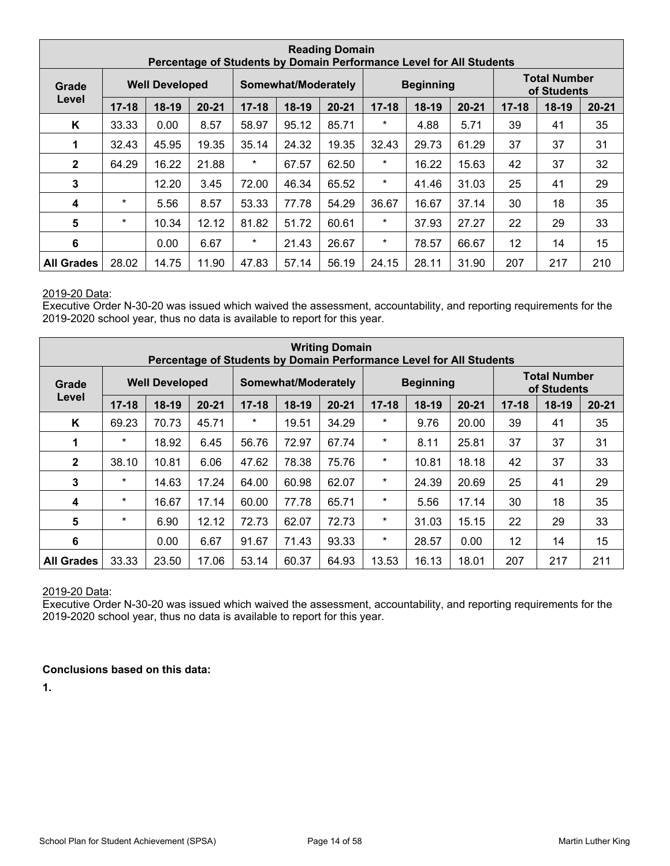| <b>Reading Domain</b><br>Percentage of Students by Domain Performance Level for All Students |           |                       |           |           |                                                       |       |          |                  |           |         |                                    |     |
|----------------------------------------------------------------------------------------------|-----------|-----------------------|-----------|-----------|-------------------------------------------------------|-------|----------|------------------|-----------|---------|------------------------------------|-----|
| Grade                                                                                        |           | <b>Well Developed</b> |           |           | Somewhat/Moderately                                   |       |          | <b>Beginning</b> |           |         | <b>Total Number</b><br>of Students |     |
| Level                                                                                        | $17 - 18$ | $18-19$               | $20 - 21$ | $17 - 18$ | 18-19<br>18-19<br>$20 - 21$<br>$17 - 18$<br>$20 - 21$ |       |          |                  | $17 - 18$ | $18-19$ | $20 - 21$                          |     |
| K                                                                                            | 33.33     | 0.00                  | 8.57      | 58.97     | 95.12                                                 | 85.71 | $\ast$   | 4.88             | 5.71      | 39      | 41                                 | 35  |
| 1                                                                                            | 32.43     | 45.95                 | 19.35     | 35.14     | 24.32                                                 | 19.35 | 32.43    | 29.73            | 61.29     | 37      | 37                                 | 31  |
| $\mathbf{2}$                                                                                 | 64.29     | 16.22                 | 21.88     | $\star$   | 67.57                                                 | 62.50 | $\star$  | 16.22            | 15.63     | 42      | 37                                 | 32  |
| 3                                                                                            |           | 12.20                 | 3.45      | 72.00     | 46.34                                                 | 65.52 | $\star$  | 41.46            | 31.03     | 25      | 41                                 | 29  |
| 4                                                                                            | $\star$   | 5.56                  | 8.57      | 53.33     | 77.78                                                 | 54.29 | 36.67    | 16.67            | 37.14     | 30      | 18                                 | 35  |
| $5\phantom{1}$                                                                               | $\star$   | 10.34                 | 12.12     | 81.82     | 51.72                                                 | 60.61 | $\ast$   | 37.93            | 27.27     | 22      | 29                                 | 33  |
| 6                                                                                            |           | 0.00                  | 6.67      | $\star$   | 21.43                                                 | 26.67 | $^\star$ | 78.57            | 66.67     | 12      | 14                                 | 15  |
| <b>All Grades</b>                                                                            | 28.02     | 14.75                 | 11.90     | 47.83     | 57.14                                                 | 56.19 | 24.15    | 28.11            | 31.90     | 207     | 217                                | 210 |

Executive Order N-30-20 was issued which waived the assessment, accountability, and reporting requirements for the 2019-2020 school year, thus no data is available to report for this year.

| <b>Writing Domain</b><br>Percentage of Students by Domain Performance Level for All Students |           |                       |           |           |                                                           |       |         |                  |           |         |                                    |     |
|----------------------------------------------------------------------------------------------|-----------|-----------------------|-----------|-----------|-----------------------------------------------------------|-------|---------|------------------|-----------|---------|------------------------------------|-----|
| Grade                                                                                        |           | <b>Well Developed</b> |           |           | Somewhat/Moderately                                       |       |         | <b>Beginning</b> |           |         | <b>Total Number</b><br>of Students |     |
| Level                                                                                        | $17 - 18$ | $18-19$               | $20 - 21$ | $17 - 18$ | $18-19$<br>$20 - 21$<br>$17 - 18$<br>$18-19$<br>$20 - 21$ |       |         |                  | $17 - 18$ | $18-19$ | $20 - 21$                          |     |
| K                                                                                            | 69.23     | 70.73                 | 45.71     | $\star$   | 19.51                                                     | 34.29 | $\star$ | 9.76             | 20.00     | 39      | 41                                 | 35  |
| 1                                                                                            | $\ast$    | 18.92                 | 6.45      | 56.76     | 72.97                                                     | 67.74 | $\ast$  | 8.11             | 25.81     | 37      | 37                                 | 31  |
| $\mathbf{2}$                                                                                 | 38.10     | 10.81                 | 6.06      | 47.62     | 78.38                                                     | 75.76 | $\star$ | 10.81            | 18.18     | 42      | 37                                 | 33  |
| $\mathbf{3}$                                                                                 | $\star$   | 14.63                 | 17.24     | 64.00     | 60.98                                                     | 62.07 | $\star$ | 24.39            | 20.69     | 25      | 41                                 | 29  |
| $\overline{\mathbf{4}}$                                                                      | $\ast$    | 16.67                 | 17.14     | 60.00     | 77.78                                                     | 65.71 | $\star$ | 5.56             | 17.14     | 30      | 18                                 | 35  |
| $5\phantom{1}$                                                                               | $\ast$    | 6.90                  | 12.12     | 72.73     | 62.07                                                     | 72.73 | $\star$ | 31.03            | 15.15     | 22      | 29                                 | 33  |
| 6                                                                                            |           | 0.00                  | 6.67      | 91.67     | 71.43                                                     | 93.33 | $\star$ | 28.57            | 0.00      | 12      | 14                                 | 15  |
| <b>All Grades</b>                                                                            | 33.33     | 23.50                 | 17.06     | 53.14     | 60.37                                                     | 64.93 | 13.53   | 16.13            | 18.01     | 207     | 217                                | 211 |

#### 2019-20 Data:

Executive Order N-30-20 was issued which waived the assessment, accountability, and reporting requirements for the 2019-2020 school year, thus no data is available to report for this year.

#### **Conclusions based on this data:**

**1.**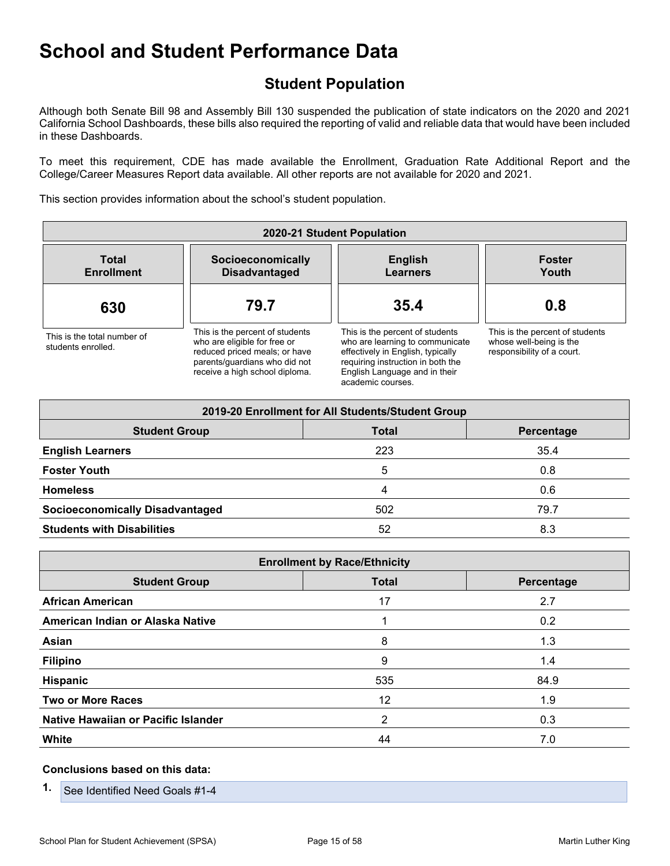## **Student Population**

Although both Senate Bill 98 and Assembly Bill 130 suspended the publication of state indicators on the 2020 and 2021 California School Dashboards, these bills also required the reporting of valid and reliable data that would have been included in these Dashboards.

To meet this requirement, CDE has made available the Enrollment, Graduation Rate Additional Report and the College/Career Measures Report data available. All other reports are not available for 2020 and 2021.

This section provides information about the school's student population.

| 2020-21 Student Population                        |                                                                                                                                                                     |                                                                                                                                                                                                    |                                                                                          |  |  |  |  |  |  |  |
|---------------------------------------------------|---------------------------------------------------------------------------------------------------------------------------------------------------------------------|----------------------------------------------------------------------------------------------------------------------------------------------------------------------------------------------------|------------------------------------------------------------------------------------------|--|--|--|--|--|--|--|
| <b>Total</b><br><b>Enrollment</b>                 | Socioeconomically<br><b>Disadvantaged</b>                                                                                                                           | <b>English</b><br><b>Learners</b>                                                                                                                                                                  | <b>Foster</b><br>Youth                                                                   |  |  |  |  |  |  |  |
| 630                                               | 79.7                                                                                                                                                                | 35.4                                                                                                                                                                                               | 0.8                                                                                      |  |  |  |  |  |  |  |
| This is the total number of<br>students enrolled. | This is the percent of students<br>who are eligible for free or<br>reduced priced meals; or have<br>parents/guardians who did not<br>receive a high school diploma. | This is the percent of students<br>who are learning to communicate<br>effectively in English, typically<br>requiring instruction in both the<br>English Language and in their<br>academic courses. | This is the percent of students<br>whose well-being is the<br>responsibility of a court. |  |  |  |  |  |  |  |

| 2019-20 Enrollment for All Students/Student Group |              |            |
|---------------------------------------------------|--------------|------------|
| <b>Student Group</b>                              | <b>Total</b> | Percentage |
| <b>English Learners</b>                           | 223          | 35.4       |
| <b>Foster Youth</b>                               | 5            | 0.8        |
| <b>Homeless</b>                                   | 4            | 0.6        |
| <b>Socioeconomically Disadvantaged</b>            | 502          | 79.7       |
| <b>Students with Disabilities</b>                 | 52           | 8.3        |

| <b>Enrollment by Race/Ethnicity</b> |              |            |
|-------------------------------------|--------------|------------|
| <b>Student Group</b>                | <b>Total</b> | Percentage |
| <b>African American</b>             | 17           | 2.7        |
| American Indian or Alaska Native    |              | 0.2        |
| Asian                               | 8            | 1.3        |
| <b>Filipino</b>                     | 9            | 1.4        |
| Hispanic                            | 535          | 84.9       |
| <b>Two or More Races</b>            | 12           | 1.9        |
| Native Hawaiian or Pacific Islander | 2            | 0.3        |
| <b>White</b>                        | 44           | 7.0        |

#### **Conclusions based on this data:**

**1.** See Identified Need Goals #1-4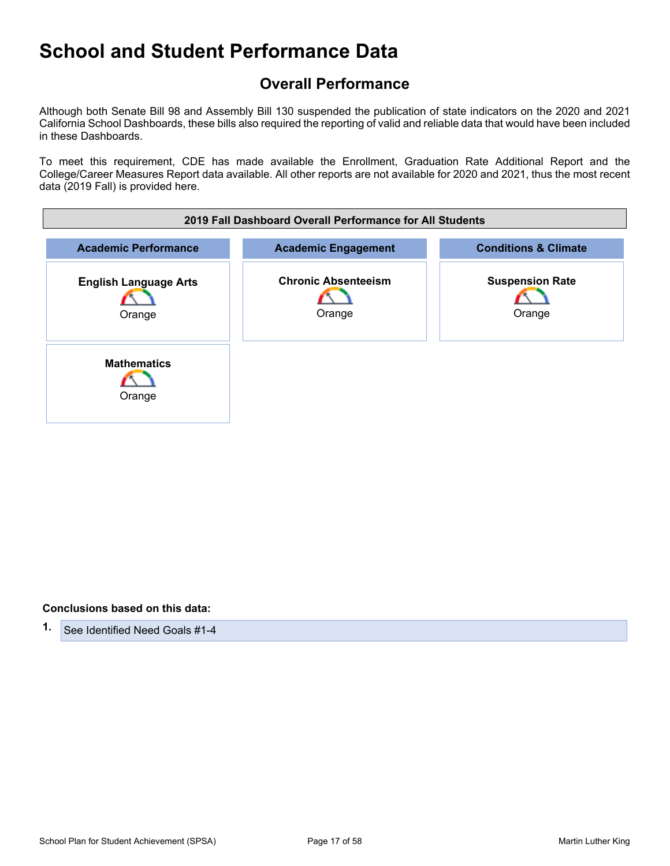## **Overall Performance**

Although both Senate Bill 98 and Assembly Bill 130 suspended the publication of state indicators on the 2020 and 2021 California School Dashboards, these bills also required the reporting of valid and reliable data that would have been included in these Dashboards.

To meet this requirement, CDE has made available the Enrollment, Graduation Rate Additional Report and the College/Career Measures Report data available. All other reports are not available for 2020 and 2021, thus the most recent data (2019 Fall) is provided here.

| 2019 Fall Dashboard Overall Performance for All Students |                                      |                                  |
|----------------------------------------------------------|--------------------------------------|----------------------------------|
| <b>Academic Performance</b>                              | <b>Academic Engagement</b>           | <b>Conditions &amp; Climate</b>  |
| <b>English Language Arts</b><br>Orange                   | <b>Chronic Absenteeism</b><br>Orange | <b>Suspension Rate</b><br>Orange |
| <b>Mathematics</b><br>Orange                             |                                      |                                  |

#### **Conclusions based on this data:**

**1.** See Identified Need Goals #1-4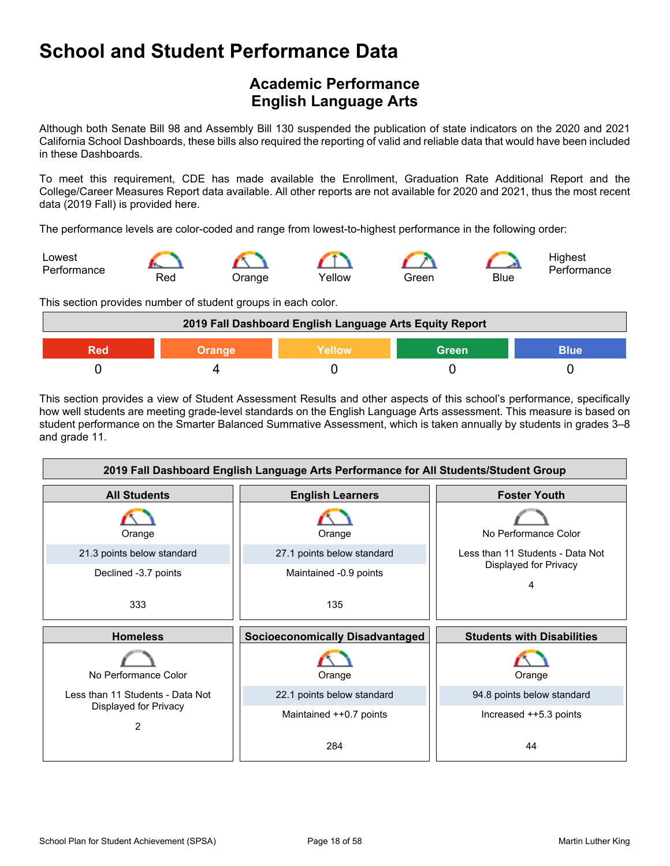## **Academic Performance English Language Arts**

Although both Senate Bill 98 and Assembly Bill 130 suspended the publication of state indicators on the 2020 and 2021 California School Dashboards, these bills also required the reporting of valid and reliable data that would have been included in these Dashboards.

To meet this requirement, CDE has made available the Enrollment, Graduation Rate Additional Report and the College/Career Measures Report data available. All other reports are not available for 2020 and 2021, thus the most recent data (2019 Fall) is provided here.

The performance levels are color-coded and range from lowest-to-highest performance in the following order:



This section provides number of student groups in each color.

| 2019 Fall Dashboard English Language Arts Equity Report |               |        |              |      |
|---------------------------------------------------------|---------------|--------|--------------|------|
| Red                                                     | <b>Orange</b> | Yellow | <b>Green</b> | Blue |
|                                                         |               |        |              |      |

This section provides a view of Student Assessment Results and other aspects of this school's performance, specifically how well students are meeting grade-level standards on the English Language Arts assessment. This measure is based on student performance on the Smarter Balanced Summative Assessment, which is taken annually by students in grades 3–8 and grade 11.

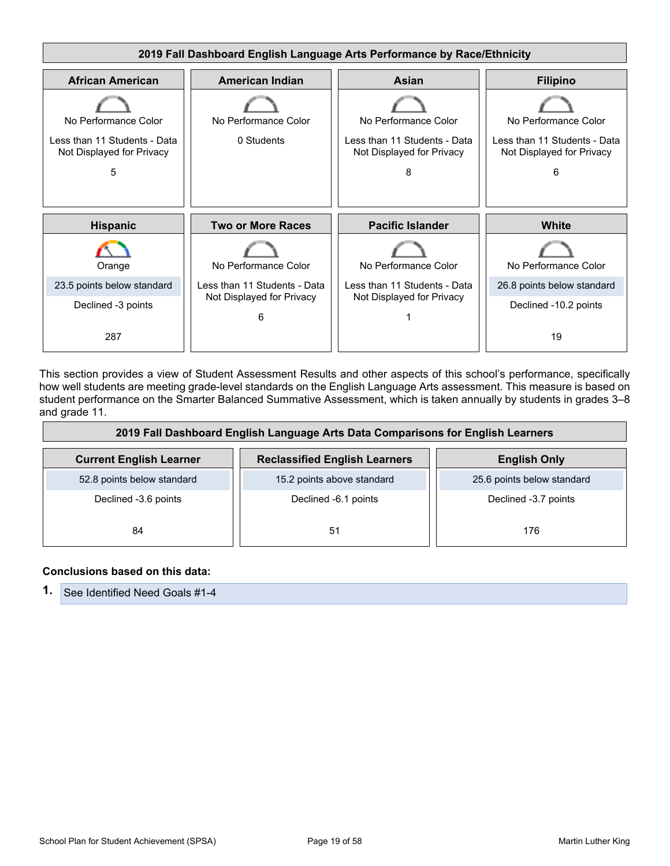

This section provides a view of Student Assessment Results and other aspects of this school's performance, specifically how well students are meeting grade-level standards on the English Language Arts assessment. This measure is based on student performance on the Smarter Balanced Summative Assessment, which is taken annually by students in grades 3–8 and grade 11.

| 2019 Fall Dashboard English Language Arts Data Comparisons for English Learners |                                      |                            |
|---------------------------------------------------------------------------------|--------------------------------------|----------------------------|
| <b>Current English Learner</b>                                                  | <b>Reclassified English Learners</b> | <b>English Only</b>        |
| 52.8 points below standard                                                      | 15.2 points above standard           | 25.6 points below standard |
| Declined -3.6 points                                                            | Declined -6.1 points                 | Declined -3.7 points       |
| 84                                                                              | 51                                   | 176                        |

#### **Conclusions based on this data:**

|  | <b>1.</b> See Identified Need Goals #1-4 |
|--|------------------------------------------|
|--|------------------------------------------|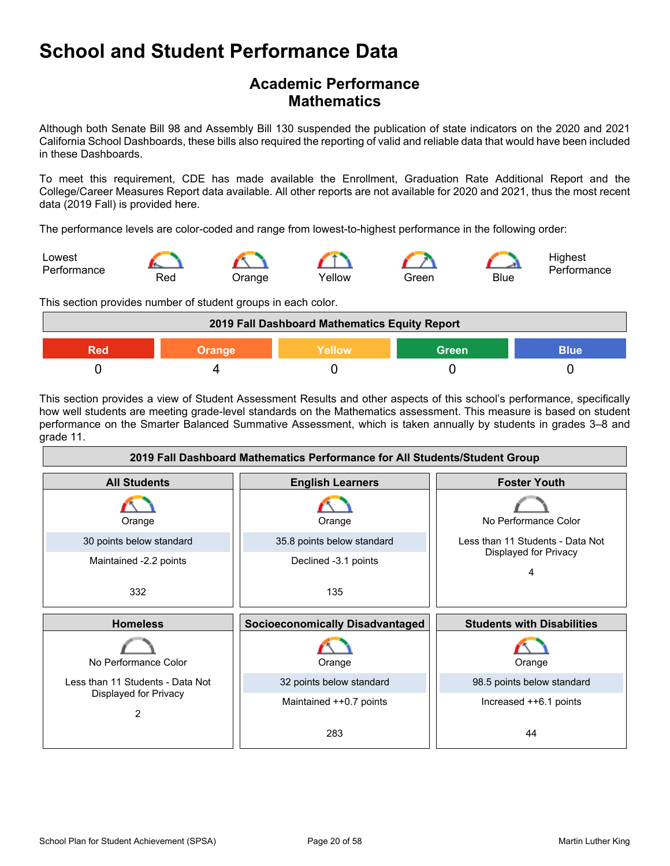## **Academic Performance Mathematics**

Although both Senate Bill 98 and Assembly Bill 130 suspended the publication of state indicators on the 2020 and 2021 California School Dashboards, these bills also required the reporting of valid and reliable data that would have been included in these Dashboards.

To meet this requirement, CDE has made available the Enrollment, Graduation Rate Additional Report and the College/Career Measures Report data available. All other reports are not available for 2020 and 2021, thus the most recent data (2019 Fall) is provided here.

The performance levels are color-coded and range from lowest-to-highest performance in the following order:



This section provides number of student groups in each color.



This section provides a view of Student Assessment Results and other aspects of this school's performance, specifically how well students are meeting grade-level standards on the Mathematics assessment. This measure is based on student performance on the Smarter Balanced Summative Assessment, which is taken annually by students in grades 3–8 and grade 11.

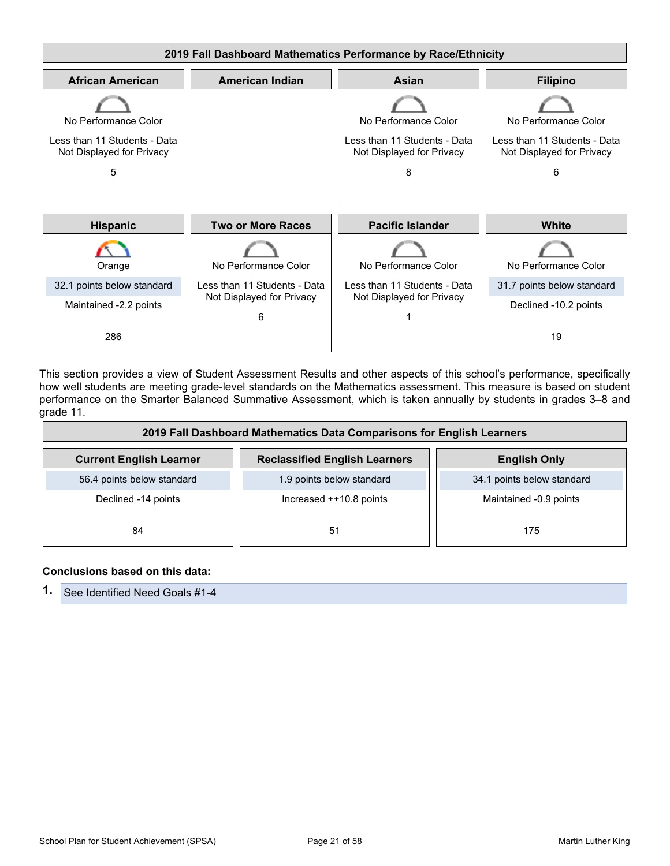

This section provides a view of Student Assessment Results and other aspects of this school's performance, specifically how well students are meeting grade-level standards on the Mathematics assessment. This measure is based on student performance on the Smarter Balanced Summative Assessment, which is taken annually by students in grades 3–8 and grade 11.

| 2019 Fall Dashboard Mathematics Data Comparisons for English Learners |                                      |                            |
|-----------------------------------------------------------------------|--------------------------------------|----------------------------|
| <b>Current English Learner</b>                                        | <b>Reclassified English Learners</b> | <b>English Only</b>        |
| 56.4 points below standard                                            | 1.9 points below standard            | 34.1 points below standard |
| Declined -14 points                                                   | Increased ++10.8 points              | Maintained -0.9 points     |
| 84                                                                    | 51                                   | 175                        |

#### **Conclusions based on this data:**

**1.** See Identified Need Goals #1-4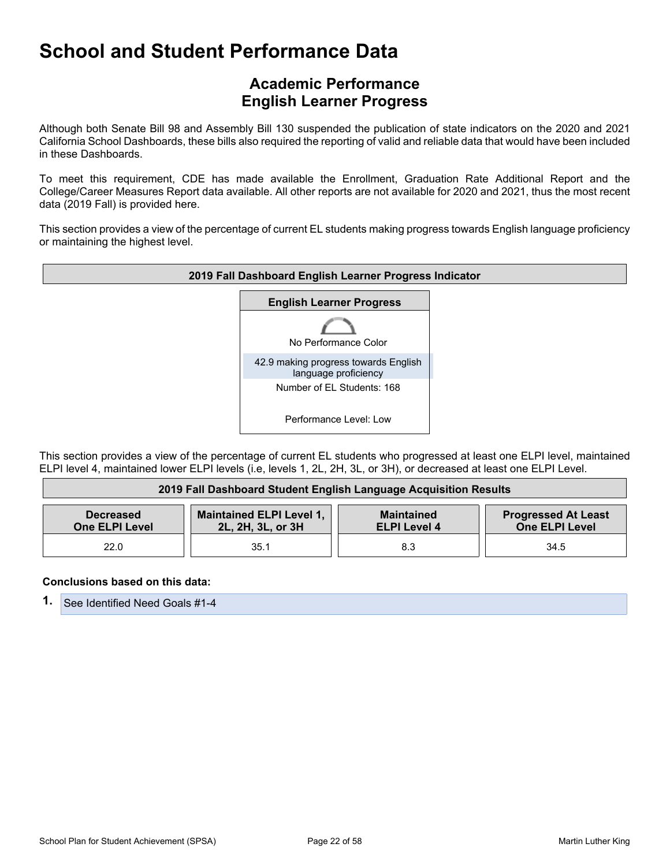## **Academic Performance English Learner Progress**

Although both Senate Bill 98 and Assembly Bill 130 suspended the publication of state indicators on the 2020 and 2021 California School Dashboards, these bills also required the reporting of valid and reliable data that would have been included in these Dashboards.

To meet this requirement, CDE has made available the Enrollment, Graduation Rate Additional Report and the College/Career Measures Report data available. All other reports are not available for 2020 and 2021, thus the most recent data (2019 Fall) is provided here.

This section provides a view of the percentage of current EL students making progress towards English language proficiency or maintaining the highest level.



This section provides a view of the percentage of current EL students who progressed at least one ELPI level, maintained ELPI level 4, maintained lower ELPI levels (i.e, levels 1, 2L, 2H, 3L, or 3H), or decreased at least one ELPI Level.

| 2019 Fall Dashboard Student English Language Acquisition Results |                                                      |                                          |                                                     |
|------------------------------------------------------------------|------------------------------------------------------|------------------------------------------|-----------------------------------------------------|
| <b>Decreased</b><br><b>One ELPI Level</b>                        | <b>Maintained ELPI Level 1,</b><br>2L, 2H, 3L, or 3H | <b>Maintained</b><br><b>ELPI Level 4</b> | <b>Progressed At Least</b><br><b>One ELPI Level</b> |
| 22.0                                                             | 35.1                                                 | 8.3                                      | 34.5                                                |

#### **Conclusions based on this data:**

**1.** See Identified Need Goals #1-4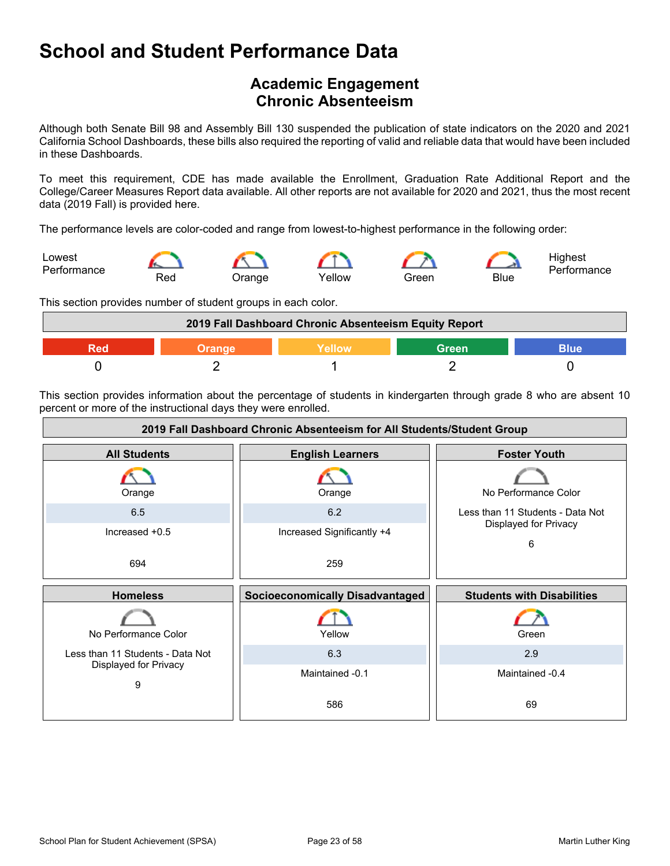## **Academic Engagement Chronic Absenteeism**

Although both Senate Bill 98 and Assembly Bill 130 suspended the publication of state indicators on the 2020 and 2021 California School Dashboards, these bills also required the reporting of valid and reliable data that would have been included in these Dashboards.

To meet this requirement, CDE has made available the Enrollment, Graduation Rate Additional Report and the College/Career Measures Report data available. All other reports are not available for 2020 and 2021, thus the most recent data (2019 Fall) is provided here.

The performance levels are color-coded and range from lowest-to-highest performance in the following order:



This section provides number of student groups in each color.



This section provides information about the percentage of students in kindergarten through grade 8 who are absent 10 percent or more of the instructional days they were enrolled.

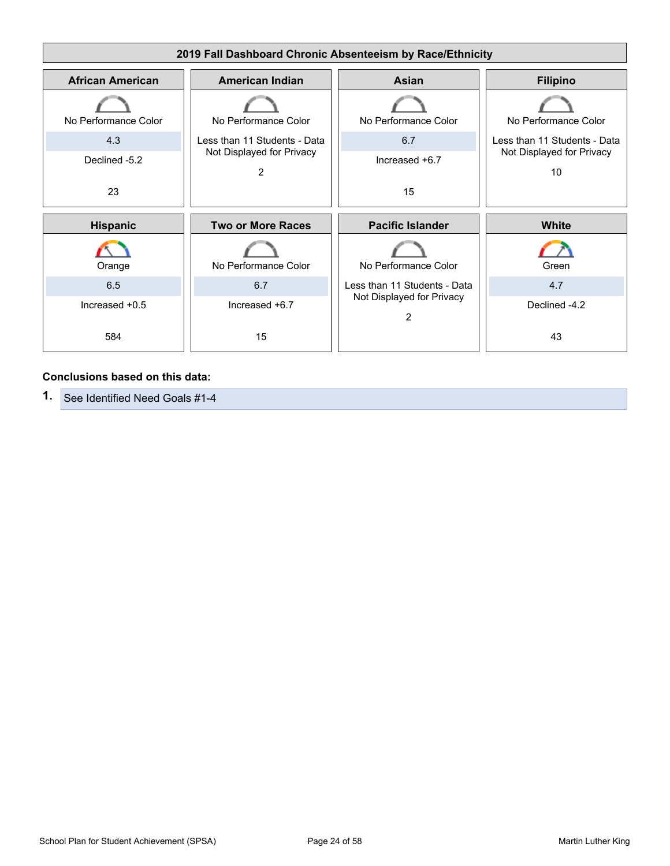

#### **Conclusions based on this data:**

**1.** See Identified Need Goals #1-4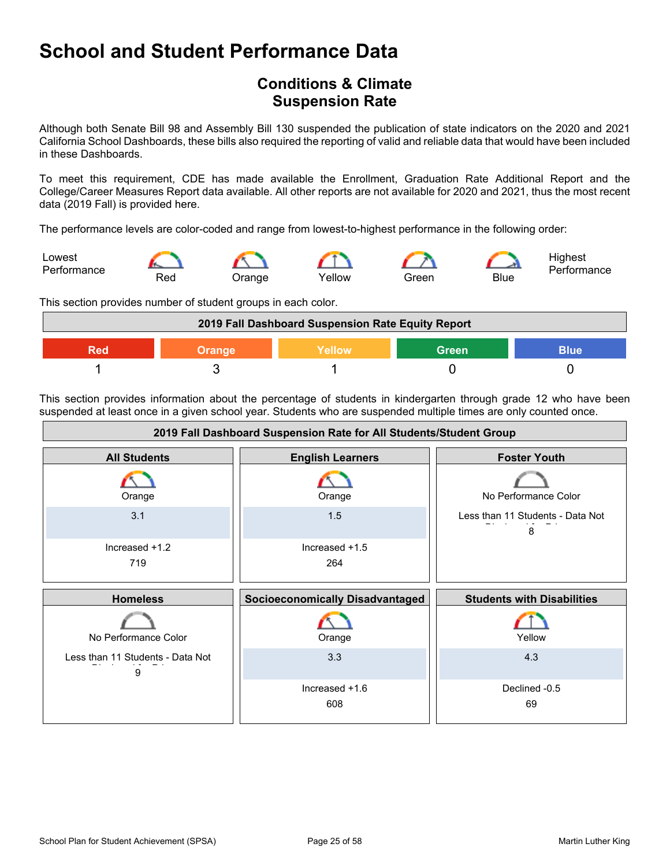## **Conditions & Climate Suspension Rate**

Although both Senate Bill 98 and Assembly Bill 130 suspended the publication of state indicators on the 2020 and 2021 California School Dashboards, these bills also required the reporting of valid and reliable data that would have been included in these Dashboards.

To meet this requirement, CDE has made available the Enrollment, Graduation Rate Additional Report and the College/Career Measures Report data available. All other reports are not available for 2020 and 2021, thus the most recent data (2019 Fall) is provided here.

The performance levels are color-coded and range from lowest-to-highest performance in the following order:

![](_page_24_Figure_5.jpeg)

This section provides number of student groups in each color.

![](_page_24_Figure_7.jpeg)

This section provides information about the percentage of students in kindergarten through grade 12 who have been suspended at least once in a given school year. Students who are suspended multiple times are only counted once.

![](_page_24_Figure_9.jpeg)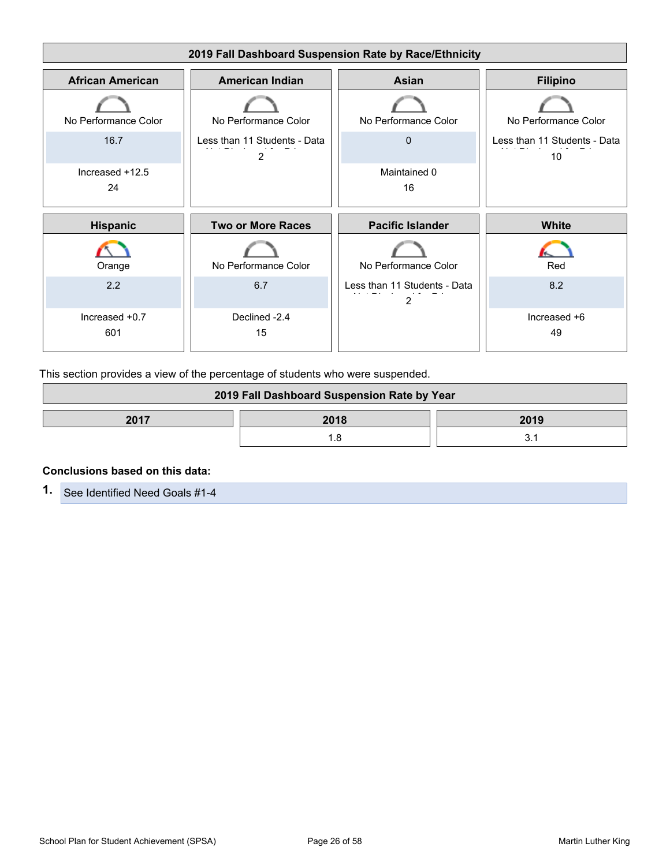![](_page_25_Figure_0.jpeg)

This section provides a view of the percentage of students who were suspended.

| 2019 Fall Dashboard Suspension Rate by Year |      |      |
|---------------------------------------------|------|------|
| 2017                                        | 2018 | 2019 |
|                                             |      |      |

#### **Conclusions based on this data:**

**1.** See Identified Need Goals #1-4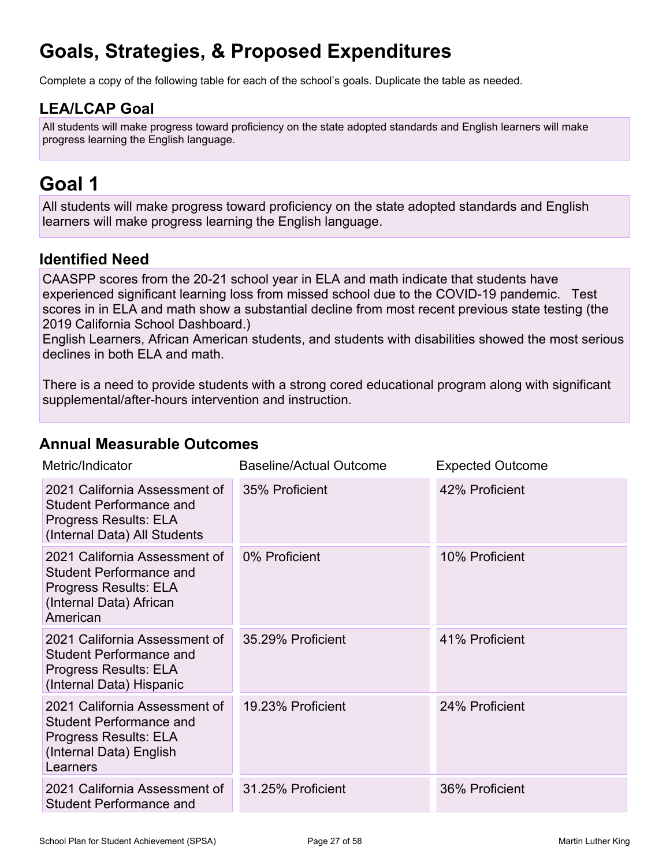# **Goals, Strategies, & Proposed Expenditures**

Complete a copy of the following table for each of the school's goals. Duplicate the table as needed.

## **LEA/LCAP Goal**

All students will make progress toward proficiency on the state adopted standards and English learners will make progress learning the English language.

# **Goal 1**

All students will make progress toward proficiency on the state adopted standards and English learners will make progress learning the English language.

## **Identified Need**

CAASPP scores from the 20-21 school year in ELA and math indicate that students have experienced significant learning loss from missed school due to the COVID-19 pandemic. Test scores in in ELA and math show a substantial decline from most recent previous state testing (the 2019 California School Dashboard.)

English Learners, African American students, and students with disabilities showed the most serious declines in both ELA and math.

There is a need to provide students with a strong cored educational program along with significant supplemental/after-hours intervention and instruction.

### **Annual Measurable Outcomes**

| Metric/Indicator                                                                                                                | <b>Baseline/Actual Outcome</b> | <b>Expected Outcome</b> |
|---------------------------------------------------------------------------------------------------------------------------------|--------------------------------|-------------------------|
| 2021 California Assessment of<br><b>Student Performance and</b><br>Progress Results: ELA<br>(Internal Data) All Students        | 35% Proficient                 | 42% Proficient          |
| 2021 California Assessment of<br><b>Student Performance and</b><br>Progress Results: ELA<br>(Internal Data) African<br>American | 0% Proficient                  | 10% Proficient          |
| 2021 California Assessment of<br><b>Student Performance and</b><br>Progress Results: ELA<br>(Internal Data) Hispanic            | 35.29% Proficient              | 41% Proficient          |
| 2021 California Assessment of<br><b>Student Performance and</b><br>Progress Results: ELA<br>(Internal Data) English<br>Learners | 19.23% Proficient              | 24% Proficient          |
| 2021 California Assessment of<br><b>Student Performance and</b>                                                                 | 31.25% Proficient              | 36% Proficient          |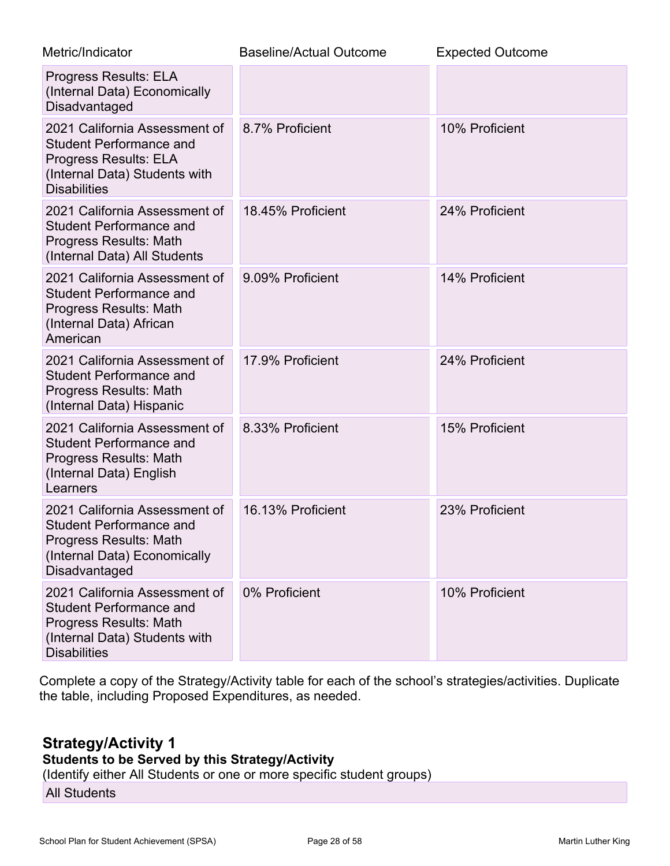| Metric/Indicator                                                                                                                                        | <b>Baseline/Actual Outcome</b> | <b>Expected Outcome</b> |
|---------------------------------------------------------------------------------------------------------------------------------------------------------|--------------------------------|-------------------------|
| <b>Progress Results: ELA</b><br>(Internal Data) Economically<br>Disadvantaged                                                                           |                                |                         |
| 2021 California Assessment of<br><b>Student Performance and</b><br><b>Progress Results: ELA</b><br>(Internal Data) Students with<br><b>Disabilities</b> | 8.7% Proficient                | 10% Proficient          |
| 2021 California Assessment of<br><b>Student Performance and</b><br>Progress Results: Math<br>(Internal Data) All Students                               | 18.45% Proficient              | 24% Proficient          |
| 2021 California Assessment of<br><b>Student Performance and</b><br>Progress Results: Math<br>(Internal Data) African<br>American                        | 9.09% Proficient               | 14% Proficient          |
| 2021 California Assessment of<br><b>Student Performance and</b><br>Progress Results: Math<br>(Internal Data) Hispanic                                   | 17.9% Proficient               | 24% Proficient          |
| 2021 California Assessment of<br><b>Student Performance and</b><br>Progress Results: Math<br>(Internal Data) English<br>Learners                        | 8.33% Proficient               | 15% Proficient          |
| 2021 California Assessment of<br><b>Student Performance and</b><br><b>Progress Results: Math</b><br>(Internal Data) Economically<br>Disadvantaged       | 16.13% Proficient              | 23% Proficient          |
| 2021 California Assessment of<br><b>Student Performance and</b><br>Progress Results: Math<br>(Internal Data) Students with<br><b>Disabilities</b>       | 0% Proficient                  | 10% Proficient          |

Complete a copy of the Strategy/Activity table for each of the school's strategies/activities. Duplicate the table, including Proposed Expenditures, as needed.

## **Strategy/Activity 1**

### **Students to be Served by this Strategy/Activity**

(Identify either All Students or one or more specific student groups)

All Students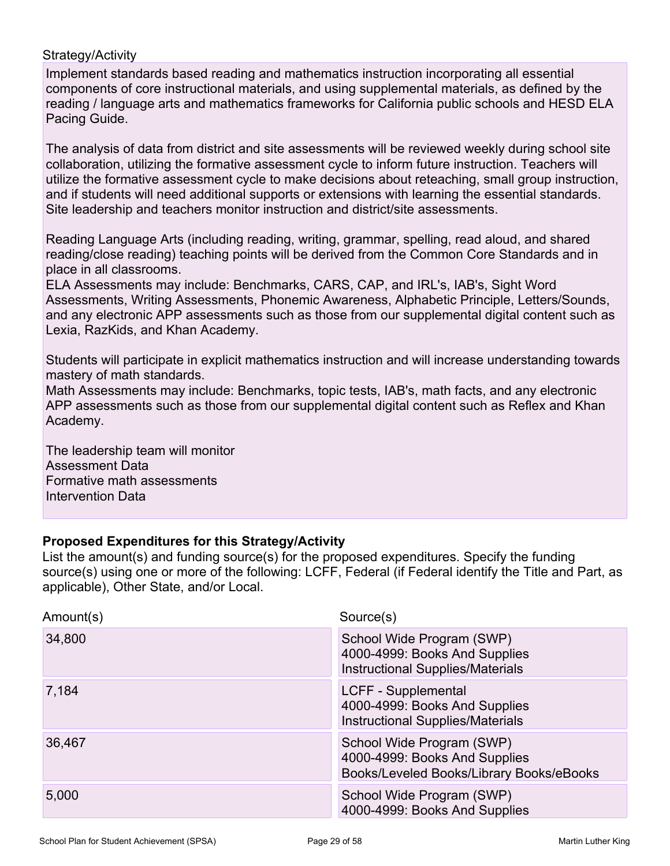#### Strategy/Activity

Implement standards based reading and mathematics instruction incorporating all essential components of core instructional materials, and using supplemental materials, as defined by the reading / language arts and mathematics frameworks for California public schools and HESD ELA Pacing Guide.

The analysis of data from district and site assessments will be reviewed weekly during school site collaboration, utilizing the formative assessment cycle to inform future instruction. Teachers will utilize the formative assessment cycle to make decisions about reteaching, small group instruction, and if students will need additional supports or extensions with learning the essential standards. Site leadership and teachers monitor instruction and district/site assessments.

Reading Language Arts (including reading, writing, grammar, spelling, read aloud, and shared reading/close reading) teaching points will be derived from the Common Core Standards and in place in all classrooms.

ELA Assessments may include: Benchmarks, CARS, CAP, and IRL's, IAB's, Sight Word Assessments, Writing Assessments, Phonemic Awareness, Alphabetic Principle, Letters/Sounds, and any electronic APP assessments such as those from our supplemental digital content such as Lexia, RazKids, and Khan Academy.

Students will participate in explicit mathematics instruction and will increase understanding towards mastery of math standards.

Math Assessments may include: Benchmarks, topic tests, IAB's, math facts, and any electronic APP assessments such as those from our supplemental digital content such as Reflex and Khan Academy.

The leadership team will monitor Assessment Data Formative math assessments Intervention Data

#### **Proposed Expenditures for this Strategy/Activity**

| Amount(s) | Source(s)                                                                                              |
|-----------|--------------------------------------------------------------------------------------------------------|
| 34,800    | School Wide Program (SWP)<br>4000-4999: Books And Supplies<br><b>Instructional Supplies/Materials</b>  |
| 7,184     | LCFF - Supplemental<br>4000-4999: Books And Supplies<br><b>Instructional Supplies/Materials</b>        |
| 36,467    | School Wide Program (SWP)<br>4000-4999: Books And Supplies<br>Books/Leveled Books/Library Books/eBooks |
| 5,000     | School Wide Program (SWP)<br>4000-4999: Books And Supplies                                             |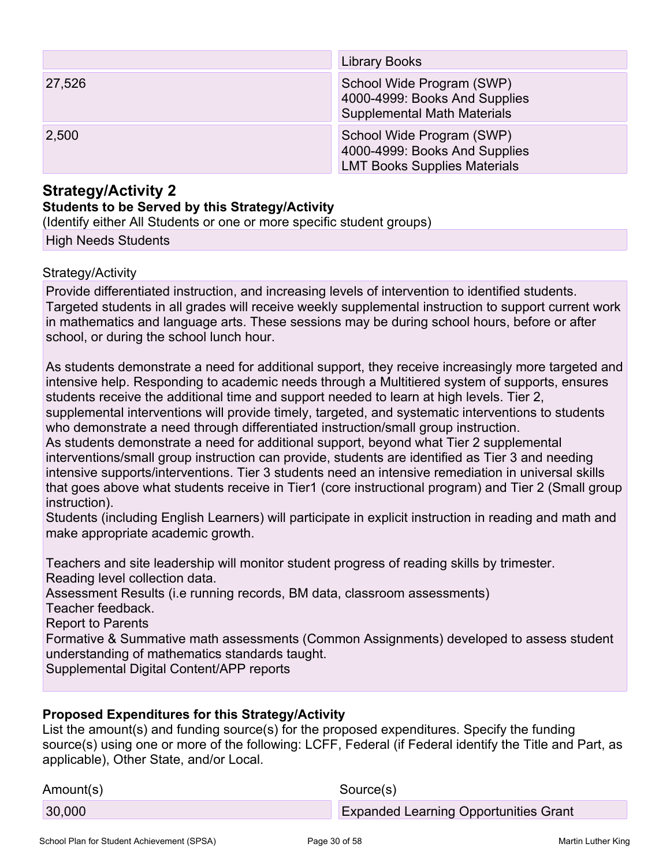|        | Library Books                                                                                     |
|--------|---------------------------------------------------------------------------------------------------|
| 27,526 | School Wide Program (SWP)<br>4000-4999: Books And Supplies<br><b>Supplemental Math Materials</b>  |
| 2,500  | School Wide Program (SWP)<br>4000-4999: Books And Supplies<br><b>LMT Books Supplies Materials</b> |

### **Strategy/Activity 2**

#### **Students to be Served by this Strategy/Activity**

(Identify either All Students or one or more specific student groups)

High Needs Students

#### Strategy/Activity

Provide differentiated instruction, and increasing levels of intervention to identified students. Targeted students in all grades will receive weekly supplemental instruction to support current work in mathematics and language arts. These sessions may be during school hours, before or after school, or during the school lunch hour.

As students demonstrate a need for additional support, they receive increasingly more targeted and intensive help. Responding to academic needs through a Multitiered system of supports, ensures students receive the additional time and support needed to learn at high levels. Tier 2, supplemental interventions will provide timely, targeted, and systematic interventions to students who demonstrate a need through differentiated instruction/small group instruction. As students demonstrate a need for additional support, beyond what Tier 2 supplemental interventions/small group instruction can provide, students are identified as Tier 3 and needing

intensive supports/interventions. Tier 3 students need an intensive remediation in universal skills that goes above what students receive in Tier1 (core instructional program) and Tier 2 (Small group instruction).

Students (including English Learners) will participate in explicit instruction in reading and math and make appropriate academic growth.

Teachers and site leadership will monitor student progress of reading skills by trimester. Reading level collection data.

Assessment Results (i.e running records, BM data, classroom assessments)

Teacher feedback.

Report to Parents

Formative & Summative math assessments (Common Assignments) developed to assess student understanding of mathematics standards taught.

Supplemental Digital Content/APP reports

#### **Proposed Expenditures for this Strategy/Activity**

| Amount(s) | Source(s)                                    |
|-----------|----------------------------------------------|
| 30,000    | <b>Expanded Learning Opportunities Grant</b> |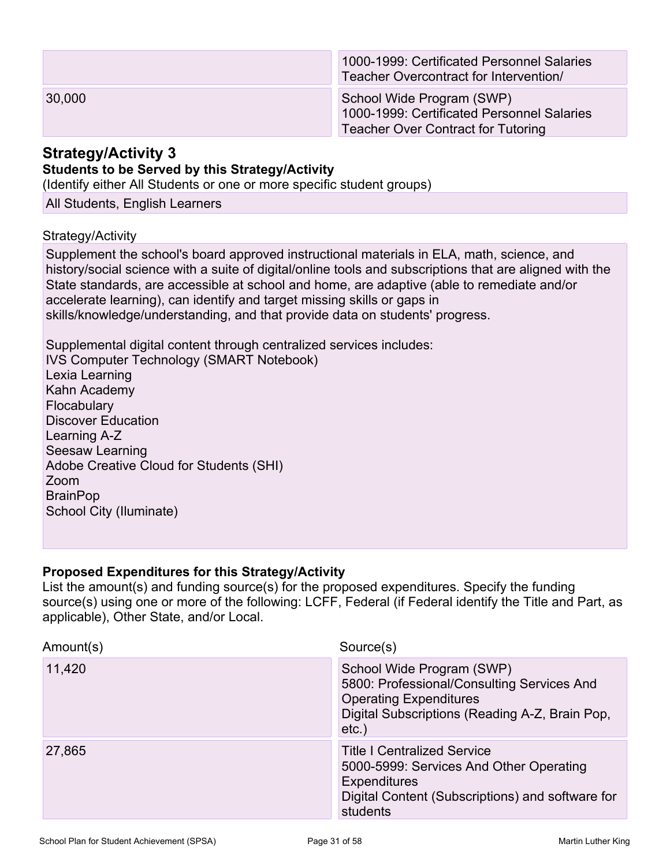|        | 1000-1999: Certificated Personnel Salaries<br>Teacher Overcontract for Intervention/                                 |
|--------|----------------------------------------------------------------------------------------------------------------------|
| 30,000 | School Wide Program (SWP)<br>1000-1999: Certificated Personnel Salaries<br><b>Teacher Over Contract for Tutoring</b> |

#### **Strategy/Activity 3 Students to be Served by this Strategy/Activity**

(Identify either All Students or one or more specific student groups)

All Students, English Learners

#### Strategy/Activity

Supplement the school's board approved instructional materials in ELA, math, science, and history/social science with a suite of digital/online tools and subscriptions that are aligned with the State standards, are accessible at school and home, are adaptive (able to remediate and/or accelerate learning), can identify and target missing skills or gaps in skills/knowledge/understanding, and that provide data on students' progress.

Supplemental digital content through centralized services includes: IVS Computer Technology (SMART Notebook) Lexia Learning Kahn Academy **Flocabulary** Discover Education Learning A-Z Seesaw Learning Adobe Creative Cloud for Students (SHI) Zoom **BrainPop** School City (Iluminate)

#### **Proposed Expenditures for this Strategy/Activity**

| Amount(s) | Source(s)                                                                                                                                                              |
|-----------|------------------------------------------------------------------------------------------------------------------------------------------------------------------------|
| 11,420    | School Wide Program (SWP)<br>5800: Professional/Consulting Services And<br><b>Operating Expenditures</b><br>Digital Subscriptions (Reading A-Z, Brain Pop,<br>$etc.$ ) |
| 27,865    | <b>Title I Centralized Service</b><br>5000-5999: Services And Other Operating<br><b>Expenditures</b><br>Digital Content (Subscriptions) and software for<br>students   |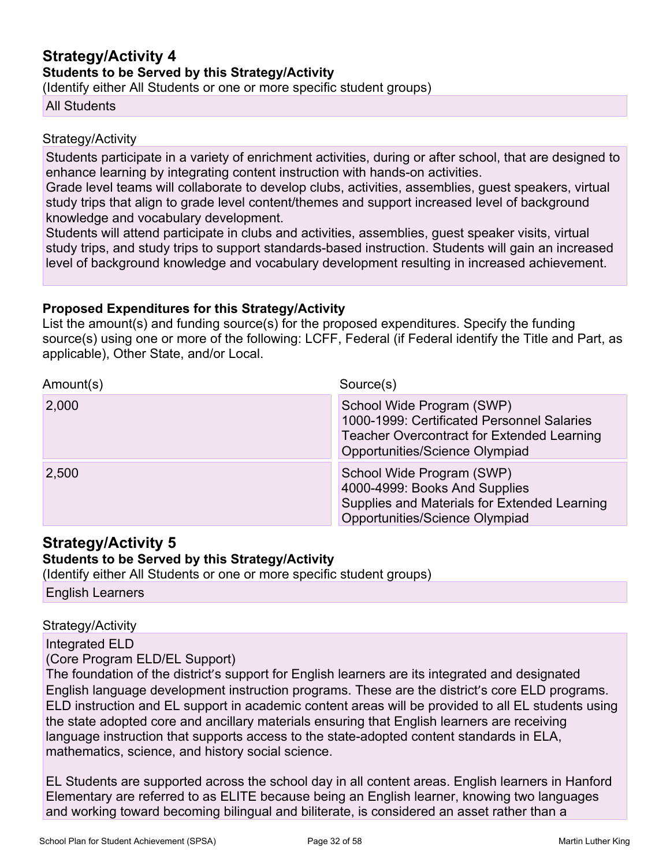## **Strategy/Activity 4 Students to be Served by this Strategy/Activity**

(Identify either All Students or one or more specific student groups)

#### All Students

#### Strategy/Activity

Students participate in a variety of enrichment activities, during or after school, that are designed to enhance learning by integrating content instruction with hands-on activities.

Grade level teams will collaborate to develop clubs, activities, assemblies, guest speakers, virtual study trips that align to grade level content/themes and support increased level of background knowledge and vocabulary development.

Students will attend participate in clubs and activities, assemblies, guest speaker visits, virtual study trips, and study trips to support standards-based instruction. Students will gain an increased level of background knowledge and vocabulary development resulting in increased achievement.

#### **Proposed Expenditures for this Strategy/Activity**

List the amount(s) and funding source(s) for the proposed expenditures. Specify the funding source(s) using one or more of the following: LCFF, Federal (if Federal identify the Title and Part, as applicable), Other State, and/or Local.

| Amount(s) | Source(s)                                                                                                                                                      |
|-----------|----------------------------------------------------------------------------------------------------------------------------------------------------------------|
| 2,000     | School Wide Program (SWP)<br>1000-1999: Certificated Personnel Salaries<br><b>Teacher Overcontract for Extended Learning</b><br>Opportunities/Science Olympiad |
| 2,500     | School Wide Program (SWP)<br>4000-4999: Books And Supplies<br>Supplies and Materials for Extended Learning<br>Opportunities/Science Olympiad                   |

### **Strategy/Activity 5**

### **Students to be Served by this Strategy/Activity**

(Identify either All Students or one or more specific student groups) English Learners

#### Strategy/Activity

Integrated ELD

(Core Program ELD/EL Support)

The foundation of the district's support for English learners are its integrated and designated English language development instruction programs. These are the district's core ELD programs. ELD instruction and EL support in academic content areas will be provided to all EL students using the state adopted core and ancillary materials ensuring that English learners are receiving language instruction that supports access to the state-adopted content standards in ELA, mathematics, science, and history social science.

EL Students are supported across the school day in all content areas. English learners in Hanford Elementary are referred to as ELITE because being an English learner, knowing two languages and working toward becoming bilingual and biliterate, is considered an asset rather than a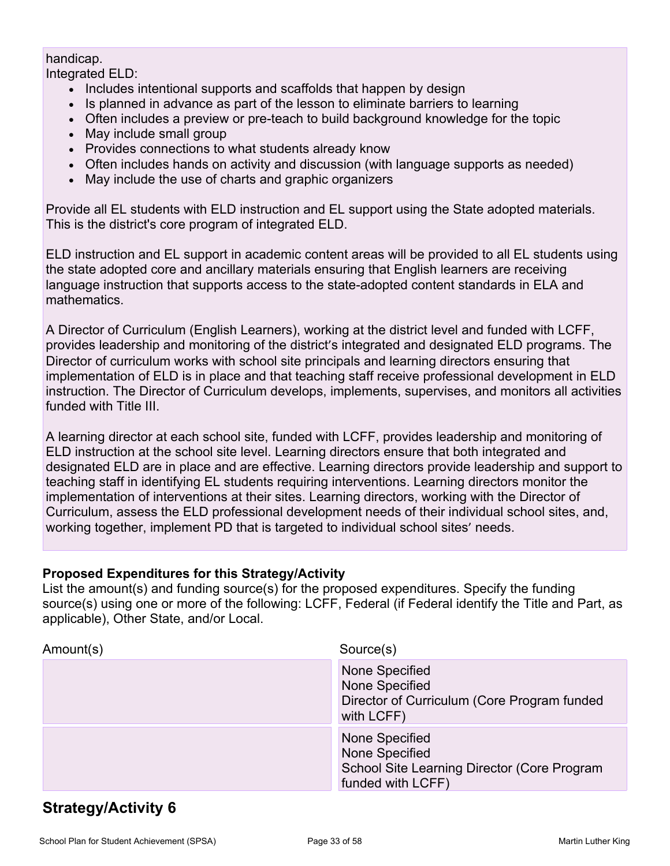### handicap.

Integrated ELD:

- Includes intentional supports and scaffolds that happen by design
- Is planned in advance as part of the lesson to eliminate barriers to learning
- Often includes a preview or pre-teach to build background knowledge for the topic
- May include small group
- Provides connections to what students already know
- Often includes hands on activity and discussion (with language supports as needed)
- May include the use of charts and graphic organizers

Provide all EL students with ELD instruction and EL support using the State adopted materials. This is the district's core program of integrated ELD.

ELD instruction and EL support in academic content areas will be provided to all EL students using the state adopted core and ancillary materials ensuring that English learners are receiving language instruction that supports access to the state-adopted content standards in ELA and mathematics.

A Director of Curriculum (English Learners), working at the district level and funded with LCFF, provides leadership and monitoring of the district's integrated and designated ELD programs. The Director of curriculum works with school site principals and learning directors ensuring that implementation of ELD is in place and that teaching staff receive professional development in ELD instruction. The Director of Curriculum develops, implements, supervises, and monitors all activities funded with Title III.

A learning director at each school site, funded with LCFF, provides leadership and monitoring of ELD instruction at the school site level. Learning directors ensure that both integrated and designated ELD are in place and are effective. Learning directors provide leadership and support to teaching staff in identifying EL students requiring interventions. Learning directors monitor the implementation of interventions at their sites. Learning directors, working with the Director of Curriculum, assess the ELD professional development needs of their individual school sites, and, working together, implement PD that is targeted to individual school sites' needs.

### **Proposed Expenditures for this Strategy/Activity**

List the amount(s) and funding source(s) for the proposed expenditures. Specify the funding source(s) using one or more of the following: LCFF, Federal (if Federal identify the Title and Part, as applicable), Other State, and/or Local.

| Amount(s) | Source(s)                                                                                            |
|-----------|------------------------------------------------------------------------------------------------------|
|           | None Specified<br>None Specified<br>Director of Curriculum (Core Program funded<br>with LCFF)        |
|           | None Specified<br>None Specified<br>School Site Learning Director (Core Program<br>funded with LCFF) |

## **Strategy/Activity 6**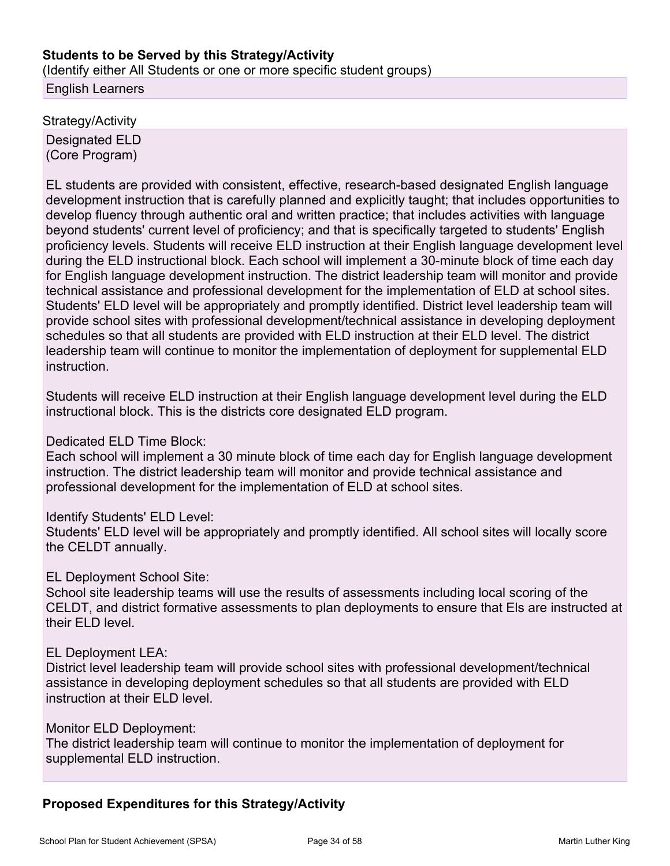#### **Students to be Served by this Strategy/Activity**

(Identify either All Students or one or more specific student groups) English Learners

Strategy/Activity Designated ELD (Core Program)

EL students are provided with consistent, effective, research-based designated English language development instruction that is carefully planned and explicitly taught; that includes opportunities to develop fluency through authentic oral and written practice; that includes activities with language beyond students' current level of proficiency; and that is specifically targeted to students' English proficiency levels. Students will receive ELD instruction at their English language development level during the ELD instructional block. Each school will implement a 30-minute block of time each day for English language development instruction. The district leadership team will monitor and provide technical assistance and professional development for the implementation of ELD at school sites. Students' ELD level will be appropriately and promptly identified. District level leadership team will provide school sites with professional development/technical assistance in developing deployment schedules so that all students are provided with ELD instruction at their ELD level. The district leadership team will continue to monitor the implementation of deployment for supplemental ELD instruction.

Students will receive ELD instruction at their English language development level during the ELD instructional block. This is the districts core designated ELD program.

#### Dedicated ELD Time Block:

Each school will implement a 30 minute block of time each day for English language development instruction. The district leadership team will monitor and provide technical assistance and professional development for the implementation of ELD at school sites.

#### Identify Students' ELD Level:

Students' ELD level will be appropriately and promptly identified. All school sites will locally score the CELDT annually.

#### EL Deployment School Site:

School site leadership teams will use the results of assessments including local scoring of the CELDT, and district formative assessments to plan deployments to ensure that Els are instructed at their ELD level.

#### EL Deployment LEA:

District level leadership team will provide school sites with professional development/technical assistance in developing deployment schedules so that all students are provided with ELD instruction at their ELD level.

#### Monitor ELD Deployment:

The district leadership team will continue to monitor the implementation of deployment for supplemental ELD instruction.

#### **Proposed Expenditures for this Strategy/Activity**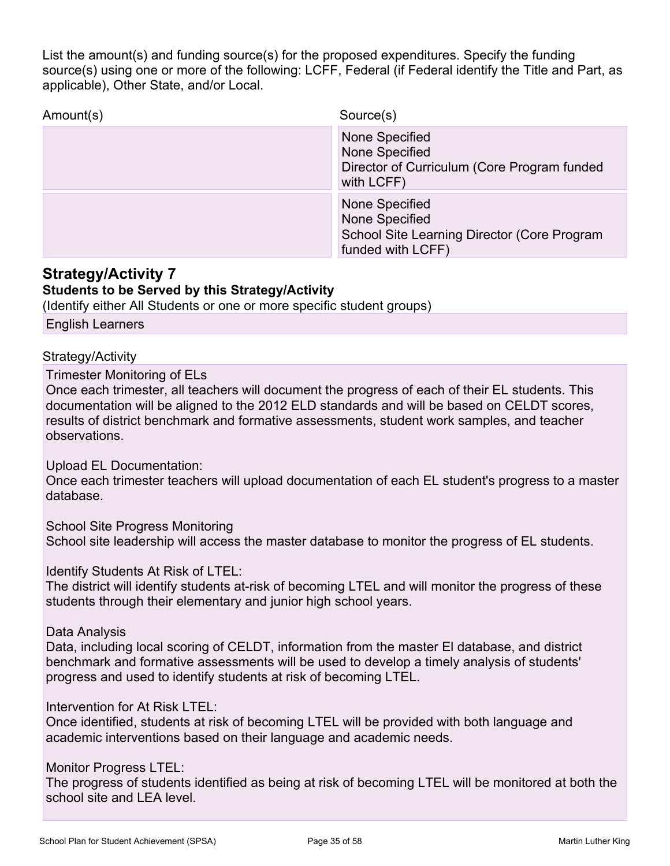List the amount(s) and funding source(s) for the proposed expenditures. Specify the funding source(s) using one or more of the following: LCFF, Federal (if Federal identify the Title and Part, as applicable), Other State, and/or Local.

| Amount(s) | Source(s)                                                                                            |
|-----------|------------------------------------------------------------------------------------------------------|
|           | None Specified<br>None Specified<br>Director of Curriculum (Core Program funded<br>with LCFF)        |
|           | None Specified<br>None Specified<br>School Site Learning Director (Core Program<br>funded with LCFF) |

### **Strategy/Activity 7**

#### **Students to be Served by this Strategy/Activity**

(Identify either All Students or one or more specific student groups)

English Learners

#### Strategy/Activity

Trimester Monitoring of ELs

Once each trimester, all teachers will document the progress of each of their EL students. This documentation will be aligned to the 2012 ELD standards and will be based on CELDT scores, results of district benchmark and formative assessments, student work samples, and teacher observations.

Upload EL Documentation:

Once each trimester teachers will upload documentation of each EL student's progress to a master database.

School Site Progress Monitoring School site leadership will access the master database to monitor the progress of EL students.

Identify Students At Risk of LTEL:

The district will identify students at-risk of becoming LTEL and will monitor the progress of these students through their elementary and junior high school years.

Data Analysis

Data, including local scoring of CELDT, information from the master El database, and district benchmark and formative assessments will be used to develop a timely analysis of students' progress and used to identify students at risk of becoming LTEL.

Intervention for At Risk LTEL:

Once identified, students at risk of becoming LTEL will be provided with both language and academic interventions based on their language and academic needs.

Monitor Progress LTEL:

The progress of students identified as being at risk of becoming LTEL will be monitored at both the school site and LEA level.

School Plan for Student Achievement (SPSA) Page 35 of 58 Martin Luther King Channel Martin Luther King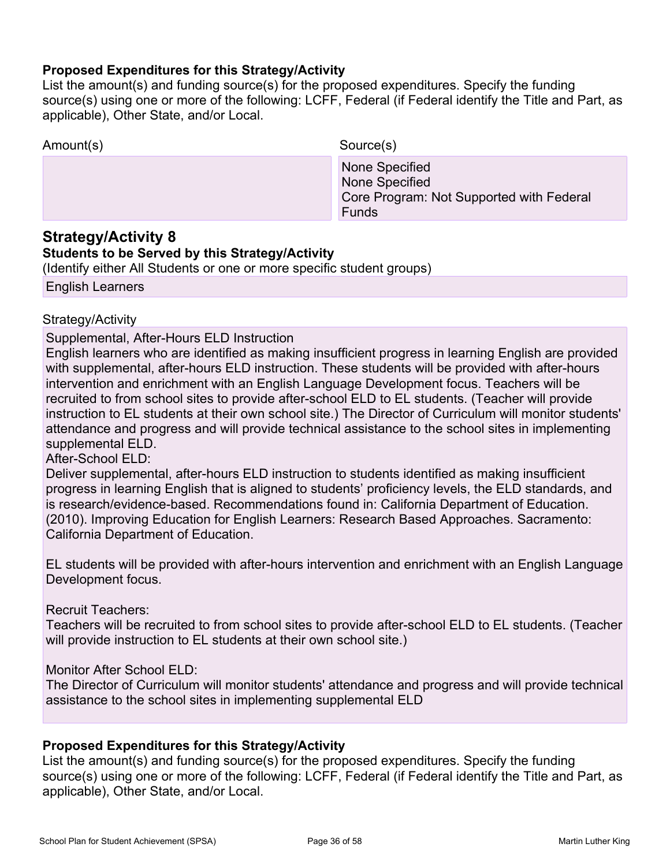#### **Proposed Expenditures for this Strategy/Activity**

List the amount(s) and funding source(s) for the proposed expenditures. Specify the funding source(s) using one or more of the following: LCFF, Federal (if Federal identify the Title and Part, as applicable), Other State, and/or Local.

| Amount(s)         | Source(s)                                                                                    |
|-------------------|----------------------------------------------------------------------------------------------|
|                   | None Specified<br>None Specified<br>Core Program: Not Supported with Federal<br><b>Funds</b> |
| $0.444444$ $0.41$ |                                                                                              |

### **Strategy/Activity 8**

#### **Students to be Served by this Strategy/Activity**

(Identify either All Students or one or more specific student groups)

English Learners

### Strategy/Activity

Supplemental, After-Hours ELD Instruction

English learners who are identified as making insufficient progress in learning English are provided with supplemental, after-hours ELD instruction. These students will be provided with after-hours intervention and enrichment with an English Language Development focus. Teachers will be recruited to from school sites to provide after-school ELD to EL students. (Teacher will provide instruction to EL students at their own school site.) The Director of Curriculum will monitor students' attendance and progress and will provide technical assistance to the school sites in implementing supplemental ELD.

After-School ELD:

Deliver supplemental, after-hours ELD instruction to students identified as making insufficient progress in learning English that is aligned to students' proficiency levels, the ELD standards, and is research/evidence-based. Recommendations found in: California Department of Education. (2010). Improving Education for English Learners: Research Based Approaches. Sacramento: California Department of Education.

EL students will be provided with after-hours intervention and enrichment with an English Language Development focus.

Recruit Teachers:

Teachers will be recruited to from school sites to provide after-school ELD to EL students. (Teacher will provide instruction to EL students at their own school site.)

Monitor After School ELD:

The Director of Curriculum will monitor students' attendance and progress and will provide technical assistance to the school sites in implementing supplemental ELD

#### **Proposed Expenditures for this Strategy/Activity**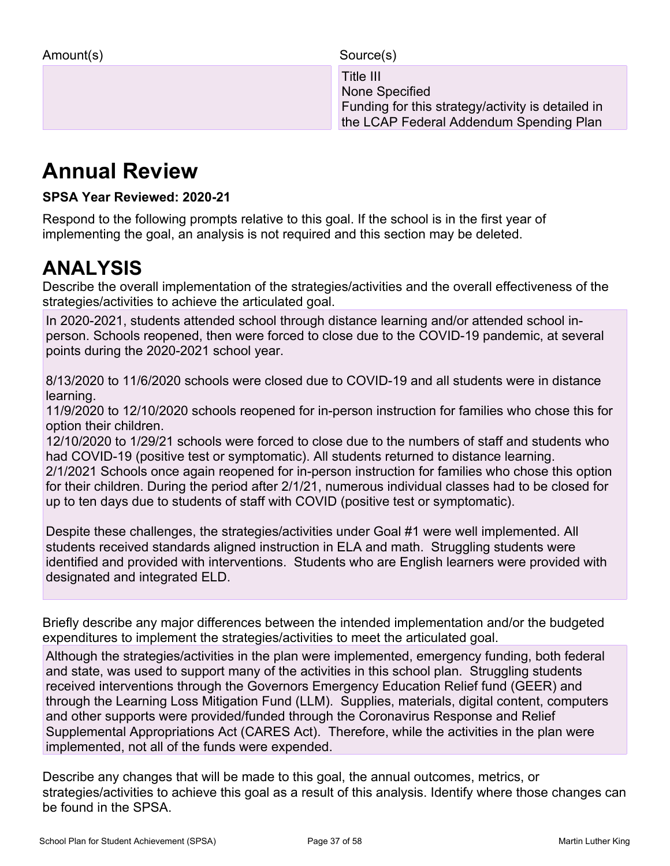Title III and the contract of the contract of the III and the III None Specified Funding for this strategy/activity is detailed in the LCAP Federal Addendum Spending Plan

# **Annual Review**

**SPSA Year Reviewed: 2020-21**

Respond to the following prompts relative to this goal. If the school is in the first year of implementing the goal, an analysis is not required and this section may be deleted.

# **ANALYSIS**

Describe the overall implementation of the strategies/activities and the overall effectiveness of the strategies/activities to achieve the articulated goal.

In 2020-2021, students attended school through distance learning and/or attended school inperson. Schools reopened, then were forced to close due to the COVID-19 pandemic, at several points during the 2020-2021 school year.

8/13/2020 to 11/6/2020 schools were closed due to COVID-19 and all students were in distance learning.

11/9/2020 to 12/10/2020 schools reopened for in-person instruction for families who chose this for option their children.

12/10/2020 to 1/29/21 schools were forced to close due to the numbers of staff and students who had COVID-19 (positive test or symptomatic). All students returned to distance learning. 2/1/2021 Schools once again reopened for in-person instruction for families who chose this option for their children. During the period after 2/1/21, numerous individual classes had to be closed for up to ten days due to students of staff with COVID (positive test or symptomatic).

Despite these challenges, the strategies/activities under Goal #1 were well implemented. All students received standards aligned instruction in ELA and math. Struggling students were identified and provided with interventions. Students who are English learners were provided with designated and integrated ELD.

Briefly describe any major differences between the intended implementation and/or the budgeted expenditures to implement the strategies/activities to meet the articulated goal.

Although the strategies/activities in the plan were implemented, emergency funding, both federal and state, was used to support many of the activities in this school plan. Struggling students received interventions through the Governors Emergency Education Relief fund (GEER) and through the Learning Loss Mitigation Fund (LLM). Supplies, materials, digital content, computers and other supports were provided/funded through the Coronavirus Response and Relief Supplemental Appropriations Act (CARES Act). Therefore, while the activities in the plan were implemented, not all of the funds were expended.

Describe any changes that will be made to this goal, the annual outcomes, metrics, or strategies/activities to achieve this goal as a result of this analysis. Identify where those changes can be found in the SPSA.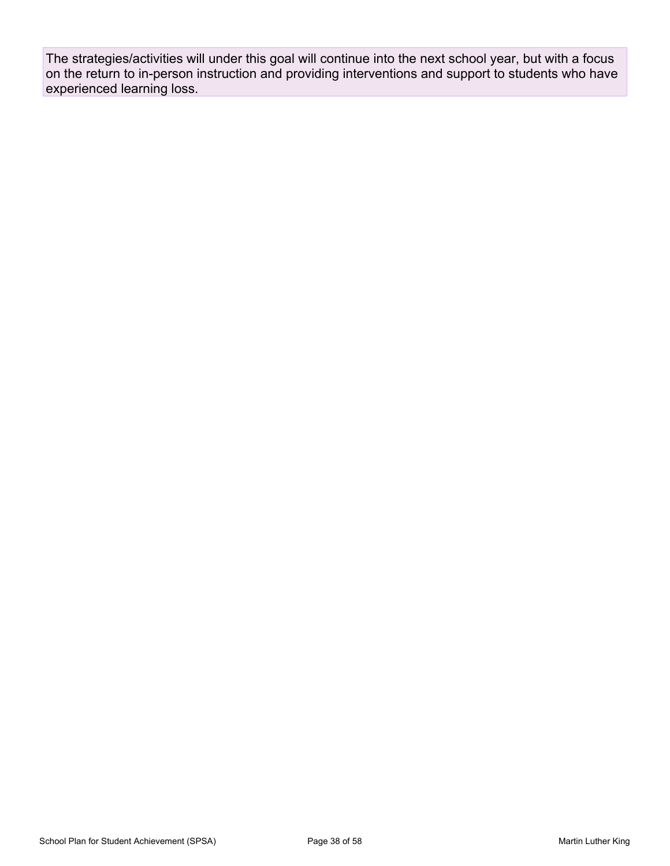The strategies/activities will under this goal will continue into the next school year, but with a focus on the return to in-person instruction and providing interventions and support to students who have experienced learning loss.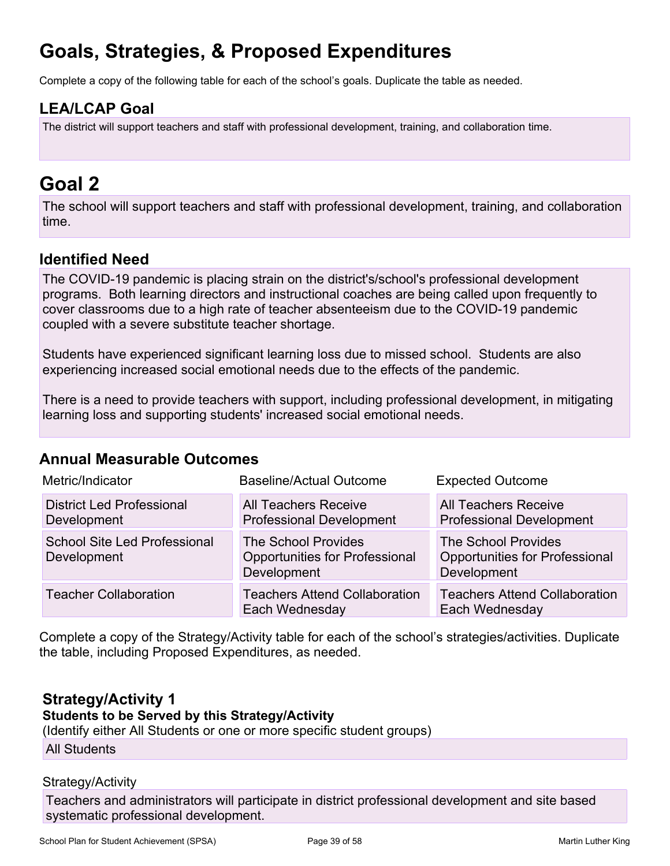# **Goals, Strategies, & Proposed Expenditures**

Complete a copy of the following table for each of the school's goals. Duplicate the table as needed.

## **LEA/LCAP Goal**

The district will support teachers and staff with professional development, training, and collaboration time.

# **Goal 2**

The school will support teachers and staff with professional development, training, and collaboration time.

## **Identified Need**

The COVID-19 pandemic is placing strain on the district's/school's professional development programs. Both learning directors and instructional coaches are being called upon frequently to cover classrooms due to a high rate of teacher absenteeism due to the COVID-19 pandemic coupled with a severe substitute teacher shortage.

Students have experienced significant learning loss due to missed school. Students are also experiencing increased social emotional needs due to the effects of the pandemic.

There is a need to provide teachers with support, including professional development, in mitigating learning loss and supporting students' increased social emotional needs.

### **Annual Measurable Outcomes**

| Metric/Indicator                                   | Baseline/Actual Outcome                                                            | <b>Expected Outcome</b>                                                            |
|----------------------------------------------------|------------------------------------------------------------------------------------|------------------------------------------------------------------------------------|
| <b>District Led Professional</b><br>Development    | <b>All Teachers Receive</b><br><b>Professional Development</b>                     | <b>All Teachers Receive</b><br><b>Professional Development</b>                     |
| <b>School Site Led Professional</b><br>Development | <b>The School Provides</b><br><b>Opportunities for Professional</b><br>Development | <b>The School Provides</b><br><b>Opportunities for Professional</b><br>Development |
| <b>Teacher Collaboration</b>                       | <b>Teachers Attend Collaboration</b><br>Each Wednesday                             | <b>Teachers Attend Collaboration</b><br>Each Wednesday                             |

Complete a copy of the Strategy/Activity table for each of the school's strategies/activities. Duplicate the table, including Proposed Expenditures, as needed.

## **Strategy/Activity 1**

#### **Students to be Served by this Strategy/Activity**

(Identify either All Students or one or more specific student groups)

All Students

#### Strategy/Activity

Teachers and administrators will participate in district professional development and site based systematic professional development.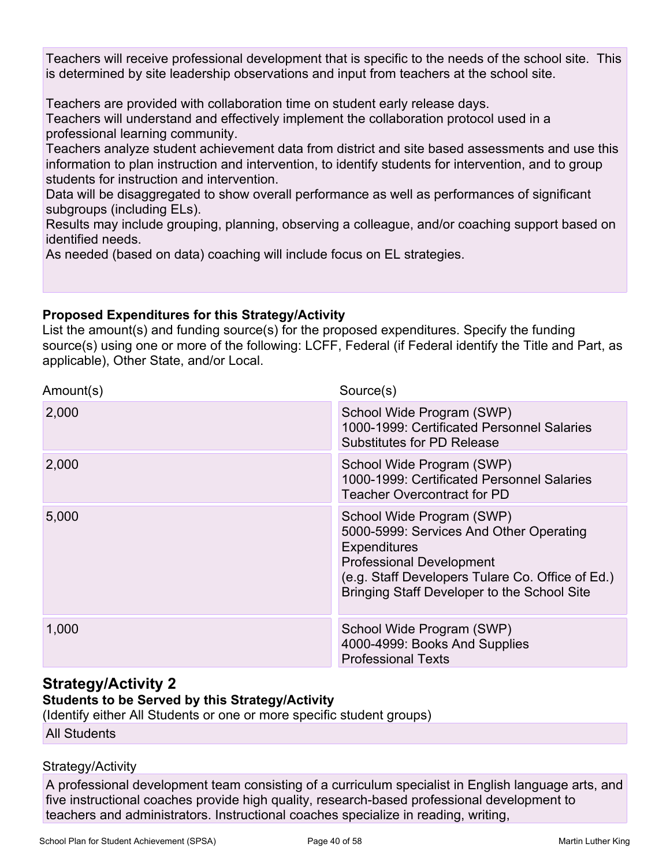Teachers will receive professional development that is specific to the needs of the school site. This is determined by site leadership observations and input from teachers at the school site.

Teachers are provided with collaboration time on student early release days.

Teachers will understand and effectively implement the collaboration protocol used in a professional learning community.

Teachers analyze student achievement data from district and site based assessments and use this information to plan instruction and intervention, to identify students for intervention, and to group students for instruction and intervention.

Data will be disaggregated to show overall performance as well as performances of significant subgroups (including ELs).

Results may include grouping, planning, observing a colleague, and/or coaching support based on identified needs.

As needed (based on data) coaching will include focus on EL strategies.

### **Proposed Expenditures for this Strategy/Activity**

List the amount(s) and funding source(s) for the proposed expenditures. Specify the funding source(s) using one or more of the following: LCFF, Federal (if Federal identify the Title and Part, as applicable), Other State, and/or Local.

| Amount(s) | Source(s)                                                                                                                                                                                                                         |
|-----------|-----------------------------------------------------------------------------------------------------------------------------------------------------------------------------------------------------------------------------------|
| 2,000     | School Wide Program (SWP)<br>1000-1999: Certificated Personnel Salaries<br><b>Substitutes for PD Release</b>                                                                                                                      |
| 2,000     | School Wide Program (SWP)<br>1000-1999: Certificated Personnel Salaries<br><b>Teacher Overcontract for PD</b>                                                                                                                     |
| 5,000     | School Wide Program (SWP)<br>5000-5999: Services And Other Operating<br><b>Expenditures</b><br><b>Professional Development</b><br>(e.g. Staff Developers Tulare Co. Office of Ed.)<br>Bringing Staff Developer to the School Site |
| 1,000     | School Wide Program (SWP)<br>4000-4999: Books And Supplies<br><b>Professional Texts</b>                                                                                                                                           |

## **Strategy/Activity 2**

### **Students to be Served by this Strategy/Activity**

(Identify either All Students or one or more specific student groups)

All Students

### Strategy/Activity

A professional development team consisting of a curriculum specialist in English language arts, and five instructional coaches provide high quality, research-based professional development to teachers and administrators. Instructional coaches specialize in reading, writing,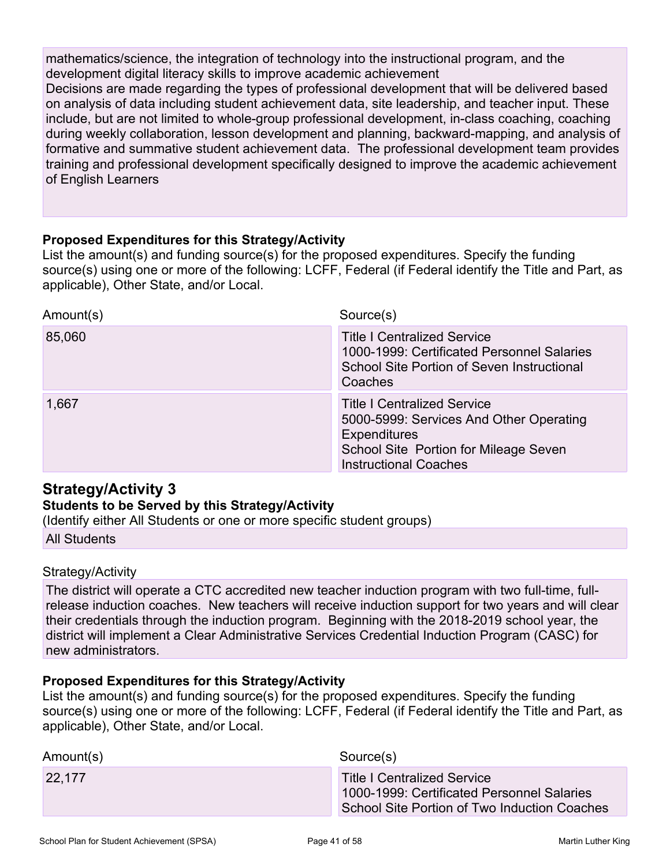mathematics/science, the integration of technology into the instructional program, and the development digital literacy skills to improve academic achievement Decisions are made regarding the types of professional development that will be delivered based on analysis of data including student achievement data, site leadership, and teacher input. These include, but are not limited to whole-group professional development, in-class coaching, coaching during weekly collaboration, lesson development and planning, backward-mapping, and analysis of formative and summative student achievement data. The professional development team provides training and professional development specifically designed to improve the academic achievement of English Learners

#### **Proposed Expenditures for this Strategy/Activity**

List the amount(s) and funding source(s) for the proposed expenditures. Specify the funding source(s) using one or more of the following: LCFF, Federal (if Federal identify the Title and Part, as applicable), Other State, and/or Local.

| Amount(s) | Source(s)                                                                                                                                                              |
|-----------|------------------------------------------------------------------------------------------------------------------------------------------------------------------------|
| 85,060    | <b>Title I Centralized Service</b><br>1000-1999: Certificated Personnel Salaries<br>School Site Portion of Seven Instructional<br>Coaches                              |
| 1,667     | <b>Title I Centralized Service</b><br>5000-5999: Services And Other Operating<br>Expenditures<br>School Site Portion for Mileage Seven<br><b>Instructional Coaches</b> |

### **Strategy/Activity 3**

#### **Students to be Served by this Strategy/Activity**

(Identify either All Students or one or more specific student groups)

All Students

#### Strategy/Activity

The district will operate a CTC accredited new teacher induction program with two full-time, fullrelease induction coaches. New teachers will receive induction support for two years and will clear their credentials through the induction program. Beginning with the 2018-2019 school year, the district will implement a Clear Administrative Services Credential Induction Program (CASC) for new administrators.

#### **Proposed Expenditures for this Strategy/Activity**

| Amount(s) | Source(s)                                                                                                                        |
|-----------|----------------------------------------------------------------------------------------------------------------------------------|
| 22,177    | <b>Title I Centralized Service</b><br>1000-1999: Certificated Personnel Salaries<br>School Site Portion of Two Induction Coaches |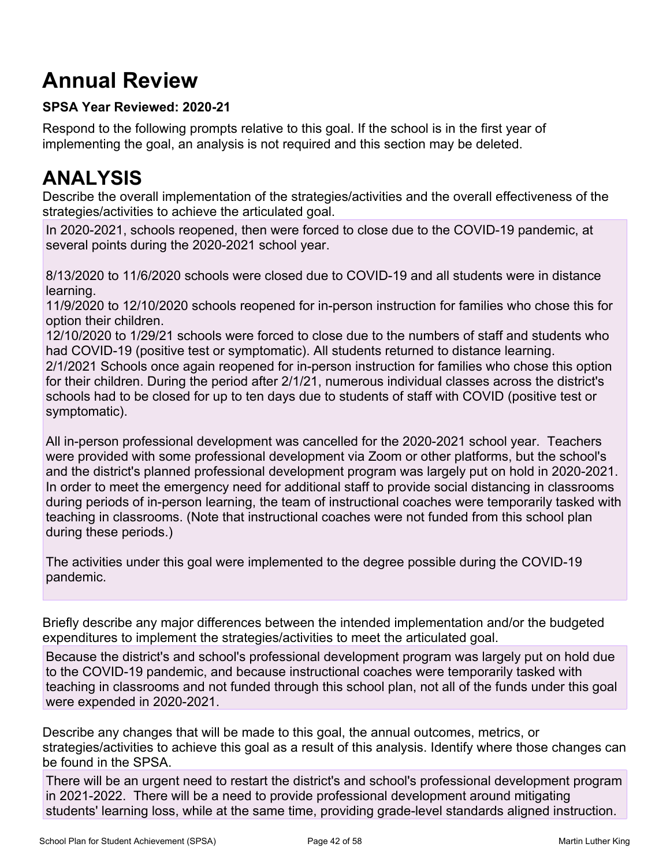# **Annual Review**

### **SPSA Year Reviewed: 2020-21**

Respond to the following prompts relative to this goal. If the school is in the first year of implementing the goal, an analysis is not required and this section may be deleted.

# **ANALYSIS**

Describe the overall implementation of the strategies/activities and the overall effectiveness of the strategies/activities to achieve the articulated goal.

In 2020-2021, schools reopened, then were forced to close due to the COVID-19 pandemic, at several points during the 2020-2021 school year.

8/13/2020 to 11/6/2020 schools were closed due to COVID-19 and all students were in distance learning.

11/9/2020 to 12/10/2020 schools reopened for in-person instruction for families who chose this for option their children.

12/10/2020 to 1/29/21 schools were forced to close due to the numbers of staff and students who had COVID-19 (positive test or symptomatic). All students returned to distance learning.

2/1/2021 Schools once again reopened for in-person instruction for families who chose this option for their children. During the period after 2/1/21, numerous individual classes across the district's schools had to be closed for up to ten days due to students of staff with COVID (positive test or symptomatic).

All in-person professional development was cancelled for the 2020-2021 school year. Teachers were provided with some professional development via Zoom or other platforms, but the school's and the district's planned professional development program was largely put on hold in 2020-2021. In order to meet the emergency need for additional staff to provide social distancing in classrooms during periods of in-person learning, the team of instructional coaches were temporarily tasked with teaching in classrooms. (Note that instructional coaches were not funded from this school plan during these periods.)

The activities under this goal were implemented to the degree possible during the COVID-19 pandemic.

Briefly describe any major differences between the intended implementation and/or the budgeted expenditures to implement the strategies/activities to meet the articulated goal.

Because the district's and school's professional development program was largely put on hold due to the COVID-19 pandemic, and because instructional coaches were temporarily tasked with teaching in classrooms and not funded through this school plan, not all of the funds under this goal were expended in 2020-2021.

Describe any changes that will be made to this goal, the annual outcomes, metrics, or strategies/activities to achieve this goal as a result of this analysis. Identify where those changes can be found in the SPSA.

There will be an urgent need to restart the district's and school's professional development program in 2021-2022. There will be a need to provide professional development around mitigating students' learning loss, while at the same time, providing grade-level standards aligned instruction.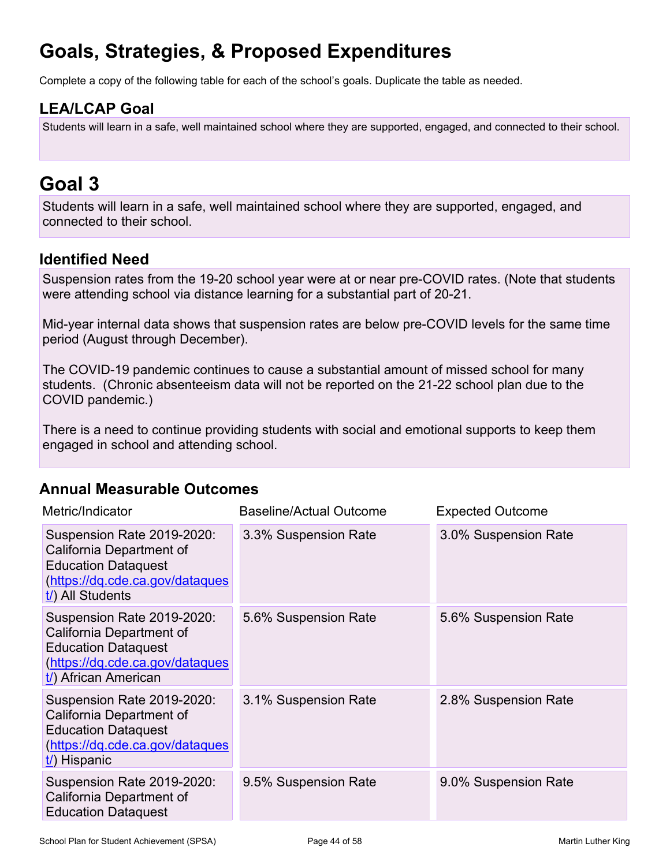# **Goals, Strategies, & Proposed Expenditures**

Complete a copy of the following table for each of the school's goals. Duplicate the table as needed.

## **LEA/LCAP Goal**

Students will learn in a safe, well maintained school where they are supported, engaged, and connected to their school.

# **Goal 3**

Students will learn in a safe, well maintained school where they are supported, engaged, and connected to their school.

## **Identified Need**

Suspension rates from the 19-20 school year were at or near pre-COVID rates. (Note that students were attending school via distance learning for a substantial part of 20-21.

Mid-year internal data shows that suspension rates are below pre-COVID levels for the same time period (August through December).

The COVID-19 pandemic continues to cause a substantial amount of missed school for many students. (Chronic absenteeism data will not be reported on the 21-22 school plan due to the COVID pandemic.)

There is a need to continue providing students with social and emotional supports to keep them engaged in school and attending school.

### **Annual Measurable Outcomes**

| Metric/Indicator                                                                                                                                | <b>Baseline/Actual Outcome</b> | <b>Expected Outcome</b> |
|-------------------------------------------------------------------------------------------------------------------------------------------------|--------------------------------|-------------------------|
| Suspension Rate 2019-2020:<br>California Department of<br><b>Education Dataquest</b><br>(https://dq.cde.ca.gov/dataques<br>$t$ ) All Students   | 3.3% Suspension Rate           | 3.0% Suspension Rate    |
| Suspension Rate 2019-2020:<br>California Department of<br><b>Education Dataquest</b><br>(https://dq.cde.ca.gov/dataques<br>t/) African American | 5.6% Suspension Rate           | 5.6% Suspension Rate    |
| Suspension Rate 2019-2020:<br>California Department of<br><b>Education Dataquest</b><br>(https://dq.cde.ca.gov/dataques<br>$t$ ) Hispanic       | 3.1% Suspension Rate           | 2.8% Suspension Rate    |
| Suspension Rate 2019-2020:<br>California Department of<br><b>Education Dataquest</b>                                                            | 9.5% Suspension Rate           | 9.0% Suspension Rate    |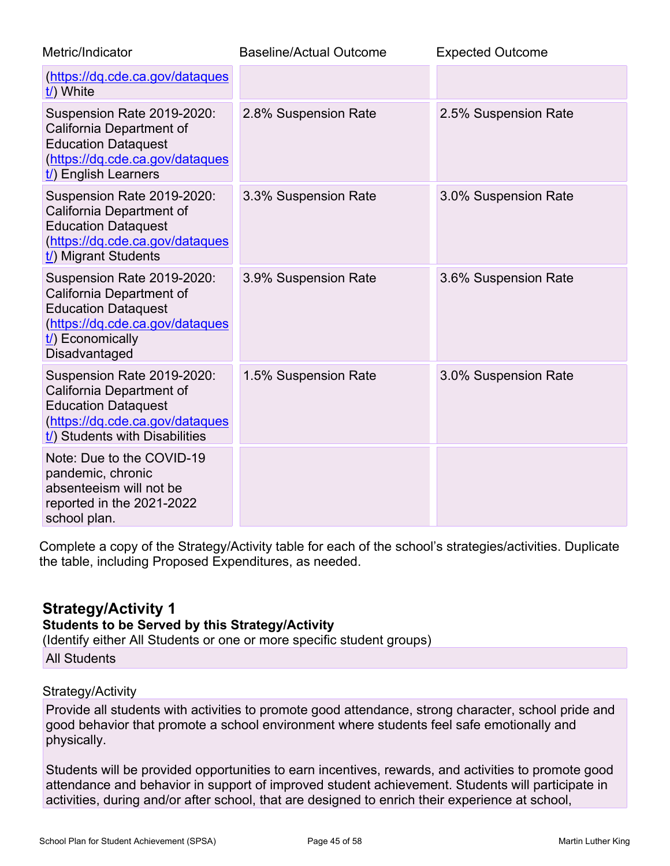| Metric/Indicator                                                                                                                                               | <b>Baseline/Actual Outcome</b> | <b>Expected Outcome</b> |
|----------------------------------------------------------------------------------------------------------------------------------------------------------------|--------------------------------|-------------------------|
| (https://dq.cde.ca.gov/dataques<br>t/) White                                                                                                                   |                                |                         |
| Suspension Rate 2019-2020:<br>California Department of<br><b>Education Dataquest</b><br>(https://dq.cde.ca.gov/dataques<br>$t$ ) English Learners              | 2.8% Suspension Rate           | 2.5% Suspension Rate    |
| Suspension Rate 2019-2020:<br>California Department of<br><b>Education Dataquest</b><br>(https://dq.cde.ca.gov/dataques<br>t/) Migrant Students                | 3.3% Suspension Rate           | 3.0% Suspension Rate    |
| Suspension Rate 2019-2020:<br>California Department of<br><b>Education Dataquest</b><br>(https://dq.cde.ca.gov/dataques<br>$t$ ) Economically<br>Disadvantaged | 3.9% Suspension Rate           | 3.6% Suspension Rate    |
| Suspension Rate 2019-2020:<br>California Department of<br><b>Education Dataquest</b><br>(https://dq.cde.ca.gov/dataques<br>t/) Students with Disabilities      | 1.5% Suspension Rate           | 3.0% Suspension Rate    |
| Note: Due to the COVID-19<br>pandemic, chronic<br>absenteeism will not be<br>reported in the 2021-2022<br>school plan.                                         |                                |                         |

Complete a copy of the Strategy/Activity table for each of the school's strategies/activities. Duplicate the table, including Proposed Expenditures, as needed.

### **Strategy/Activity 1**

#### **Students to be Served by this Strategy/Activity**

(Identify either All Students or one or more specific student groups)

All Students

#### Strategy/Activity

Provide all students with activities to promote good attendance, strong character, school pride and good behavior that promote a school environment where students feel safe emotionally and physically.

Students will be provided opportunities to earn incentives, rewards, and activities to promote good attendance and behavior in support of improved student achievement. Students will participate in activities, during and/or after school, that are designed to enrich their experience at school,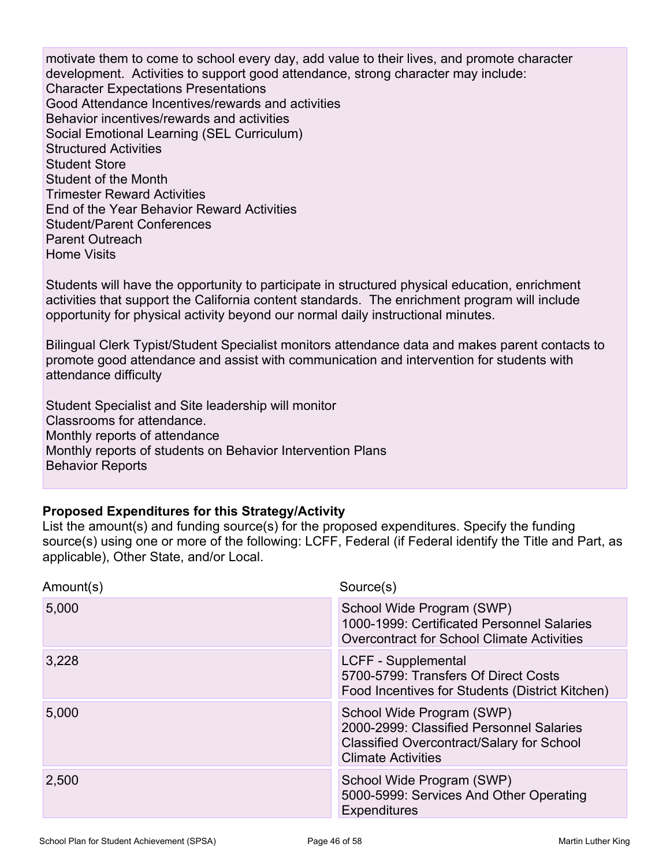motivate them to come to school every day, add value to their lives, and promote character development. Activities to support good attendance, strong character may include: Character Expectations Presentations Good Attendance Incentives/rewards and activities Behavior incentives/rewards and activities Social Emotional Learning (SEL Curriculum) Structured Activities Student Store Student of the Month Trimester Reward Activities End of the Year Behavior Reward Activities Student/Parent Conferences Parent Outreach Home Visits

Students will have the opportunity to participate in structured physical education, enrichment activities that support the California content standards. The enrichment program will include opportunity for physical activity beyond our normal daily instructional minutes.

Bilingual Clerk Typist/Student Specialist monitors attendance data and makes parent contacts to promote good attendance and assist with communication and intervention for students with attendance difficulty

Student Specialist and Site leadership will monitor Classrooms for attendance. Monthly reports of attendance Monthly reports of students on Behavior Intervention Plans Behavior Reports

#### **Proposed Expenditures for this Strategy/Activity**

| Amount(s) | Source(s)                                                                                                                                              |
|-----------|--------------------------------------------------------------------------------------------------------------------------------------------------------|
| 5,000     | School Wide Program (SWP)<br>1000-1999: Certificated Personnel Salaries<br><b>Overcontract for School Climate Activities</b>                           |
| 3,228     | LCFF - Supplemental<br>5700-5799: Transfers Of Direct Costs<br>Food Incentives for Students (District Kitchen)                                         |
| 5,000     | School Wide Program (SWP)<br>2000-2999: Classified Personnel Salaries<br><b>Classified Overcontract/Salary for School</b><br><b>Climate Activities</b> |
| 2,500     | School Wide Program (SWP)<br>5000-5999: Services And Other Operating<br><b>Expenditures</b>                                                            |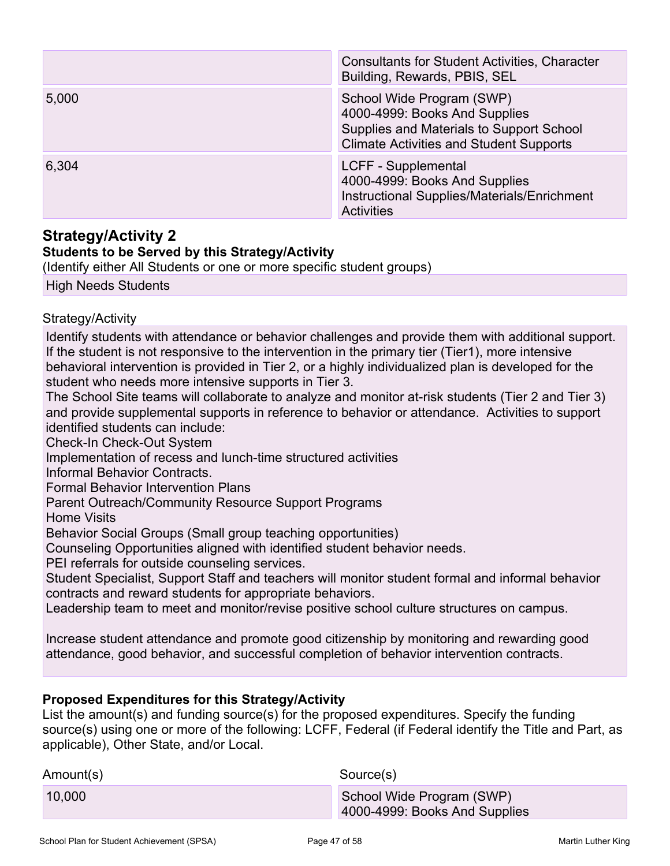|       | <b>Consultants for Student Activities, Character</b><br>Building, Rewards, PBIS, SEL                                                                     |
|-------|----------------------------------------------------------------------------------------------------------------------------------------------------------|
| 5,000 | School Wide Program (SWP)<br>4000-4999: Books And Supplies<br>Supplies and Materials to Support School<br><b>Climate Activities and Student Supports</b> |
| 6,304 | LCFF - Supplemental<br>4000-4999: Books And Supplies<br>Instructional Supplies/Materials/Enrichment<br><b>Activities</b>                                 |

### **Strategy/Activity 2**

### **Students to be Served by this Strategy/Activity**

(Identify either All Students or one or more specific student groups)

High Needs Students

#### Strategy/Activity

Identify students with attendance or behavior challenges and provide them with additional support. If the student is not responsive to the intervention in the primary tier (Tier1), more intensive behavioral intervention is provided in Tier 2, or a highly individualized plan is developed for the student who needs more intensive supports in Tier 3.

The School Site teams will collaborate to analyze and monitor at-risk students (Tier 2 and Tier 3) and provide supplemental supports in reference to behavior or attendance. Activities to support identified students can include:

Check-In Check-Out System

Implementation of recess and lunch-time structured activities

Informal Behavior Contracts.

Formal Behavior Intervention Plans

Parent Outreach/Community Resource Support Programs

Home Visits

Behavior Social Groups (Small group teaching opportunities)

Counseling Opportunities aligned with identified student behavior needs.

PEI referrals for outside counseling services.

Student Specialist, Support Staff and teachers will monitor student formal and informal behavior contracts and reward students for appropriate behaviors.

Leadership team to meet and monitor/revise positive school culture structures on campus.

Increase student attendance and promote good citizenship by monitoring and rewarding good attendance, good behavior, and successful completion of behavior intervention contracts.

#### **Proposed Expenditures for this Strategy/Activity**

| Amount(s) | Source(s)                                                  |
|-----------|------------------------------------------------------------|
| 10,000    | School Wide Program (SWP)<br>4000-4999: Books And Supplies |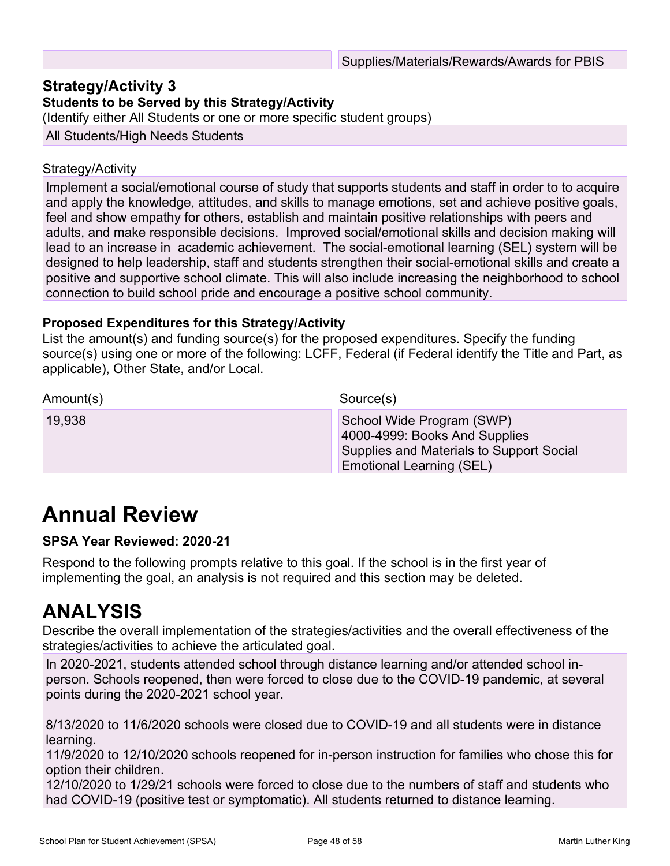### **Strategy/Activity 3**

**Students to be Served by this Strategy/Activity**

(Identify either All Students or one or more specific student groups)

All Students/High Needs Students

#### Strategy/Activity

Implement a social/emotional course of study that supports students and staff in order to to acquire and apply the knowledge, attitudes, and skills to manage emotions, set and achieve positive goals, feel and show empathy for others, establish and maintain positive relationships with peers and adults, and make responsible decisions. Improved social/emotional skills and decision making will lead to an increase in academic achievement. The social-emotional learning (SEL) system will be designed to help leadership, staff and students strengthen their social-emotional skills and create a positive and supportive school climate. This will also include increasing the neighborhood to school connection to build school pride and encourage a positive school community.

#### **Proposed Expenditures for this Strategy/Activity**

List the amount(s) and funding source(s) for the proposed expenditures. Specify the funding source(s) using one or more of the following: LCFF, Federal (if Federal identify the Title and Part, as applicable), Other State, and/or Local.

| Amount(s) | Source(s)                                                                                                                          |
|-----------|------------------------------------------------------------------------------------------------------------------------------------|
| 19,938    | School Wide Program (SWP)<br>4000-4999: Books And Supplies<br>Supplies and Materials to Support Social<br>Emotional Learning (SEL) |

# **Annual Review**

#### **SPSA Year Reviewed: 2020-21**

Respond to the following prompts relative to this goal. If the school is in the first year of implementing the goal, an analysis is not required and this section may be deleted.

## **ANALYSIS**

Describe the overall implementation of the strategies/activities and the overall effectiveness of the strategies/activities to achieve the articulated goal.

In 2020-2021, students attended school through distance learning and/or attended school inperson. Schools reopened, then were forced to close due to the COVID-19 pandemic, at several points during the 2020-2021 school year.

8/13/2020 to 11/6/2020 schools were closed due to COVID-19 and all students were in distance learning.

11/9/2020 to 12/10/2020 schools reopened for in-person instruction for families who chose this for option their children.

12/10/2020 to 1/29/21 schools were forced to close due to the numbers of staff and students who had COVID-19 (positive test or symptomatic). All students returned to distance learning.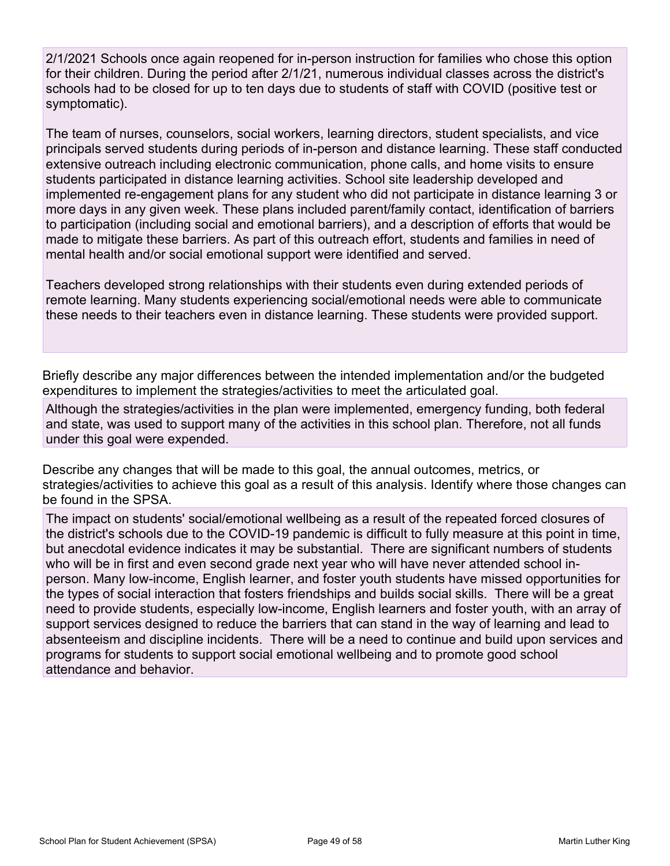2/1/2021 Schools once again reopened for in-person instruction for families who chose this option for their children. During the period after 2/1/21, numerous individual classes across the district's schools had to be closed for up to ten days due to students of staff with COVID (positive test or symptomatic).

The team of nurses, counselors, social workers, learning directors, student specialists, and vice principals served students during periods of in-person and distance learning. These staff conducted extensive outreach including electronic communication, phone calls, and home visits to ensure students participated in distance learning activities. School site leadership developed and implemented re-engagement plans for any student who did not participate in distance learning 3 or more days in any given week. These plans included parent/family contact, identification of barriers to participation (including social and emotional barriers), and a description of efforts that would be made to mitigate these barriers. As part of this outreach effort, students and families in need of mental health and/or social emotional support were identified and served.

Teachers developed strong relationships with their students even during extended periods of remote learning. Many students experiencing social/emotional needs were able to communicate these needs to their teachers even in distance learning. These students were provided support.

Briefly describe any major differences between the intended implementation and/or the budgeted expenditures to implement the strategies/activities to meet the articulated goal.

Although the strategies/activities in the plan were implemented, emergency funding, both federal and state, was used to support many of the activities in this school plan. Therefore, not all funds under this goal were expended.

Describe any changes that will be made to this goal, the annual outcomes, metrics, or strategies/activities to achieve this goal as a result of this analysis. Identify where those changes can be found in the SPSA.

The impact on students' social/emotional wellbeing as a result of the repeated forced closures of the district's schools due to the COVID-19 pandemic is difficult to fully measure at this point in time, but anecdotal evidence indicates it may be substantial. There are significant numbers of students who will be in first and even second grade next year who will have never attended school inperson. Many low-income, English learner, and foster youth students have missed opportunities for the types of social interaction that fosters friendships and builds social skills. There will be a great need to provide students, especially low-income, English learners and foster youth, with an array of support services designed to reduce the barriers that can stand in the way of learning and lead to absenteeism and discipline incidents. There will be a need to continue and build upon services and programs for students to support social emotional wellbeing and to promote good school attendance and behavior.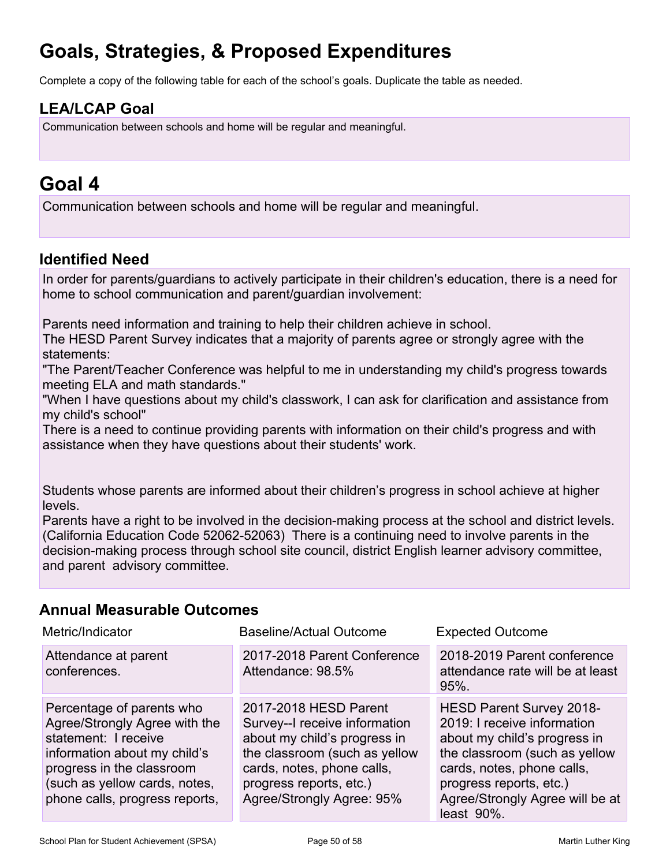# **Goals, Strategies, & Proposed Expenditures**

Complete a copy of the following table for each of the school's goals. Duplicate the table as needed.

## **LEA/LCAP Goal**

Communication between schools and home will be regular and meaningful.

# **Goal 4**

Communication between schools and home will be regular and meaningful.

### **Identified Need**

In order for parents/guardians to actively participate in their children's education, there is a need for home to school communication and parent/guardian involvement:

Parents need information and training to help their children achieve in school.

The HESD Parent Survey indicates that a majority of parents agree or strongly agree with the statements:

"The Parent/Teacher Conference was helpful to me in understanding my child's progress towards meeting ELA and math standards."

"When I have questions about my child's classwork, I can ask for clarification and assistance from my child's school"

There is a need to continue providing parents with information on their child's progress and with assistance when they have questions about their students' work.

Students whose parents are informed about their children's progress in school achieve at higher levels.

Parents have a right to be involved in the decision-making process at the school and district levels. (California Education Code 52062-52063) There is a continuing need to involve parents in the decision-making process through school site council, district English learner advisory committee, and parent advisory committee.

### **Annual Measurable Outcomes**

| Metric/Indicator                                                                                                                                                                                                   | <b>Baseline/Actual Outcome</b>                                                                                                                                                                                | <b>Expected Outcome</b>                                                                                                                                                                                                            |  |
|--------------------------------------------------------------------------------------------------------------------------------------------------------------------------------------------------------------------|---------------------------------------------------------------------------------------------------------------------------------------------------------------------------------------------------------------|------------------------------------------------------------------------------------------------------------------------------------------------------------------------------------------------------------------------------------|--|
| Attendance at parent<br>conferences.                                                                                                                                                                               | 2017-2018 Parent Conference<br>Attendance: 98.5%                                                                                                                                                              | 2018-2019 Parent conference<br>attendance rate will be at least<br>$95%$ .                                                                                                                                                         |  |
| Percentage of parents who<br>Agree/Strongly Agree with the<br>statement: I receive<br>information about my child's<br>progress in the classroom<br>(such as yellow cards, notes,<br>phone calls, progress reports, | 2017-2018 HESD Parent<br>Survey--I receive information<br>about my child's progress in<br>the classroom (such as yellow<br>cards, notes, phone calls,<br>progress reports, etc.)<br>Agree/Strongly Agree: 95% | HESD Parent Survey 2018-<br>2019: I receive information<br>about my child's progress in<br>the classroom (such as yellow<br>cards, notes, phone calls,<br>progress reports, etc.)<br>Agree/Strongly Agree will be at<br>least 90%. |  |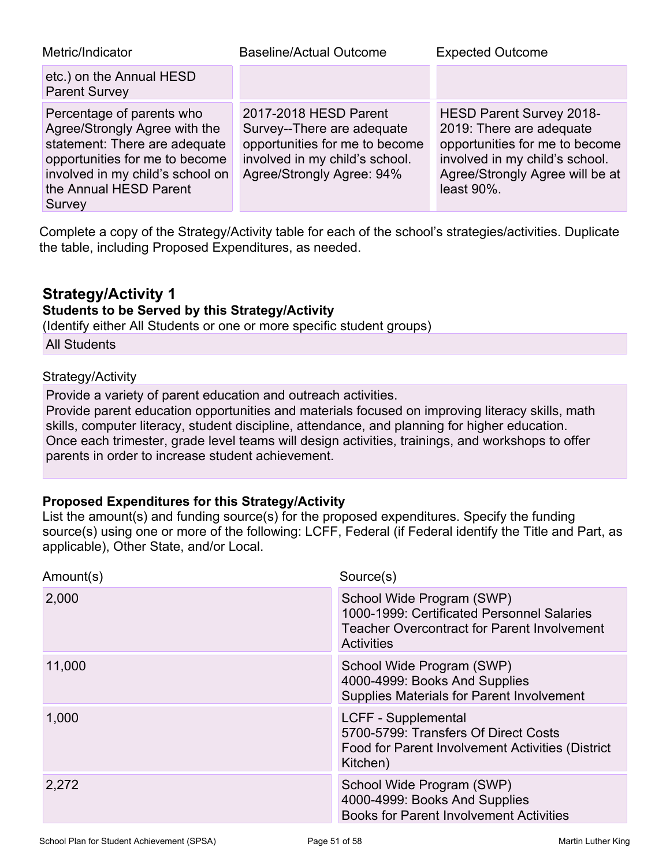| Metric/Indicator                                                                                                                                                                                      | <b>Baseline/Actual Outcome</b>                                                                                                                       | <b>Expected Outcome</b>                                                                                                                                                              |
|-------------------------------------------------------------------------------------------------------------------------------------------------------------------------------------------------------|------------------------------------------------------------------------------------------------------------------------------------------------------|--------------------------------------------------------------------------------------------------------------------------------------------------------------------------------------|
| etc.) on the Annual HESD<br><b>Parent Survey</b>                                                                                                                                                      |                                                                                                                                                      |                                                                                                                                                                                      |
| Percentage of parents who<br>Agree/Strongly Agree with the<br>statement: There are adequate<br>opportunities for me to become<br>involved in my child's school on<br>the Annual HESD Parent<br>Survey | 2017-2018 HESD Parent<br>Survey--There are adequate<br>opportunities for me to become<br>involved in my child's school.<br>Agree/Strongly Agree: 94% | <b>HESD Parent Survey 2018-</b><br>2019: There are adequate<br>opportunities for me to become<br>involved in my child's school.<br>Agree/Strongly Agree will be at<br>least $90\%$ . |

Complete a copy of the Strategy/Activity table for each of the school's strategies/activities. Duplicate the table, including Proposed Expenditures, as needed.

### **Strategy/Activity 1**

### **Students to be Served by this Strategy/Activity**

(Identify either All Students or one or more specific student groups)

All Students

#### Strategy/Activity

Provide a variety of parent education and outreach activities.

Provide parent education opportunities and materials focused on improving literacy skills, math skills, computer literacy, student discipline, attendance, and planning for higher education. Once each trimester, grade level teams will design activities, trainings, and workshops to offer parents in order to increase student achievement.

#### **Proposed Expenditures for this Strategy/Activity**

| Amount(s) | Source(s)                                                                                                                                          |
|-----------|----------------------------------------------------------------------------------------------------------------------------------------------------|
| 2,000     | School Wide Program (SWP)<br>1000-1999: Certificated Personnel Salaries<br><b>Teacher Overcontract for Parent Involvement</b><br><b>Activities</b> |
| 11,000    | School Wide Program (SWP)<br>4000-4999: Books And Supplies<br><b>Supplies Materials for Parent Involvement</b>                                     |
| 1,000     | LCFF - Supplemental<br>5700-5799: Transfers Of Direct Costs<br>Food for Parent Involvement Activities (District<br>Kitchen)                        |
| 2,272     | School Wide Program (SWP)<br>4000-4999: Books And Supplies<br><b>Books for Parent Involvement Activities</b>                                       |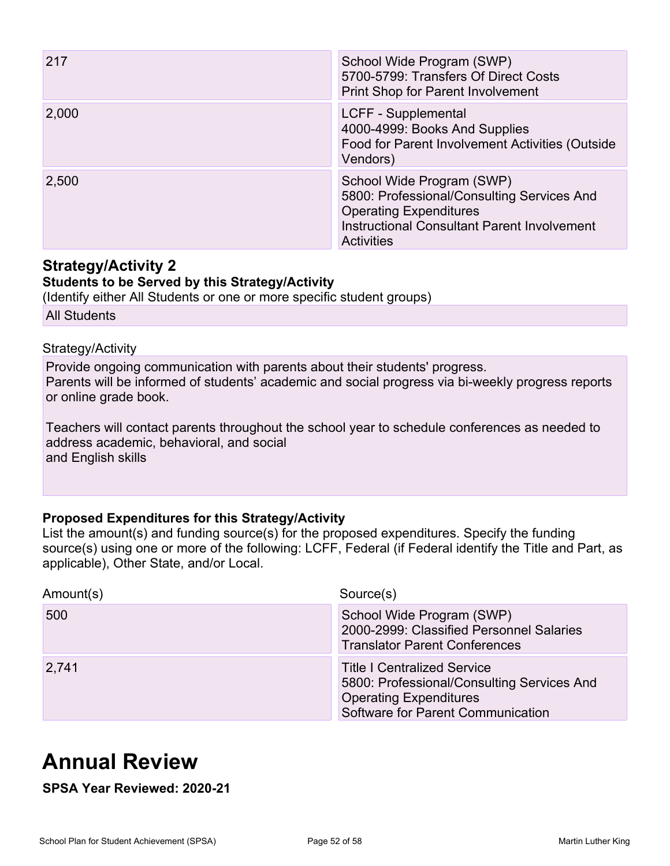| 217   | School Wide Program (SWP)<br>5700-5799: Transfers Of Direct Costs<br>Print Shop for Parent Involvement                                                                              |
|-------|-------------------------------------------------------------------------------------------------------------------------------------------------------------------------------------|
| 2,000 | LCFF - Supplemental<br>4000-4999: Books And Supplies<br>Food for Parent Involvement Activities (Outside<br>Vendors)                                                                 |
| 2,500 | School Wide Program (SWP)<br>5800: Professional/Consulting Services And<br><b>Operating Expenditures</b><br><b>Instructional Consultant Parent Involvement</b><br><b>Activities</b> |

### **Strategy/Activity 2**

### **Students to be Served by this Strategy/Activity**

(Identify either All Students or one or more specific student groups)

All Students

#### Strategy/Activity

Provide ongoing communication with parents about their students' progress. Parents will be informed of students' academic and social progress via bi-weekly progress reports or online grade book.

Teachers will contact parents throughout the school year to schedule conferences as needed to address academic, behavioral, and social and English skills

### **Proposed Expenditures for this Strategy/Activity**

List the amount(s) and funding source(s) for the proposed expenditures. Specify the funding source(s) using one or more of the following: LCFF, Federal (if Federal identify the Title and Part, as applicable), Other State, and/or Local.

| Amount(s) | Source(s)                                                                                                                                              |
|-----------|--------------------------------------------------------------------------------------------------------------------------------------------------------|
| 500       | School Wide Program (SWP)<br>2000-2999: Classified Personnel Salaries<br><b>Translator Parent Conferences</b>                                          |
| 2,741     | <b>Title I Centralized Service</b><br>5800: Professional/Consulting Services And<br><b>Operating Expenditures</b><br>Software for Parent Communication |

# **Annual Review**

**SPSA Year Reviewed: 2020-21**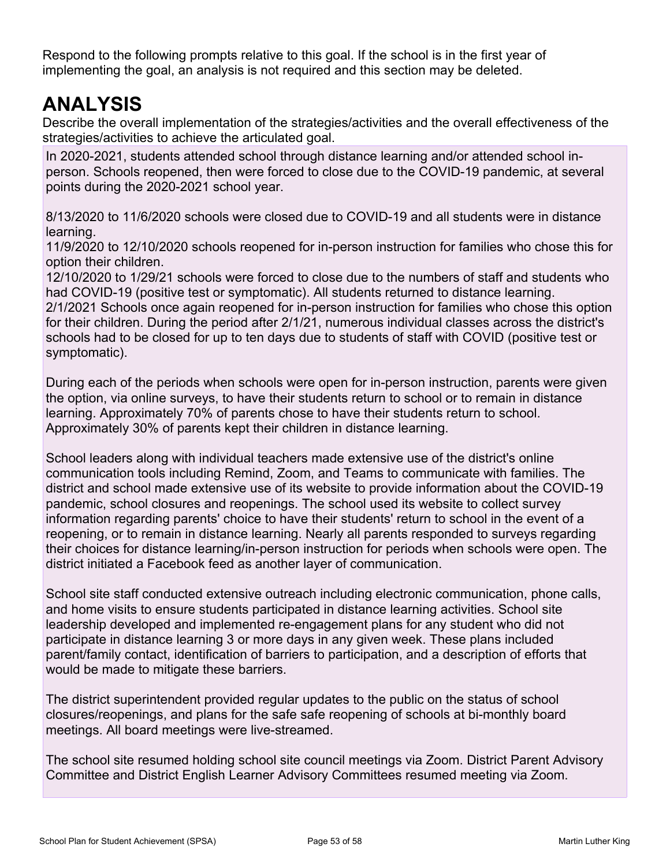Respond to the following prompts relative to this goal. If the school is in the first year of implementing the goal, an analysis is not required and this section may be deleted.

# **ANALYSIS**

Describe the overall implementation of the strategies/activities and the overall effectiveness of the strategies/activities to achieve the articulated goal.

In 2020-2021, students attended school through distance learning and/or attended school inperson. Schools reopened, then were forced to close due to the COVID-19 pandemic, at several points during the 2020-2021 school year.

8/13/2020 to 11/6/2020 schools were closed due to COVID-19 and all students were in distance learning.

11/9/2020 to 12/10/2020 schools reopened for in-person instruction for families who chose this for option their children.

12/10/2020 to 1/29/21 schools were forced to close due to the numbers of staff and students who had COVID-19 (positive test or symptomatic). All students returned to distance learning. 2/1/2021 Schools once again reopened for in-person instruction for families who chose this option for their children. During the period after 2/1/21, numerous individual classes across the district's schools had to be closed for up to ten days due to students of staff with COVID (positive test or symptomatic).

During each of the periods when schools were open for in-person instruction, parents were given the option, via online surveys, to have their students return to school or to remain in distance learning. Approximately 70% of parents chose to have their students return to school. Approximately 30% of parents kept their children in distance learning.

School leaders along with individual teachers made extensive use of the district's online communication tools including Remind, Zoom, and Teams to communicate with families. The district and school made extensive use of its website to provide information about the COVID-19 pandemic, school closures and reopenings. The school used its website to collect survey information regarding parents' choice to have their students' return to school in the event of a reopening, or to remain in distance learning. Nearly all parents responded to surveys regarding their choices for distance learning/in-person instruction for periods when schools were open. The district initiated a Facebook feed as another layer of communication.

School site staff conducted extensive outreach including electronic communication, phone calls, and home visits to ensure students participated in distance learning activities. School site leadership developed and implemented re-engagement plans for any student who did not participate in distance learning 3 or more days in any given week. These plans included parent/family contact, identification of barriers to participation, and a description of efforts that would be made to mitigate these barriers.

The district superintendent provided regular updates to the public on the status of school closures/reopenings, and plans for the safe safe reopening of schools at bi-monthly board meetings. All board meetings were live-streamed.

The school site resumed holding school site council meetings via Zoom. District Parent Advisory Committee and District English Learner Advisory Committees resumed meeting via Zoom.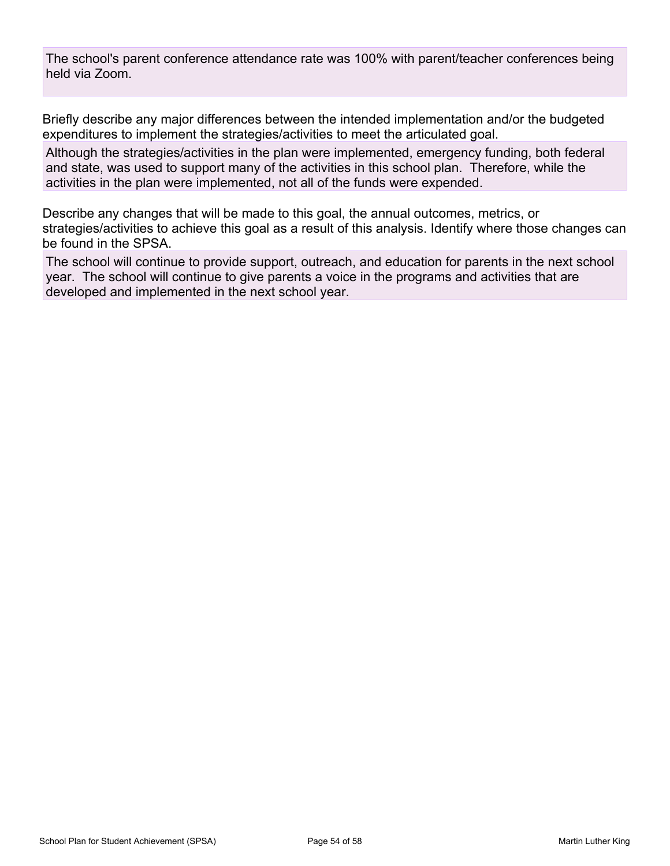The school's parent conference attendance rate was 100% with parent/teacher conferences being held via Zoom.

Briefly describe any major differences between the intended implementation and/or the budgeted expenditures to implement the strategies/activities to meet the articulated goal.

Although the strategies/activities in the plan were implemented, emergency funding, both federal and state, was used to support many of the activities in this school plan. Therefore, while the activities in the plan were implemented, not all of the funds were expended.

Describe any changes that will be made to this goal, the annual outcomes, metrics, or strategies/activities to achieve this goal as a result of this analysis. Identify where those changes can be found in the SPSA.

The school will continue to provide support, outreach, and education for parents in the next school year. The school will continue to give parents a voice in the programs and activities that are developed and implemented in the next school year.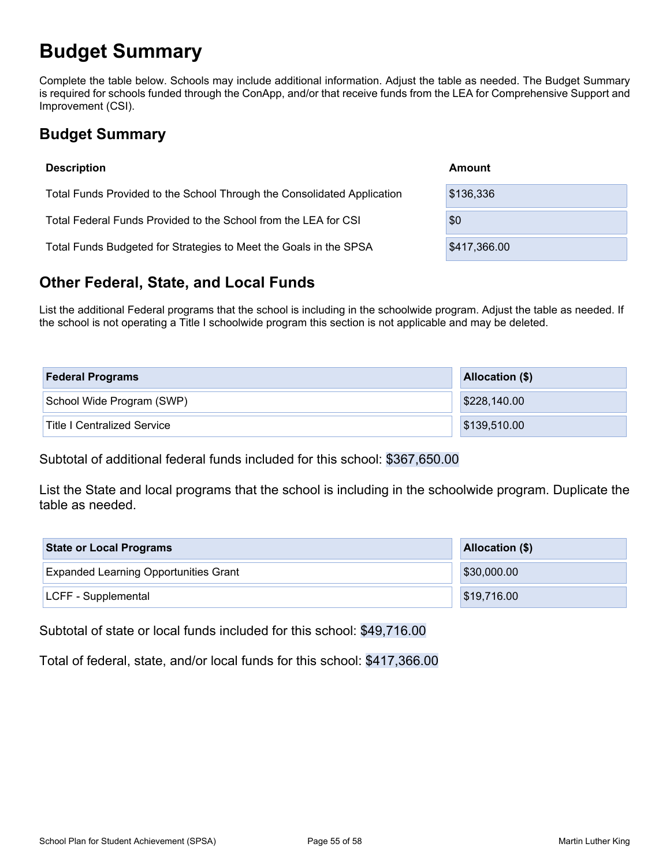# **Budget Summary**

Complete the table below. Schools may include additional information. Adjust the table as needed. The Budget Summary is required for schools funded through the ConApp, and/or that receive funds from the LEA for Comprehensive Support and Improvement (CSI).

## **Budget Summary**

| <b>Description</b>                                                      | Amount       |
|-------------------------------------------------------------------------|--------------|
| Total Funds Provided to the School Through the Consolidated Application | \$136,336    |
| Total Federal Funds Provided to the School from the LEA for CSI         | \$0          |
| Total Funds Budgeted for Strategies to Meet the Goals in the SPSA       | \$417,366.00 |

## **Other Federal, State, and Local Funds**

List the additional Federal programs that the school is including in the schoolwide program. Adjust the table as needed. If the school is not operating a Title I schoolwide program this section is not applicable and may be deleted.

| <b>Federal Programs</b>            | <b>Allocation (\$)</b> |
|------------------------------------|------------------------|
| School Wide Program (SWP)          | \$228,140.00           |
| <b>Title I Centralized Service</b> | \$139,510.00           |

Subtotal of additional federal funds included for this school: \$367,650.00

List the State and local programs that the school is including in the schoolwide program. Duplicate the table as needed.

| <b>State or Local Programs</b>               | Allocation (\$) |  |  |
|----------------------------------------------|-----------------|--|--|
| <b>Expanded Learning Opportunities Grant</b> | \$30,000.00     |  |  |
| LCFF - Supplemental                          | \$19,716.00     |  |  |

Subtotal of state or local funds included for this school: \$49,716.00

Total of federal, state, and/or local funds for this school: \$417,366.00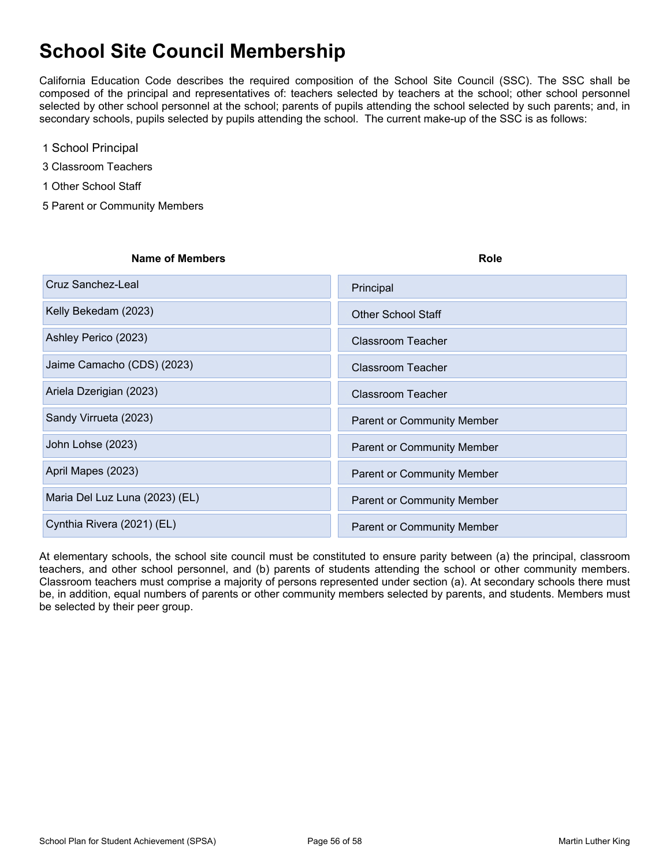# **School Site Council Membership**

California Education Code describes the required composition of the School Site Council (SSC). The SSC shall be composed of the principal and representatives of: teachers selected by teachers at the school; other school personnel selected by other school personnel at the school; parents of pupils attending the school selected by such parents; and, in secondary schools, pupils selected by pupils attending the school. The current make-up of the SSC is as follows:

- 1 School Principal
- 3 Classroom Teachers
- 1 Other School Staff
- 5 Parent or Community Members

| <b>Name of Members</b>         | Role                              |  |  |
|--------------------------------|-----------------------------------|--|--|
| Cruz Sanchez-Leal              | Principal                         |  |  |
| Kelly Bekedam (2023)           | <b>Other School Staff</b>         |  |  |
| Ashley Perico (2023)           | <b>Classroom Teacher</b>          |  |  |
| Jaime Camacho (CDS) (2023)     | <b>Classroom Teacher</b>          |  |  |
| Ariela Dzerigian (2023)        | <b>Classroom Teacher</b>          |  |  |
| Sandy Virrueta (2023)          | <b>Parent or Community Member</b> |  |  |
| John Lohse (2023)              | <b>Parent or Community Member</b> |  |  |
| April Mapes (2023)             | <b>Parent or Community Member</b> |  |  |
| Maria Del Luz Luna (2023) (EL) | <b>Parent or Community Member</b> |  |  |
| Cynthia Rivera (2021) (EL)     | <b>Parent or Community Member</b> |  |  |

At elementary schools, the school site council must be constituted to ensure parity between (a) the principal, classroom teachers, and other school personnel, and (b) parents of students attending the school or other community members. Classroom teachers must comprise a majority of persons represented under section (a). At secondary schools there must be, in addition, equal numbers of parents or other community members selected by parents, and students. Members must be selected by their peer group.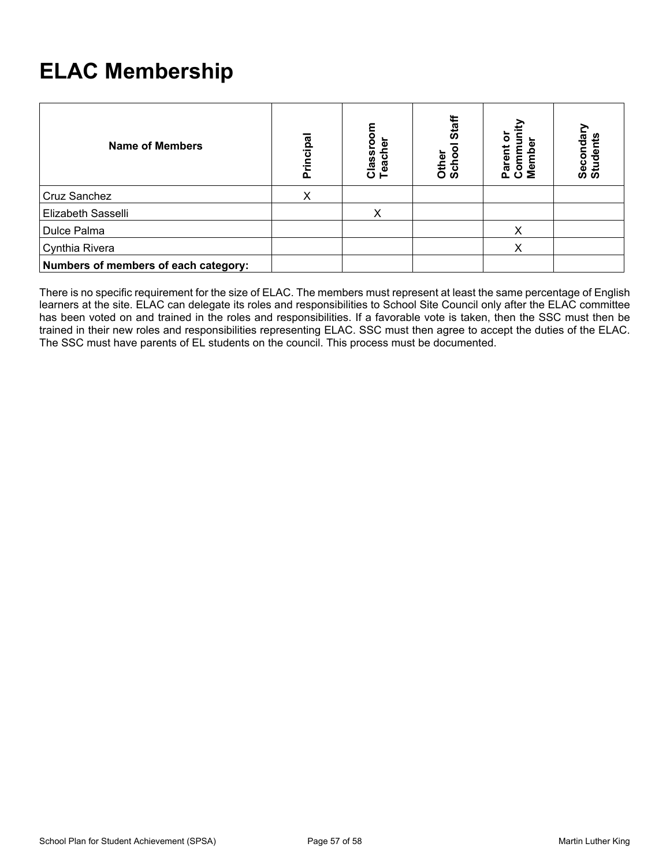# **ELAC Membership**

| <b>Name of Members</b>               | cipal<br>Ē | Classroor<br>Teacher | Staff<br>Other<br>Schoo | o<br>Com<br>Mem<br>ក្លិ | Secondary<br>Students |
|--------------------------------------|------------|----------------------|-------------------------|-------------------------|-----------------------|
| Cruz Sanchez                         | х          |                      |                         |                         |                       |
| Elizabeth Sasselli                   |            | X                    |                         |                         |                       |
| Dulce Palma                          |            |                      |                         | x                       |                       |
| Cynthia Rivera                       |            |                      |                         | x                       |                       |
| Numbers of members of each category: |            |                      |                         |                         |                       |

There is no specific requirement for the size of ELAC. The members must represent at least the same percentage of English learners at the site. ELAC can delegate its roles and responsibilities to School Site Council only after the ELAC committee has been voted on and trained in the roles and responsibilities. If a favorable vote is taken, then the SSC must then be trained in their new roles and responsibilities representing ELAC. SSC must then agree to accept the duties of the ELAC. The SSC must have parents of EL students on the council. This process must be documented.